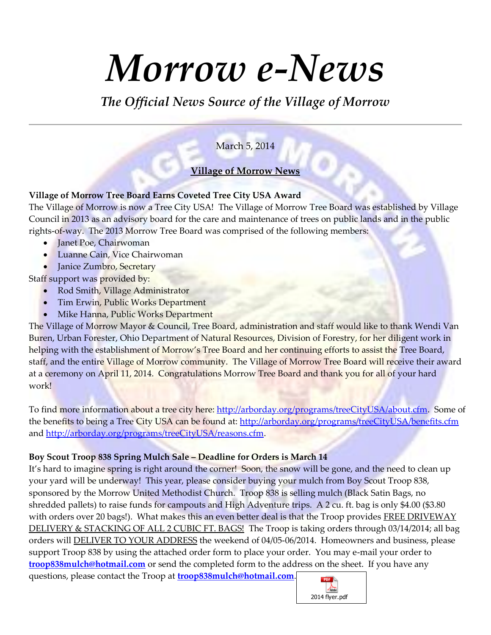# *Morrow e-News*

*The Official News Source of the Village of Morrow*

# March 5, 2014

# **Village of Morrow News**

#### **Village of Morrow Tree Board Earns Coveted Tree City USA Award**

The Village of Morrow is now a Tree City USA! The Village of Morrow Tree Board was established by Village Council in 2013 as an advisory board for the care and maintenance of trees on public lands and in the public rights-of-way. The 2013 Morrow Tree Board was comprised of the following members:

- Janet Poe, Chairwoman
- Luanne Cain, Vice Chairwoman
- Janice Zumbro, Secretary

Staff support was provided by:

- Rod Smith, Village Administrator
- Tim Erwin, Public Works Department
- Mike Hanna, Public Works Department

The Village of Morrow Mayor & Council, Tree Board, administration and staff would like to thank Wendi Van Buren, Urban Forester, Ohio Department of Natural Resources, Division of Forestry, for her diligent work in helping with the establishment of Morrow's Tree Board and her continuing efforts to assist the Tree Board, staff, and the entire Village of Morrow community. The Village of Morrow Tree Board will receive their award at a ceremony on April 11, 2014. Congratulations Morrow Tree Board and thank you for all of your hard work!

To find more information about a tree city here: [http://arborday.org/programs/treeCityUSA/about.cfm.](http://arborday.org/programs/treeCityUSA/about.cfm) Some of the benefits to being a Tree City USA can be found at:<http://arborday.org/programs/treeCityUSA/benefits.cfm> and [http://arborday.org/programs/treeCityUSA/reasons.cfm.](http://arborday.org/programs/treeCityUSA/reasons.cfm)

#### **Boy Scout Troop 838 Spring Mulch Sale – Deadline for Orders is March 14**

It's hard to imagine spring is right around the corner! Soon, the snow will be gone, and the need to clean up your yard will be underway! This year, please consider buying your mulch from Boy Scout Troop 838, sponsored by the Morrow United Methodist Church. Troop 838 is selling mulch (Black Satin Bags, no shredded pallets) to raise funds for campouts and High Adventure trips. A 2 cu. ft. bag is only \$4.00 (\$3.80 with orders over 20 bags!). What makes this an even better deal is that the Troop provides FREE DRIVEWAY DELIVERY & STACKING OF ALL 2 CUBIC FT. BAGS!The Troop is taking orders through 03/14/2014; all bag orders will DELIVER TO YOUR ADDRESS the weekend of 04/05-06/2014. Homeowners and business, please support Troop 838 by using the attached order form to place your order. You may e-mail your order to **[troop838mulch@hotmail.com](mailto:troop838mulch@hotmail.com)** or send the completed form to the address on the sheet. If you have any questions, please contact the Troop at **[troop838mulch@hotmail.com](mailto:troop838mulch@hotmail.com)**.

2014 flyer.pdf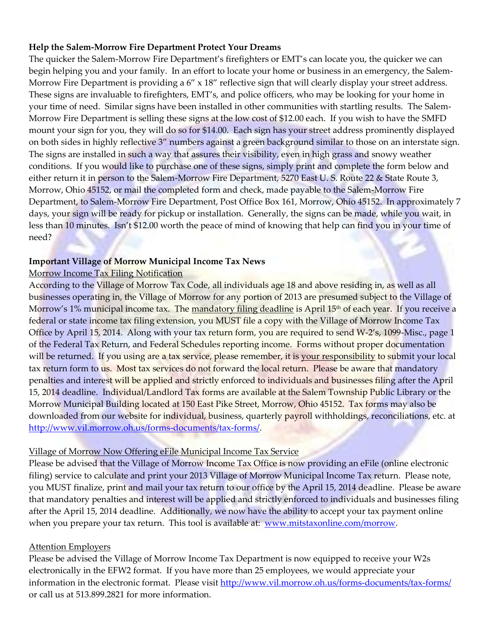#### **Help the Salem-Morrow Fire Department Protect Your Dreams**

The quicker the Salem-Morrow Fire Department's firefighters or EMT's can locate you, the quicker we can begin helping you and your family. In an effort to locate your home or business in an emergency, the Salem-Morrow Fire Department is providing a  $6'' \times 18''$  reflective sign that will clearly display your street address. These signs are invaluable to firefighters, EMT's, and police officers, who may be looking for your home in your time of need. Similar signs have been installed in other communities with startling results. The Salem-Morrow Fire Department is selling these signs at the low cost of \$12.00 each. If you wish to have the SMFD mount your sign for you, they will do so for \$14.00. Each sign has your street address prominently displayed on both sides in highly reflective 3" numbers against a green background similar to those on an interstate sign. The signs are installed in such a way that assures their visibility, even in high grass and snowy weather conditions. If you would like to purchase one of these signs, simply print and complete the form below and either return it in person to the Salem-Morrow Fire Department, 5270 East U. S. Route 22 & State Route 3, Morrow, Ohio 45152, or mail the completed form and check, made payable to the Salem-Morrow Fire Department, to Salem-Morrow Fire Department, Post Office Box 161, Morrow, Ohio 45152. In approximately 7 days, your sign will be ready for pickup or installation. Generally, the signs can be made, while you wait, in less than 10 minutes. Isn't \$12.00 worth the peace of mind of knowing that help can find you in your time of need?

#### **Important Village of Morrow Municipal Income Tax News**

#### Morrow Income Tax Filing Notification

According to the Village of Morrow Tax Code, all individuals age 18 and above residing in, as well as all businesses operating in, the Village of Morrow for any portion of 2013 are presumed subject to the Village of Morrow's 1% municipal income tax. The mandatory filing deadline is April 15<sup>th</sup> of each year. If you receive a federal or state income tax filing extension, you MUST file a copy with the Village of Morrow Income Tax Office by April 15, 2014. Along with your tax return form, you are required to send W-2's, 1099-Misc., page 1 of the Federal Tax Return, and Federal Schedules reporting income. Forms without proper documentation will be returned. If you using are a tax service, please remember, it is your responsibility to submit your local tax return form to us. Most tax services do not forward the local return. Please be aware that mandatory penalties and interest will be applied and strictly enforced to individuals and businesses filing after the April 15, 2014 deadline. Individual/Landlord Tax forms are available at the Salem Township Public Library or the Morrow Municipal Building located at 150 East Pike Street, Morrow, Ohio 45152. Tax forms may also be downloaded from our website for individual, business, quarterly payroll withholdings, reconciliations, etc. at [http://www.vil.morrow.oh.us/forms-documents/tax-forms/.](http://www.vil.morrow.oh.us/forms-documents/tax-forms/)

#### Village of Morrow Now Offering eFile Municipal Income Tax Service

Please be advised that the Village of Morrow Income Tax Office is now providing an eFile (online electronic filing) service to calculate and print your 2013 Village of Morrow Municipal Income Tax return. Please note, you MUST finalize, print and mail your tax return to our office by the April 15, 2014 deadline. Please be aware that mandatory penalties and interest will be applied and strictly enforced to individuals and businesses filing after the April 15, 2014 deadline. Additionally, we now have the ability to accept your tax payment online when you prepare your tax return. This tool is available at: [www.mitstaxonline.com/morrow.](http://www.mitstaxonline.com/morrow)

#### Attention Employers

Please be advised the Village of Morrow Income Tax Department is now equipped to receive your W2s electronically in the EFW2 format. If you have more than 25 employees, we would appreciate your information in the electronic format. Please visit<http://www.vil.morrow.oh.us/forms-documents/tax-forms/> or call us at 513.899.2821 for more information.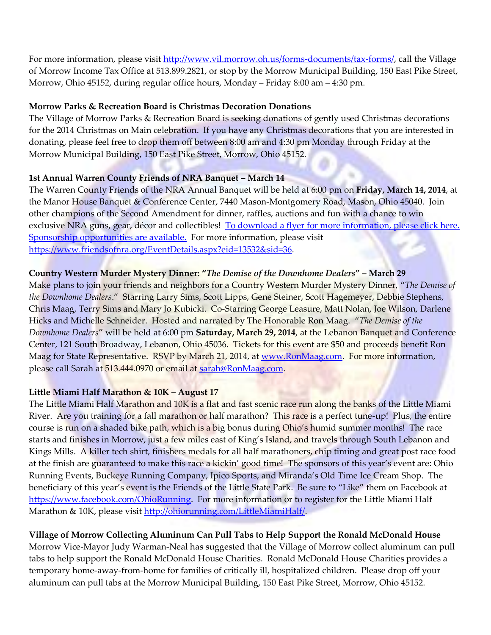For more information, please visit [http://www.vil.morrow.oh.us/forms-documents/tax-forms/,](http://www.vil.morrow.oh.us/forms-documents/tax-forms/) call the Village of Morrow Income Tax Office at 513.899.2821, or stop by the Morrow Municipal Building, 150 East Pike Street, Morrow, Ohio 45152, during regular office hours, Monday – Friday 8:00 am – 4:30 pm.

#### **Morrow Parks & Recreation Board is Christmas Decoration Donations**

The Village of Morrow Parks & Recreation Board is seeking donations of gently used Christmas decorations for the 2014 Christmas on Main celebration. If you have any Christmas decorations that you are interested in donating, please feel free to drop them off between 8:00 am and 4:30 pm Monday through Friday at the Morrow Municipal Building, 150 East Pike Street, Morrow, Ohio 45152.

#### **1st Annual Warren County Friends of NRA Banquet – March 14**

The Warren County Friends of the NRA Annual Banquet will be held at 6:00 pm on **Friday, March 14, 2014**, at the Manor House Banquet & Conference Center, 7440 Mason-Montgomery Road, Mason, Ohio 45040. Join other champions of the Second Amendment for dinner, raffles, auctions and fun with a chance to win exclusive NRA guns, gear, décor and collectibles! [To download a flyer for more information, please click here.](http://r20.rs6.net/tn.jsp?f=001RGnORZ2UaBqUCEBPZ5mDdR56sYpL01KuvwI6sH5BeTr6QLhANobgLalgeLAIkobo7JSYNiU31w6cYp4vDRfUOrNcBvFkQogAEJPCJBk2nnhL7EGy-YNqPM898pDZSoUXO9TZJ_C3OuOmsmbJc20ZSrQdhk5823O1glCRm5zSwwZBdnRO2RPBCbhKyoMBRMqddysAEC5t5pffjcMSzE14ucB_IjBJ1GPNx8ZENrdLVKBm-pxDG5DZ5goeawLIaphbJh9oV_aGUq-sq7li7hWcFXu-EATtTe5K6wekUnHEtnVW1ua9yhmOQA==&c=PMDm44VxAYkFXukVTMqBukT3rUGMsn0wJuYe0O1v-GXAfw4pBEJuCA==&ch=__WIpqsnRkqCRPkob2Upqj0WQQOhXN1lc_xLUOfkLdrF4d3dL4XmZQ==)  [Sponsorship opportunities are available.](http://r20.rs6.net/tn.jsp?f=001RGnORZ2UaBqUCEBPZ5mDdR56sYpL01KuvwI6sH5BeTr6QLhANobgLalgeLAIkobo7JSYNiU31w6cYp4vDRfUOrNcBvFkQogAEJPCJBk2nnhL7EGy-YNqPM898pDZSoUXO9TZJ_C3OuOmsmbJc20ZSrQdhk5823O1glCRm5zSwwZBdnRO2RPBCbhKyoMBRMqddysAEC5t5pffjcMSzE14ucB_IjBJ1GPNx8ZENrdLVKBm-pxDG5DZ5goeawLIaphbJh9oV_aGUq-sq7li7hWcFXu-EATtTe5K6wekUnHEtnVW1ua9yhmOQA==&c=PMDm44VxAYkFXukVTMqBukT3rUGMsn0wJuYe0O1v-GXAfw4pBEJuCA==&ch=__WIpqsnRkqCRPkob2Upqj0WQQOhXN1lc_xLUOfkLdrF4d3dL4XmZQ==) For more information, please visit [https://www.friendsofnra.org/EventDetails.aspx?eid=13532&sid=36.](https://www.friendsofnra.org/EventDetails.aspx?eid=13532&sid=36)

#### **Country Western Murder Mystery Dinner: "***The Demise of the Downhome Dealers***" – March 29**

Make plans to join your friends and neighbors for a Country Western Murder Mystery Dinner, "*The Demise of the Downhome Dealers*." Starring Larry Sims, Scott Lipps, Gene Steiner, Scott Hagemeyer, Debbie Stephens, Chris Maag, Terry Sims and Mary Jo Kubicki. Co-Starring George Leasure, Matt Nolan, Joe Wilson, Darlene Hicks and Michelle Schneider. Hosted and narrated by The Honorable Ron Maag. "*The Demise of the Downhome Dealers*" will be held at 6:00 pm **Saturday, March 29, 2014**, at the Lebanon Banquet and Conference Center, 121 South Broadway, Lebanon, Ohio 45036. Tickets for this event are \$50 and proceeds benefit Ron Maag for State Representative. RSVP by March 21, 2014, at [www.RonMaag.com.](http://www.ronmaag.com/) For more information, please call Sarah at 513.444.0970 or email a[t sarah@RonMaag.com.](mailto:sarah@RonMaag.com)

#### **Little Miami Half Marathon & 10K – August 17**

The Little Miami Half Marathon and 10K is a flat and fast scenic race run along the banks of the Little Miami River. Are you training for a fall marathon or half marathon? This race is a perfect tune-up! Plus, the entire course is run on a shaded bike path, which is a big bonus during Ohio's humid summer months! The race starts and finishes in Morrow, just a few miles east of King's Island, and travels through South Lebanon and Kings Mills. A killer tech shirt, finishers medals for all half marathoners, chip timing and great post race food at the finish are guaranteed to make this race a kickin' good time! The sponsors of this year's event are: Ohio Running Events, Buckeye Running Company, Ipico Sports, and Miranda's Old Time Ice Cream Shop. The beneficiary of this year's event is the Friends of the Little State Park. Be sure to "Like" them on Facebook at [https://www.facebook.com/OhioRunning.](https://www.facebook.com/OhioRunning) For more information or to register for the Little Miami Half Marathon & 10K, please visit [http://ohiorunning.com/LittleMiamiHalf/.](http://ohiorunning.com/LittleMiamiHalf/)

#### **Village of Morrow Collecting Aluminum Can Pull Tabs to Help Support the Ronald McDonald House**

Morrow Vice-Mayor Judy Warman-Neal has suggested that the Village of Morrow collect aluminum can pull tabs to help support the Ronald McDonald House Charities. Ronald McDonald House Charities provides a temporary home-away-from-home for families of critically ill, hospitalized children. Please drop off your aluminum can pull tabs at the Morrow Municipal Building, 150 East Pike Street, Morrow, Ohio 45152.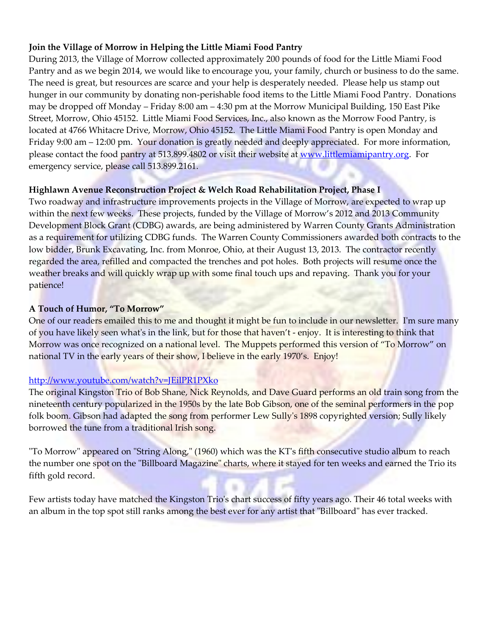## **Join the Village of Morrow in Helping the Little Miami Food Pantry**

During 2013, the Village of Morrow collected approximately 200 pounds of food for the Little Miami Food Pantry and as we begin 2014, we would like to encourage you, your family, church or business to do the same. The need is great, but resources are scarce and your help is desperately needed. Please help us stamp out hunger in our community by donating non-perishable food items to the Little Miami Food Pantry. Donations may be dropped off Monday – Friday 8:00 am – 4:30 pm at the Morrow Municipal Building, 150 East Pike Street, Morrow, Ohio 45152. Little Miami Food Services, Inc., also known as the Morrow Food Pantry, is located at 4766 Whitacre Drive, Morrow, Ohio 45152. The Little Miami Food Pantry is open Monday and Friday 9:00 am – 12:00 pm. Your donation is greatly needed and deeply appreciated. For more information, please contact the food pantry at 513.899.4802 or visit their website at [www.littlemiamipantry.org.](http://www.littlemiamipantry.org/) For emergency service, please call 513.899.2161.

#### **Highlawn Avenue Reconstruction Project & Welch Road Rehabilitation Project, Phase I**

Two roadway and infrastructure improvements projects in the Village of Morrow, are expected to wrap up within the next few weeks. These projects, funded by the Village of Morrow's 2012 and 2013 Community Development Block Grant (CDBG) awards, are being administered by Warren County Grants Administration as a requirement for utilizing CDBG funds. The Warren County Commissioners awarded both contracts to the low bidder, Brunk Excavating, Inc. from Monroe, Ohio, at their August 13, 2013. The contractor recently regarded the area, refilled and compacted the trenches and pot holes. Both projects will resume once the weather breaks and will quickly wrap up with some final touch ups and repaving. Thank you for your patience!

#### **A Touch of Humor, "To Morrow"**

One of our readers emailed this to me and thought it might be fun to include in our newsletter. I'm sure many of you have likely seen what's in the link, but for those that haven't - enjoy. It is interesting to think that Morrow was once recognized on a national level. The Muppets performed this version of "To Morrow" on national TV in the early years of their show, I believe in the early 1970's. Enjoy!

# <http://www.youtube.com/watch?v=JEilPR1PXko>

The original Kingston Trio of Bob Shane, Nick Reynolds, and Dave Guard performs an old train song from the nineteenth century popularized in the 1950s by the late Bob Gibson, one of the seminal performers in the pop folk boom. Gibson had adapted the song from performer Lew Sully's 1898 copyrighted version; Sully likely borrowed the tune from a traditional Irish song.

"To Morrow" appeared on "String Along," (1960) which was the KT's fifth consecutive studio album to reach the number one spot on the "Billboard Magazine" charts, where it stayed for ten weeks and earned the Trio its fifth gold record.

Few artists today have matched the Kingston Trio's chart success of fifty years ago. Their 46 total weeks with an album in the top spot still ranks among the best ever for any artist that "Billboard" has ever tracked.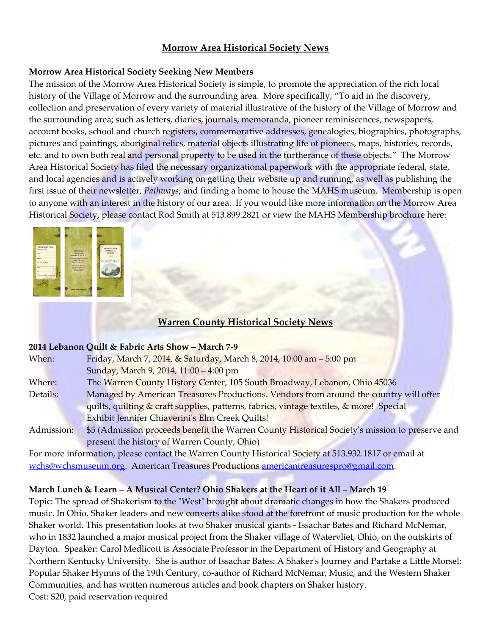## **Morrow Area Historical Society News**

#### **Morrow Area Historical Society Seeking New Members**

The mission of the Morrow Area Historical Society is simple, to promote the appreciation of the rich local history of the Village of Morrow and the surrounding area. More specifically, "To aid in the discovery, collection and preservation of every variety of material illustrative of the history of the Village of Morrow and the surrounding area; such as letters, diaries, journals, memoranda, pioneer reminiscences, newspapers, account books, school and church registers, commemorative addresses, genealogies, biographies, photographs, pictures and paintings, aboriginal relics, material objects illustrating life of pioneers, maps, histories, records, etc. and to own both real and personal property to be used in the furtherance of these objects." The Morrow Area Historical Society has filed the necessary organizational paperwork with the appropriate federal, state, and local agencies and is actively working on getting their website up and running, as well as publishing the first issue of their newsletter, *Pathways*, and finding a home to house the MAHS museum. Membership is open to anyone with an interest in the history of our area. If you would like more information on the Morrow Area Historical Society, please contact Rod Smith at 513.899.2821 or view the MAHS Membership brochure here:

| <b>Annual Alan Alan Alan Ba</b><br><b>MOMERSHIP FORM</b><br>Piners prim closely<br>$\overline{X}$<br>$774 -$<br>City, State, Zip Code<br>Seat 1<br>$\overline{\mathbf{a}}$<br>of 5 age instrumented by variouslass<br><b>SERVICE</b> | open Bon<br><b>MORROW AREA</b><br><b>RESTORICAL SOCIETY</b><br>ata Morrow Managard Holding<br>150 East Pike Street<br>Material Chica (CHS)<br>Plane: CIT/I 999-2871<br>Fax (513) 898-5130<br><b>CITY CONTROL</b> | <b>MORKOWARZA</b><br><b>HISTORICAL</b><br><b>SOCIETY</b><br><b>LONGIT</b><br>Procurring and coldmaning the exhi-<br>James of the Morrow, Chin area<br>------- |
|--------------------------------------------------------------------------------------------------------------------------------------------------------------------------------------------------------------------------------------|------------------------------------------------------------------------------------------------------------------------------------------------------------------------------------------------------------------|---------------------------------------------------------------------------------------------------------------------------------------------------------------|
|                                                                                                                                                                                                                                      | www.Manusettistary.arg                                                                                                                                                                                           |                                                                                                                                                               |

# **Warren County Historical Society News**

#### **2014 Lebanon Quilt & Fabric Arts Show – March 7-9**

| When:      | Friday, March 7, 2014, & Saturday, March 8, 2014, 10:00 am - 5:00 pm                           |
|------------|------------------------------------------------------------------------------------------------|
|            | Sunday, March 9, 2014, 11:00 - 4:00 pm                                                         |
| Where:     | The Warren County History Center, 105 South Broadway, Lebanon, Ohio 45036                      |
| Details:   | Managed by American Treasures Productions. Vendors from around the country will offer          |
|            | quilts, quilting & craft supplies, patterns, fabrics, vintage textiles, & more! Special        |
|            | Exhibit Jennifer Chiaverini's Elm Creek Quilts!                                                |
| Admission: | \$5 (Admission proceeds benefit the Warren County Historical Society's mission to preserve and |
|            | present the history of Warren County, Ohio)                                                    |
|            |                                                                                                |

For more information, please contact the Warren County Historical Society at 513.932.1817 or email at [wchs@wchsmuseum.org.](mailto:wchs@wchsmuseum.org) American Treasures Productions [americantreasurespro@gmail.com.](mailto:americantreasurespro@gmail.com)

# **March Lunch & Learn – A Musical Center? Ohio Shakers at the Heart of it All – March 19**

Topic: The spread of Shakerism to the "West" brought about dramatic changes in how the Shakers produced music. In Ohio, Shaker leaders and new converts alike stood at the forefront of music production for the whole Shaker world. This presentation looks at two Shaker musical giants - Issachar Bates and Richard McNemar, who in 1832 launched a major musical project from the Shaker village of Watervliet, Ohio, on the outskirts of Dayton. Speaker: Carol Medlicott is Associate Professor in the Department of History and Geography at Northern Kentucky University. She is author of Issachar Bates: A Shaker's Journey and Partake a Little Morsel: Popular Shaker Hymns of the 19th Century, co-author of Richard McNemar, Music, and the Western Shaker Communities, and has written numerous articles and book chapters on Shaker history. Cost: \$20, paid reservation required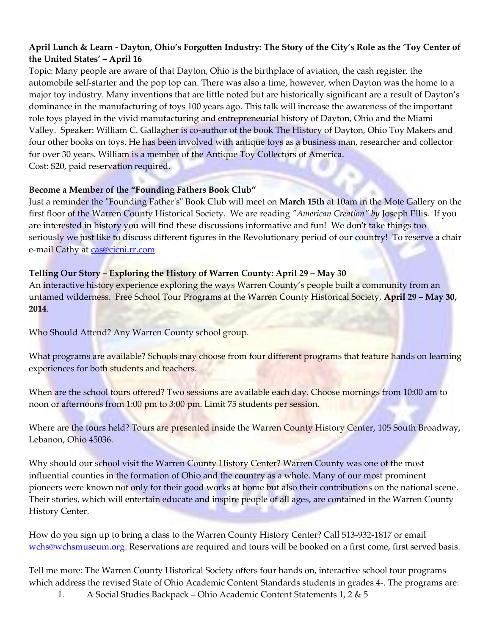# **April Lunch & Learn - Dayton, Ohio's Forgotten Industry: The Story of the City's Role as the 'Toy Center of the United States' – April 16**

Topic: Many people are aware of that Dayton, Ohio is the birthplace of aviation, the cash register, the automobile self-starter and the pop top can. There was also a time, however, when Dayton was the home to a major toy industry. Many inventions that are little noted but are historically significant are a result of Dayton's dominance in the manufacturing of toys 100 years ago. This talk will increase the awareness of the important role toys played in the vivid manufacturing and entrepreneurial history of Dayton, Ohio and the Miami Valley. Speaker: William C. Gallagher is co-author of the book The History of Dayton, Ohio Toy Makers and four other books on toys. He has been involved with antique toys as a business man, researcher and collector for over 30 years. William is a member of the Antique Toy Collectors of America. Cost: \$20, paid reservation required.

#### **Become a Member of the "Founding Fathers Book Club"**

Just a reminder the "Founding Father's" Book Club will meet on **March 15th** at 10am in the Mote Gallery on the first floor of the Warren County Historical Society. We are reading *"American Creation" by* Joseph Ellis. If you are interested in history you will find these discussions informative and fun! We don't take things too seriously we just like to discuss different figures in the Revolutionary period of our country! To reserve a chair e-mail Cathy at [cas@cicni.rr.com](mailto:cas@cicni.rr.com)

#### **Telling Our Story – Exploring the History of Warren County: April 29 – May 30**

An interactive history experience exploring the ways Warren County's people built a community from an untamed wilderness. Free School Tour Programs at the Warren County Historical Society, **April 29 – May 30, 2014**.

Who Should Attend? Any Warren County school group.

What programs are available? Schools may choose from four different programs that feature hands on learning experiences for both students and teachers.

When are the school tours offered? Two sessions are available each day. Choose mornings from 10:00 am to noon or afternoons from 1:00 pm to 3:00 pm. Limit 75 students per session.

Where are the tours held? Tours are presented inside the Warren County History Center, 105 South Broadway, Lebanon, Ohio 45036.

Why should our school visit the Warren County History Center? Warren County was one of the most influential counties in the formation of Ohio and the country as a whole. Many of our most prominent pioneers were known not only for their good works at home but also their contributions on the national scene. Their stories, which will entertain educate and inspire people of all ages, are contained in the Warren County History Center.

How do you sign up to bring a class to the Warren County History Center? Call 513-932-1817 or email [wchs@wchsmuseum.org.](mailto:wchs@wchsmuseum.org) Reservations are required and tours will be booked on a first come, first served basis.

Tell me more: The Warren County Historical Society offers four hands on, interactive school tour programs which address the revised State of Ohio Academic Content Standards students in grades 4-. The programs are:

1. A Social Studies Backpack – Ohio Academic Content Statements 1, 2 & 5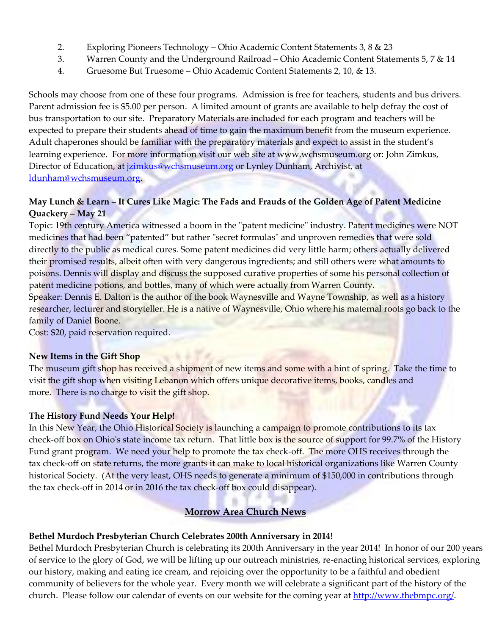- 2. Exploring Pioneers Technology Ohio Academic Content Statements 3, 8 & 23
- 3. Warren County and the Underground Railroad Ohio Academic Content Statements 5, 7 & 14
- 4. Gruesome But Truesome Ohio Academic Content Statements 2, 10, & 13.

Schools may choose from one of these four programs. Admission is free for teachers, students and bus drivers. Parent admission fee is \$5.00 per person. A limited amount of grants are available to help defray the cost of bus transportation to our site. Preparatory Materials are included for each program and teachers will be expected to prepare their students ahead of time to gain the maximum benefit from the museum experience. Adult chaperones should be familiar with the preparatory materials and expect to assist in the student's learning experience. For more information visit our web site at www.wchsmuseum.org or: John Zimkus, Director of Education, at *jzimkus@wchsmuseum.org* or Lynley Dunham, Archivist, at [ldunham@wchsmuseum.org.](mailto:ldunham@wchsmuseum.org)

## **May Lunch & Learn – It Cures Like Magic: The Fads and Frauds of the Golden Age of Patent Medicine Quackery – May 21**

Topic: 19th century America witnessed a boom in the "patent medicine" industry. Patent medicines were NOT medicines that had been "patented" but rather "secret formulas" and unproven remedies that were sold directly to the public as medical cures. Some patent medicines did very little harm; others actually delivered their promised results, albeit often with very dangerous ingredients; and still others were what amounts to poisons. Dennis will display and discuss the supposed curative properties of some his personal collection of patent medicine potions, and bottles, many of which were actually from Warren County.

Speaker: Dennis E. Dalton is the author of the book Waynesville and Wayne Township, as well as a history researcher, lecturer and storyteller. He is a native of Waynesville, Ohio where his maternal roots go back to the family of Daniel Boone.

Cost: \$20, paid reservation required.

#### **New Items in the Gift Shop**

The museum gift shop has received a shipment of new items and some with a hint of spring. Take the time to visit the gift shop when visiting Lebanon which offers unique decorative items, books, candles and more. There is no charge to visit the gift shop.

#### **The History Fund Needs Your Help!**

In this New Year, the Ohio Historical Society is launching a campaign to promote contributions to its tax check-off box on Ohio's state income tax return. That little box is the source of support for 99.7% of the History Fund grant program. We need your help to promote the tax check-off. The more OHS receives through the tax check-off on state returns, the more grants it can make to local historical organizations like Warren County historical Society. (At the very least, OHS needs to generate a minimum of \$150,000 in contributions through the tax check-off in 2014 or in 2016 the tax check-off box could disappear).

# **Morrow Area Church News**

#### **Bethel Murdoch Presbyterian Church Celebrates 200th Anniversary in 2014!**

Bethel Murdoch Presbyterian Church is celebrating its 200th Anniversary in the year 2014! In honor of our 200 years of service to the glory of God, we will be lifting up our outreach ministries, re-enacting historical services, exploring our history, making and eating ice cream, and rejoicing over the opportunity to be a faithful and obedient community of believers for the whole year. Every month we will celebrate a significant part of the history of the church. Please follow our calendar of events on our website for the coming year at [http://www.thebmpc.org/.](http://www.thebmpc.org/)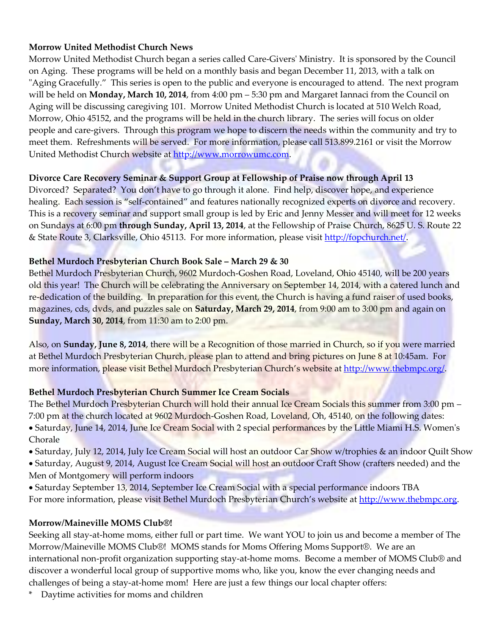#### **Morrow United Methodist Church News**

Morrow United Methodist Church began a series called Care-Givers' Ministry. It is sponsored by the Council on Aging. These programs will be held on a monthly basis and began December 11, 2013, with a talk on "Aging Gracefully." This series is open to the public and everyone is encouraged to attend. The next program will be held on **Monday, March 10, 2014**, from 4:00 pm – 5:30 pm and Margaret Iannaci from the Council on Aging will be discussing caregiving 101. Morrow United Methodist Church is located at 510 Welch Road, Morrow, Ohio 45152, and the programs will be held in the church library. The series will focus on older people and care-givers. Through this program we hope to discern the needs within the community and try to meet them. Refreshments will be served. For more information, please call 513.899.2161 or visit the Morrow United Methodist Church website at [http://www.morrowumc.com.](http://www.morrowumc.com/)

#### **Divorce Care Recovery Seminar & Support Group at Fellowship of Praise now through April 13**

Divorced? Separated? You don't have to go through it alone. Find help, discover hope, and experience healing. Each session is "self-contained" and features nationally recognized experts on divorce and recovery. This is a recovery seminar and support small group is led by Eric and Jenny Messer and will meet for 12 weeks on Sundays at 6:00 pm **through Sunday, April 13, 2014**, at the Fellowship of Praise Church, 8625 U. S. Route 22 & State Route 3, Clarksville, Ohio 45113. For more information, please visit [http://fopchurch.net/.](http://fopchurch.net/)

#### **Bethel Murdoch Presbyterian Church Book Sale – March 29 & 30**

Bethel Murdoch Presbyterian Church, 9602 Murdoch-Goshen Road, Loveland, Ohio 45140, will be 200 years old this year! The Church will be celebrating the Anniversary on September 14, 2014, with a catered lunch and re-dedication of the building. In preparation for this event, the Church is having a fund raiser of used books, magazines, cds, dvds, and puzzles sale on **Saturday, March 29, 2014**, from 9:00 am to 3:00 pm and again on **Sunday, March 30, 2014**, from 11:30 am to 2:00 pm.

Also, on **Sunday, June 8, 2014**, there will be a Recognition of those married in Church, so if you were married at Bethel Murdoch Presbyterian Church, please plan to attend and bring pictures on June 8 at 10:45am. For more information, please visit Bethel Murdoch Presbyterian Church's website at [http://www.thebmpc.org/.](http://www.thebmpc.org/)

#### **Bethel Murdoch Presbyterian Church Summer Ice Cream Socials**

The Bethel Murdoch Presbyterian Church will hold their annual Ice Cream Socials this summer from 3:00 pm – 7:00 pm at the church located at 9602 Murdoch-Goshen Road, Loveland, Oh, 45140, on the following dates: • Saturday, June 14, 2014, June Ice Cream Social with 2 special performances by the Little Miami H.S. Women's Chorale

- Saturday, July 12, 2014, July Ice Cream Social will host an outdoor Car Show w/trophies & an indoor Quilt Show
- Saturday, August 9, 2014, August Ice Cream Social will host an outdoor Craft Show (crafters needed) and the
- Men of Montgomery will perform indoors
- Saturday September 13, 2014, September Ice Cream Social with a special performance indoors TBA For more information, please visit Bethel Murdoch Presbyterian Church's website at [http://www.thebmpc.org.](http://www.thebmpc.org/)

#### **Morrow/Maineville MOMS Club®!**

Seeking all stay-at-home moms, either full or part time. We want YOU to join us and become a member of The Morrow/Maineville MOMS Club®! MOMS stands for Moms Offering Moms Support®. We are an international non-profit organization supporting stay-at-home moms. Become a member of MOMS Club® and discover a wonderful local group of supportive moms who, like you, know the ever changing needs and challenges of being a stay-at-home mom! Here are just a few things our local chapter offers:

\* Daytime activities for moms and children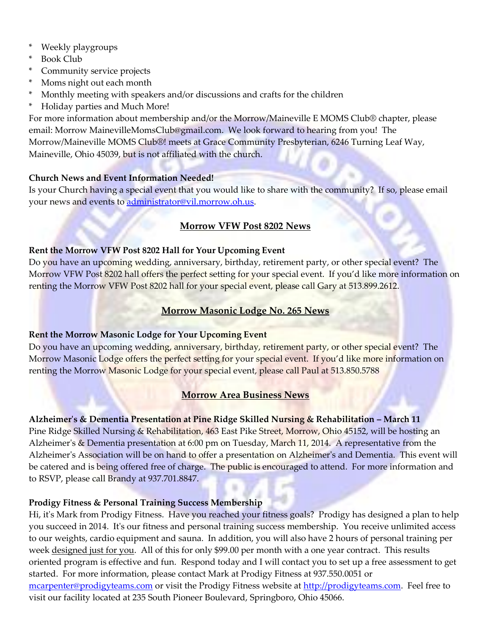- Weekly playgroups
- \* Book Club
- \* Community service projects
- \* Moms night out each month
- \* Monthly meeting with speakers and/or discussions and crafts for the children
- \* Holiday parties and Much More!

For more information about membership and/or the Morrow/Maineville E MOMS Club® chapter, please email: Morrow [MainevilleMomsClub@gmail.com.](mailto:MainevilleMomsClub@gmail.com) We look forward to hearing from you! The Morrow/Maineville MOMS Club®! meets at Grace Community Presbyterian, 6246 Turning Leaf Way, Maineville, Ohio 45039, but is not affiliated with the church.

# **Church News and Event Information Needed!**

Is your Church having a special event that you would like to share with the community? If so, please email your news and events to [administrator@vil.morrow.oh.us.](mailto:administrator@vil.morrow.oh.us)

# **Morrow VFW Post 8202 News**

# **Rent the Morrow VFW Post 8202 Hall for Your Upcoming Event**

Do you have an upcoming wedding, anniversary, birthday, retirement party, or other special event? The Morrow VFW Post 8202 hall offers the perfect setting for your special event. If you'd like more information on renting the Morrow VFW Post 8202 hall for your special event, please call Gary at 513.899.2612.

# **Morrow Masonic Lodge No. 265 News**

# **Rent the Morrow Masonic Lodge for Your Upcoming Event**

Do you have an upcoming wedding, anniversary, birthday, retirement party, or other special event? The Morrow Masonic Lodge offers the perfect setting for your special event. If you'd like more information on renting the Morrow Masonic Lodge for your special event, please call Paul at 513.850.5788

# **Morrow Area Business News**

# **Alzheimer's & Dementia Presentation at Pine Ridge Skilled Nursing & Rehabilitation – March 11**

Pine Ridge Skilled Nursing & Rehabilitation, 463 East Pike Street, Morrow, Ohio 45152, will be hosting an Alzheimer's & Dementia presentation at 6:00 pm on Tuesday, March 11, 2014. A representative from the Alzheimer's Association will be on hand to offer a presentation on Alzheimer's and Dementia. This event will be catered and is being offered free of charge. The public is encouraged to attend. For more information and to RSVP, please call Brandy at 937.701.8847.

# **Prodigy Fitness & Personal Training Success Membership**

Hi, it's Mark from Prodigy Fitness. Have you reached your fitness goals? Prodigy has designed a plan to help you succeed in 2014. It's our fitness and personal training success membership. You receive unlimited access to our weights, cardio equipment and sauna. In addition, you will also have 2 hours of personal training per week designed just for you. All of this for only \$99.00 per month with a one year contract. This results oriented program is effective and fun. Respond today and I will contact you to set up a free assessment to get started. For more information, please contact Mark at Prodigy Fitness at 937.550.0051 or [mcarpenter@prodigyteams.com](mailto:mcarpenter@prodigyteams.com) or visit the Prodigy Fitness website at [http://prodigyteams.com.](http://prodigyteams.com/) Feel free to visit our facility located at 235 South Pioneer Boulevard, Springboro, Ohio 45066.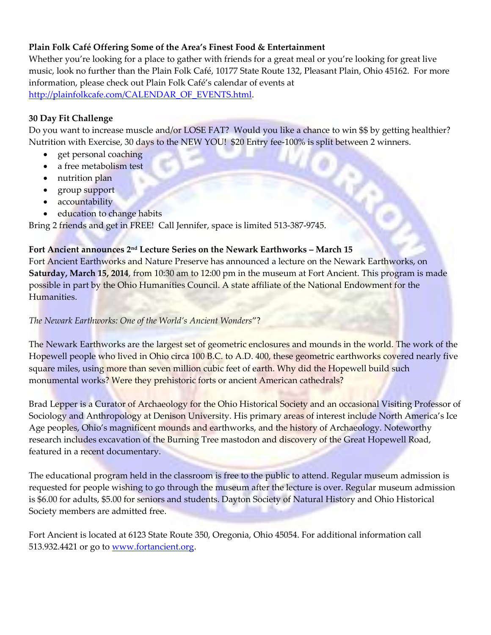## **Plain Folk Café Offering Some of the Area's Finest Food & Entertainment**

Whether you're looking for a place to gather with friends for a great meal or you're looking for great live music, look no further than the Plain Folk Café, 10177 State Route 132, Pleasant Plain, Ohio 45162. For more information, please check out Plain Folk Café's calendar of events at [http://plainfolkcafe.com/CALENDAR\\_OF\\_EVENTS.html.](http://plainfolkcafe.com/CALENDAR_OF_EVENTS.html)

#### **30 Day Fit Challenge**

Do you want to increase muscle and/or LOSE FAT? Would you like a chance to win \$\$ by getting healthier? Nutrition with Exercise, 30 days to the NEW YOU! \$20 Entry fee-100% is split between 2 winners.

- get personal coaching
- a free metabolism test
- nutrition plan
- group support
- accountability
- education to change habits

Bring 2 friends and get in FREE! Call Jennifer, space is limited 513-387-9745.

#### **Fort Ancient announces 2nd Lecture Series on the Newark Earthworks – March 15**

Fort Ancient Earthworks and Nature Preserve has announced a lecture on the Newark Earthworks, on **Saturday, March 15, 2014**, from 10:30 am to 12:00 pm in the museum at Fort Ancient. This program is made possible in part by the Ohio Humanities Council. A state affiliate of the National Endowment for the Humanities.

#### *The Newark Earthworks: One of the World's Ancient Wonders*"?

The Newark Earthworks are the largest set of geometric enclosures and mounds in the world. The work of the Hopewell people who lived in Ohio circa 100 B.C. to A.D. 400, these geometric earthworks covered nearly five square miles, using more than seven million cubic feet of earth. Why did the Hopewell build such monumental works? Were they prehistoric forts or ancient American cathedrals?

Brad Lepper is a Curator of Archaeology for the Ohio Historical Society and an occasional Visiting Professor of Sociology and Anthropology at Denison University. His primary areas of interest include North America's Ice Age peoples, Ohio's magnificent mounds and earthworks, and the history of Archaeology. Noteworthy research includes excavation of the Burning Tree mastodon and discovery of the Great Hopewell Road, featured in a recent documentary.

The educational program held in the classroom is free to the public to attend. Regular museum admission is requested for people wishing to go through the museum after the lecture is over. Regular museum admission is \$6.00 for adults, \$5.00 for seniors and students. Dayton Society of Natural History and Ohio Historical Society members are admitted free.

Fort Ancient is located at 6123 State Route 350, Oregonia, Ohio 45054. For additional information call 513.932.4421 or go to [www.fortancient.org.](http://www.fortancient.org/)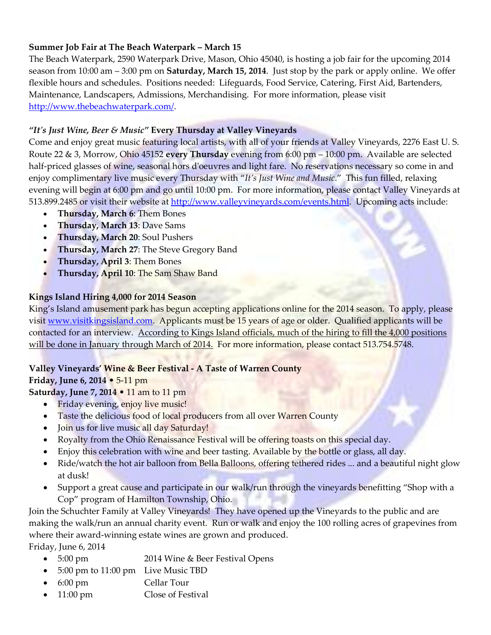## **Summer Job Fair at The Beach Waterpark – March 15**

The Beach Waterpark, 2590 Waterpark Drive, Mason, Ohio 45040, is hosting a job fair for the upcoming 2014 season from 10:00 am – 3:00 pm on **Saturday, March 15, 2014**. Just stop by the park or apply online. We offer flexible hours and schedules. Positions needed: Lifeguards, Food Service, Catering, First Aid, Bartenders, Maintenance, Landscapers, Admissions, Merchandising. For more information, please visit [http://www.thebeachwaterpark.com/.](http://www.thebeachwaterpark.com/)

#### *"It's Just Wine, Beer & Music"* **Every Thursday at Valley Vineyards**

Come and enjoy great music featuring local artists, with all of your friends at Valley Vineyards, 2276 East U. S. Route 22 & 3, Morrow, Ohio 45152 **every Thursday** evening from 6:00 pm – 10:00 pm. Available are selected half-priced glasses of wine, seasonal hors d'oeuvres and light fare. No reservations necessary so come in and enjoy complimentary live music every Thursday with "*It's Just Wine and Music*." This fun filled, relaxing evening will begin at 6:00 pm and go until 10:00 pm. For more information, please contact Valley Vineyards at 513.899.2485 or visit their website at [http://www.valleyvineyards.com/events.html.](http://www.valleyvineyards.com/events.html) Upcoming acts include:

- **Thursday, March 6**: Them Bones
- **Thursday, March 13**: Dave Sams
- **Thursday, March 20**: Soul Pushers
- **Thursday, March 27: The Steve Gregory Band**
- **Thursday, April 3**: Them Bones
- **Thursday, April 10**: The Sam Shaw Band

#### **Kings Island Hiring 4,000 for 2014 Season**

King's Island amusement park has begun accepting applications online for the 2014 season. To apply, please visit [www.visitkingsisland.com.](http://www.visitkingsisland.com/) Applicants must be 15 years of age or older. Qualified applicants will be contacted for an interview. According to Kings Island officials, much of the hiring to fill the 4,000 positions will be done in January through March of 2014. For more information, please contact 513.754.5748.

# **Valley Vineyards' Wine & Beer Festival - A Taste of Warren County**

#### **Friday, June 6, 2014** • 5-11 pm

**Saturday, June 7, 2014** • 11 am to 11 pm

- Friday evening, enjoy live music!
- Taste the delicious food of local producers from all over Warren County
- Join us for live music all day Saturday!
- Royalty from the Ohio Renaissance Festival will be offering toasts on this special day.
- Enjoy this celebration with wine and beer tasting. Available by the bottle or glass, all day.
- Ride/watch the hot air balloon from Bella Balloons, offering tethered rides ... and a beautiful night glow at dusk!
- Support a great cause and participate in our walk/run through the vineyards benefitting "Shop with a Cop" program of Hamilton Township, Ohio.

Join the Schuchter Family at Valley Vineyards! They have opened up the Vineyards to the public and are making the walk/run an annual charity event. Run or walk and enjoy the 100 rolling acres of grapevines from where their award-winning estate wines are grown and produced.

Friday, June 6, 2014

- 5:00 pm 2014 Wine & Beer Festival Opens
- 5:00 pm to 11:00 pm Live Music TBD
- 6:00 pm Cellar Tour
- 11:00 pm Close of Festival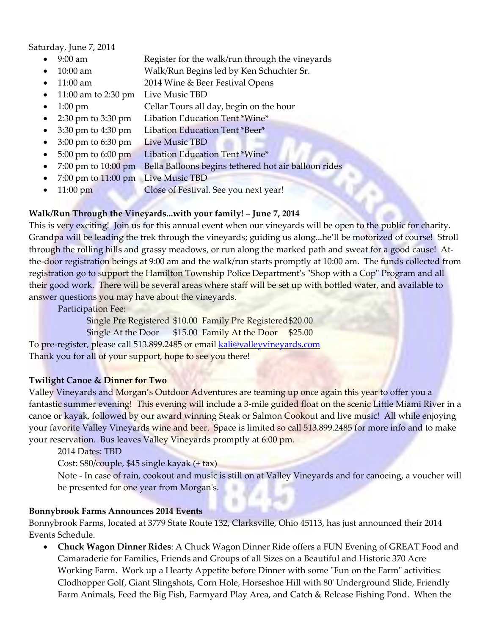Saturday, June 7, 2014

- 9:00 am Register for the walk/run through the vineyards
	- 10:00 am Walk/Run Begins led by Ken Schuchter Sr.
- 11:00 am 2014 Wine & Beer Festival Opens
- 11:00 am to 2:30 pm Live Music TBD
- 1:00 pm **Cellar Tours all day, begin on the hour**
- 2:30 pm to 3:30 pm Libation Education Tent \*Wine\*
- 3:30 pm to 4:30 pm Libation Education Tent \*Beer\*
- 3:00 pm to 6:30 pm Live Music TBD
- 5:00 pm to 6:00 pm Libation Education Tent \*Wine\*
- 7:00 pm to 10:00 pm Bella Balloons begins tethered hot air balloon rides
- 7:00 pm to 11:00 pm Live Music TBD
- 11:00 pm Close of Festival. See you next year!

#### **Walk/Run Through the Vineyards...with your family! – June 7, 2014**

This is very exciting! Join us for this annual event when our vineyards will be open to the public for charity. Grandpa will be leading the trek through the vineyards; guiding us along...he'll be motorized of course! Stroll through the rolling hills and grassy meadows, or run along the marked path and sweat for a good cause! Atthe-door registration beings at 9:00 am and the walk/run starts promptly at 10:00 am. The funds collected from registration go to support the Hamilton Township Police Department's "Shop with a Cop" Program and all their good work. There will be several areas where staff will be set up with bottled water, and available to answer questions you may have about the vineyards.

Participation Fee:

Single Pre Registered \$10.00 Family Pre Registered\$20.00

Single At the Door \$15.00 Family At the Door \$25.00

To pre-register, please call 513.899.2485 or email [kali@valleyvineyards.com](mailto:kali@valleyvineyards.com) Thank you for all of your support, hope to see you there!

#### **Twilight Canoe & Dinner for Two**

Valley Vineyards and Morgan's Outdoor Adventures are teaming up once again this year to offer you a fantastic summer evening! This evening will include a 3-mile guided float on the scenic Little Miami River in a canoe or kayak, followed by our award winning Steak or Salmon Cookout and live music! All while enjoying your favorite Valley Vineyards wine and beer. Space is limited so call 513.899.2485 for more info and to make your reservation. Bus leaves Valley Vineyards promptly at 6:00 pm.

2014 Dates: TBD

Cost: \$80/couple, \$45 single kayak (+ tax)

Note - In case of rain, cookout and music is still on at Valley Vineyards and for canoeing, a voucher will be presented for one year from Morgan's.

#### **Bonnybrook Farms Announces 2014 Events**

Bonnybrook Farms, located at 3779 State Route 132, Clarksville, Ohio 45113, has just announced their 2014 Events Schedule.

 **Chuck Wagon Dinner Rides**: A Chuck Wagon Dinner Ride offers a FUN Evening of GREAT Food and Camaraderie for Families, Friends and Groups of all Sizes on a Beautiful and Historic 370 Acre Working Farm. Work up a Hearty Appetite before Dinner with some "Fun on the Farm" activities: Clodhopper Golf, Giant Slingshots, Corn Hole, Horseshoe Hill with 80' Underground Slide, Friendly Farm Animals, Feed the Big Fish, Farmyard Play Area, and Catch & Release Fishing Pond. When the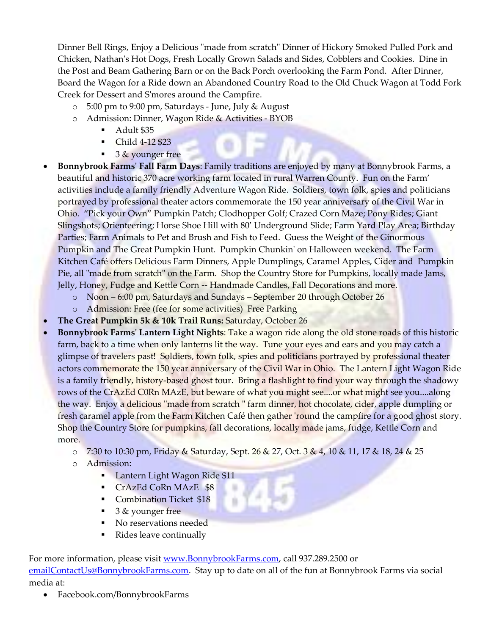Dinner Bell Rings, Enjoy a Delicious "made from scratch" Dinner of Hickory Smoked Pulled Pork and Chicken, Nathan's Hot Dogs, Fresh Locally Grown Salads and Sides, Cobblers and Cookies. Dine in the Post and Beam Gathering Barn or on the Back Porch overlooking the Farm Pond. After Dinner, Board the Wagon for a Ride down an Abandoned Country Road to the Old Chuck Wagon at Todd Fork Creek for Dessert and S'mores around the Campfire.

- o 5:00 pm to 9:00 pm, Saturdays June, July & August
- o Admission: Dinner, Wagon Ride & Activities BYOB
	- Adult \$35
	- Child 4-12 \$23
	- $\overline{\phantom{a}}$  3 & younger free
- **Bonnybrook Farms' Fall Farm Days**: Family traditions are enjoyed by many at Bonnybrook Farms, a beautiful and historic 370 acre working farm located in rural Warren County. Fun on the Farm' activities include a family friendly Adventure Wagon Ride. Soldiers, town folk, spies and politicians portrayed by professional theater actors commemorate the 150 year anniversary of the Civil War in Ohio. "Pick your Own" Pumpkin Patch; Clodhopper Golf; Crazed Corn Maze; Pony Rides; Giant Slingshots; Orienteering; Horse Shoe Hill with 80' Underground Slide; Farm Yard Play Area; Birthday Parties; Farm Animals to Pet and Brush and Fish to Feed. Guess the Weight of the Ginormous Pumpkin and The Great Pumpkin Hunt. Pumpkin Chunkin' on Halloween weekend. The Farm Kitchen Café offers Delicious Farm Dinners, Apple Dumplings, Caramel Apples, Cider and Pumpkin Pie, all "made from scratch" on the Farm. Shop the Country Store for Pumpkins, locally made Jams, Jelly, Honey, Fudge and Kettle Corn -- Handmade Candles, Fall Decorations and more.
	- o Noon 6:00 pm, Saturdays and Sundays September 20 through October 26
	- o Admission: Free (fee for some activities) Free Parking
- **The Great Pumpkin 5k & 10k Trail Runs:** Saturday, October 26
- **Bonnybrook Farms' Lantern Light Nights**: Take a wagon ride along the old stone roads of this historic farm, back to a time when only lanterns lit the way. Tune your eyes and ears and you may catch a glimpse of travelers past! Soldiers, town folk, spies and politicians portrayed by professional theater actors commemorate the 150 year anniversary of the Civil War in Ohio. The Lantern Light Wagon Ride is a family friendly, history-based ghost tour. Bring a flashlight to find your way through the shadowy rows of the CrAzEd C0Rn MAzE, but beware of what you might see....or what might see you....along the way. Enjoy a delicious "made from scratch " farm dinner, hot chocolate, cider, apple dumpling or fresh caramel apple from the Farm Kitchen Café then gather 'round the campfire for a good ghost story. Shop the Country Store for pumpkins, fall decorations, locally made jams, fudge, Kettle Corn and more.
	- o 7:30 to 10:30 pm, Friday & Saturday, Sept. 26 & 27, Oct. 3 & 4, 10 & 11, 17 & 18, 24 & 25
	- o Admission:
		- **Lantern Light Wagon Ride \$11**
		- CrAzEd CoRn MAzE \$8
		- **Combination Ticket \$18**
		- 3 & younger free
		- No reservations needed
		- Rides leave continually

For more information, please visit [www.BonnybrookFarms.com,](http://www.bonnybrookfarms.com/) call 937.289.2500 or [emailContactUs@BonnybrookFarms.com.](mailto:emailContactUs@BonnybrookFarms.com) Stay up to date on all of the fun at Bonnybrook Farms via social media at:

Facebook.com/BonnybrookFarms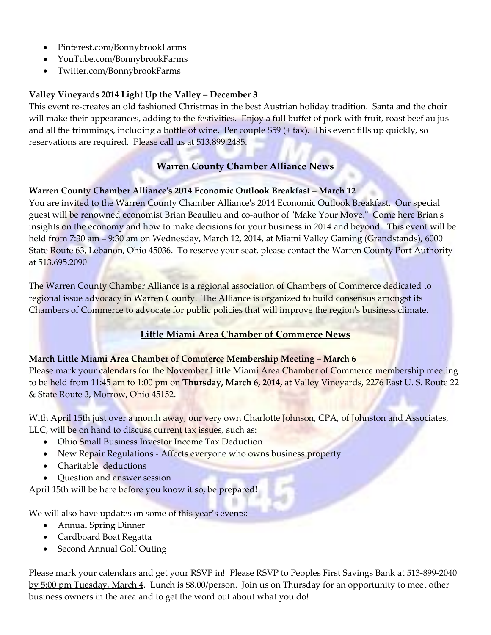- Pinterest.com/BonnybrookFarms
- YouTube.com/BonnybrookFarms
- Twitter.com/BonnybrookFarms

# **Valley Vineyards 2014 Light Up the Valley – December 3**

This event re-creates an old fashioned Christmas in the best Austrian holiday tradition. Santa and the choir will make their appearances, adding to the festivities. Enjoy a full buffet of pork with fruit, roast beef au jus and all the trimmings, including a bottle of wine. Per couple \$59 (+ tax). This event fills up quickly, so reservations are required. Please call us at 513.899.2485.

## **Warren County Chamber Alliance News**

#### **Warren County Chamber Alliance's 2014 Economic Outlook Breakfast – March 12**

You are invited to the Warren County Chamber Alliance's 2014 Economic Outlook Breakfast. Our special guest will be renowned economist Brian Beaulieu and co-author of "Make Your Move." Come here Brian's insights on the economy and how to make decisions for your business in 2014 and beyond. This event will be held from 7:30 am – 9:30 am on Wednesday, March 12, 2014, at Miami Valley Gaming (Grandstands), 6000 State Route 63, Lebanon, Ohio 45036. To reserve your seat, please contact the Warren County Port Authority at 513.695.2090

The Warren County Chamber Alliance is a regional association of Chambers of Commerce dedicated to regional issue advocacy in Warren County. The Alliance is organized to build consensus amongst its Chambers of Commerce to advocate for public policies that will improve the region's business climate.

# **Little Miami Area Chamber of Commerce News**

#### **March Little Miami Area Chamber of Commerce Membership Meeting – March 6**

Please mark your calendars for the November Little Miami Area Chamber of Commerce membership meeting to be held from 11:45 am to 1:00 pm on **Thursday, March 6, 2014,** at Valley Vineyards, 2276 East U. S. Route 22 & State Route 3, Morrow, Ohio 45152.

With April 15th just over a month away, our very own Charlotte Johnson, CPA, of Johnston and Associates, LLC, will be on hand to discuss current tax issues, such as:

- Ohio Small Business Investor Income Tax Deduction
- New Repair Regulations Affects everyone who owns business property
- Charitable deductions
- Ouestion and answer session

April 15th will be here before you know it so, be prepared!

We will also have updates on some of this year's events:

- Annual Spring Dinner
- Cardboard Boat Regatta
- Second Annual Golf Outing

Please mark your calendars and get your RSVP in! Please RSVP to Peoples First Savings Bank at 513-899-2040 by 5:00 pm Tuesday, March 4. Lunch is \$8.00/person. Join us on Thursday for an opportunity to meet other business owners in the area and to get the word out about what you do!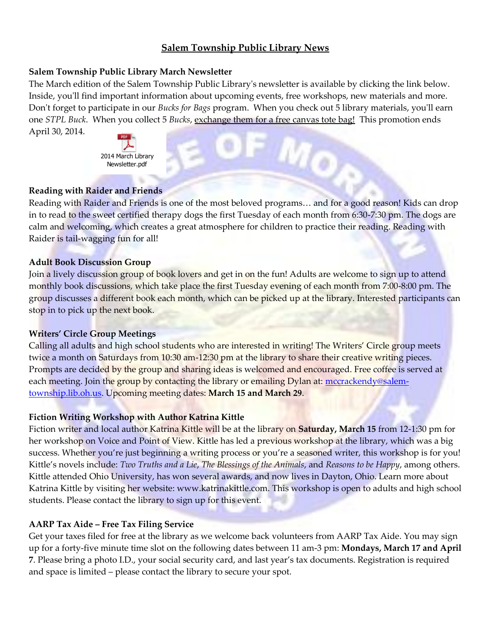## **Salem Township Public Library News**

#### **Salem Township Public Library March Newsletter**

The March edition of the Salem Township Public Library's newsletter is available by clicking the link below. Inside, you'll find important information about upcoming events, free workshops, new materials and more. Don't forget to participate in our *Bucks for Bags* program. When you check out 5 library materials, you'll earn one *STPL Buck*. When you collect 5 *Bucks*, exchange them for a free canvas tote bag! This promotion ends April 30, 2014.



#### **Reading with Raider and Friends**

Reading with Raider and Friends is one of the most beloved programs… and for a good reason! Kids can drop in to read to the sweet certified therapy dogs the first Tuesday of each month from 6:30-7:30 pm. The dogs are calm and welcoming, which creates a great atmosphere for children to practice their reading. Reading with Raider is tail-wagging fun for all!

#### **Adult Book Discussion Group**

Join a lively discussion group of book lovers and get in on the fun! Adults are welcome to sign up to attend monthly book discussions, which take place the first Tuesday evening of each month from 7:00-8:00 pm. The group discusses a different book each month, which can be picked up at the library. Interested participants can stop in to pick up the next book.

#### **Writers' Circle Group Meetings**

Calling all adults and high school students who are interested in writing! The Writers' Circle group meets twice a month on Saturdays from 10:30 am-12:30 pm at the library to share their creative writing pieces. Prompts are decided by the group and sharing ideas is welcomed and encouraged. Free coffee is served at each meeting. Join the group by contacting the library or emailing Dylan at: [mccrackendy@salem](mailto:mccrackendy@salem-township.lib.oh.us)[township.lib.oh.us.](mailto:mccrackendy@salem-township.lib.oh.us) Upcoming meeting dates: **March 15 and March 29**.

#### **Fiction Writing Workshop with Author Katrina Kittle**

Fiction writer and local author Katrina Kittle will be at the library on **Saturday, March 15** from 12-1:30 pm for her workshop on Voice and Point of View. Kittle has led a previous workshop at the library, which was a big success. Whether you're just beginning a writing process or you're a seasoned writer, this workshop is for you! Kittle's novels include: *Two Truths and a Lie*, *The Blessings of the Animals*, and *Reasons to be Happy*, among others. Kittle attended Ohio University, has won several awards, and now lives in Dayton, Ohio. Learn more about Katrina Kittle by visiting her website: www.katrinakittle.com. This workshop is open to adults and high school students. Please contact the library to sign up for this event.

#### **AARP Tax Aide – Free Tax Filing Service**

Get your taxes filed for free at the library as we welcome back volunteers from AARP Tax Aide. You may sign up for a forty-five minute time slot on the following dates between 11 am-3 pm: **Mondays, March 17 and April 7**. Please bring a photo I.D., your social security card, and last year's tax documents. Registration is required and space is limited – please contact the library to secure your spot.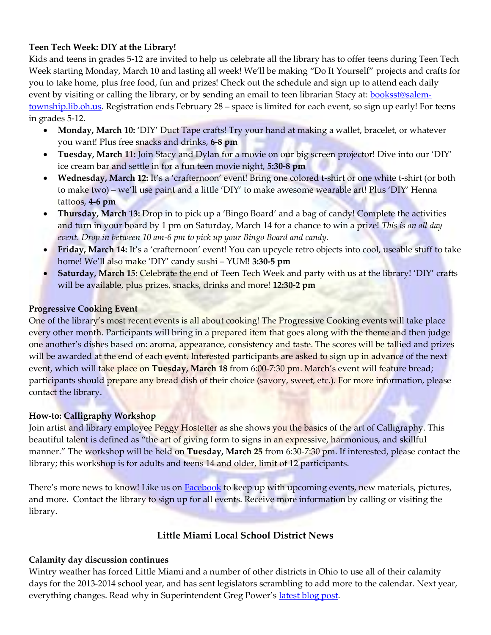#### **Teen Tech Week: DIY at the Library!**

Kids and teens in grades 5-12 are invited to help us celebrate all the library has to offer teens during Teen Tech Week starting Monday, March 10 and lasting all week! We'll be making "Do It Yourself" projects and crafts for you to take home, plus free food, fun and prizes! Check out the schedule and sign up to attend each daily event by visiting or calling the library, or by sending an email to teen librarian Stacy at: [booksst@salem](mailto:booksst@salem-township.lib.oh.us)[township.lib.oh.us.](mailto:booksst@salem-township.lib.oh.us) Registration ends February 28 – space is limited for each event, so sign up early! For teens in grades 5-12.

- **Monday, March 10:** 'DIY' Duct Tape crafts! Try your hand at making a wallet, bracelet, or whatever you want! Plus free snacks and drinks, **6-8 pm**
- **Tuesday, March 11:** Join Stacy and Dylan for a movie on our big screen projector! Dive into our 'DIY' ice cream bar and settle in for a fun teen movie night, **5:30-8 pm**
- **Wednesday, March 12:** It's a 'crafternoon' event! Bring one colored t-shirt or one white t-shirt (or both to make two) – we'll use paint and a little 'DIY' to make awesome wearable art! Plus 'DIY' Henna tattoos, **4-6 pm**
- **Thursday, March 13:** Drop in to pick up a 'Bingo Board' and a bag of candy! Complete the activities and turn in your board by 1 pm on Saturday, March 14 for a chance to win a prize! *This is an all day event. Drop in between 10 am-6 pm to pick up your Bingo Board and candy.*
- **Friday, March 14:** It's a 'crafternoon' event! You can upcycle retro objects into cool, useable stuff to take home! We'll also make 'DIY' candy sushi – YUM! **3:30-5 pm**
- **Saturday, March 15:** Celebrate the end of Teen Tech Week and party with us at the library! 'DIY' crafts will be available, plus prizes, snacks, drinks and more! **12:30-2 pm**

#### **Progressive Cooking Event**

One of the library's most recent events is all about cooking! The Progressive Cooking events will take place every other month. Participants will bring in a prepared item that goes along with the theme and then judge one another's dishes based on: aroma, appearance, consistency and taste. The scores will be tallied and prizes will be awarded at the end of each event. Interested participants are asked to sign up in advance of the next event, which will take place on **Tuesday, March 18** from 6:00-7:30 pm. March's event will feature bread; participants should prepare any bread dish of their choice (savory, sweet, etc.). For more information, please contact the library.

#### **How-to: Calligraphy Workshop**

Join artist and library employee Peggy Hostetter as she shows you the basics of the art of Calligraphy. This beautiful talent is defined as "the art of giving form to signs in an expressive, harmonious, and skillful manner." The workshop will be held on **Tuesday, March 25** from 6:30-7:30 pm. If interested, please contact the library; this workshop is for adults and teens 14 and older, limit of 12 participants.

There's more news to know! Like us on **[Facebook](https://www.facebook.com/SalemTownshipPublicLibrary)** to keep up with upcoming events, new materials, pictures, and more. Contact the library to sign up for all events. Receive more information by calling or visiting the library.

# **Little Miami Local School District News**

#### **Calamity day discussion continues**

Wintry weather has forced Little Miami and a number of other districts in Ohio to use all of their calamity days for the 2013-2014 school year, and has sent legislators scrambling to add more to the calendar. Next year, everything changes. Read why in Superintendent Greg Power's [latest blog post.](http://littlemiamisuper1.wordpress.com/)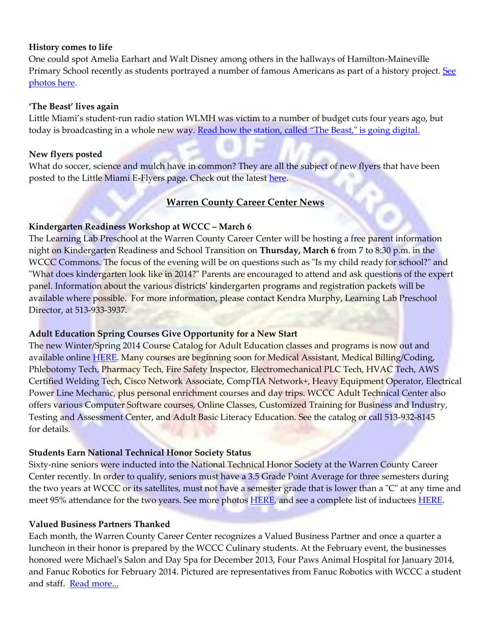#### **History comes to life**

One could spot Amelia Earhart and Walt Disney among others in the hallways of Hamilton-Maineville Primary School recently as students portrayed a number of famous Americans as part of a history project. See [photos here.](http://www.littlemiamischools.com/school_NewsArticle.aspx?artID=727&schoolID=10#sthash.XRQIWmOU.dpbs)

#### **'The Beast' lives again**

Little Miami's student-run radio station WLMH was victim to a number of budget cuts four years ago, but today is broadcasting in a whole new way. [Read how the station, called "The Beast," is going digital](http://www.littlemiamischools.com/school_NewsArticle.aspx?artID=728&schoolID=1#sthash.etbxuRig.dpbs).

#### **New flyers posted**

What do soccer, science and mulch have in common? They are all the subject of new flyers that have been posted to the Little Miami E-Flyers page. Check out the latest [here.](http://www.littlemiamischools.com/content_page2.aspx?cid=188)

## **Warren County Career Center News**

#### **Kindergarten Readiness Workshop at WCCC – March 6**

The Learning Lab Preschool at the Warren County Career Center will be hosting a free parent information night on Kindergarten Readiness and School Transition on **Thursday, March 6** from 7 to 8:30 p.m. in the WCCC Commons. The focus of the evening will be on questions such as "Is my child ready for school?" and "What does kindergarten look like in 2014?" Parents are encouraged to attend and ask questions of the expert panel. Information about the various districts' kindergarten programs and registration packets will be available where possible. For more information, please contact Kendra Murphy, Learning Lab Preschool Director, at 513-933-3937.

#### **Adult Education Spring Courses Give Opportunity for a New Start**

The new Winter/Spring 2014 Course Catalog for Adult Education classes and programs is now out and available online [HERE.](http://r20.rs6.net/tn.jsp?f=001vXW1IooFRPr2Zg2wEMl9FJVPzmtMFb3H_KjuT-72niw5knZQJViasfy_QOdIujxiyzn4w75Tfgbu_4n788zPzmsDvbX54OYwo6X0LxcdPowRyzJJGaqoDRKUcquXlveLtGVOlTQit3M0xx4qWvk1SQVnHPK0EINQqU4bRqVxf9_sVaqTbz82lD8Lc3eZQa27fUcpIPd6Evo=&c=OyYQtVHlvQ2bwVaZodmcJyx-FMmonTYcAeWpujPtdMkhwTDkRLt7Qw==&ch=ECGPMR6Eb-J7m-IOtLgPBjRWePc0QYRy4w8o81Yqrs5JXWY9ZUPCsA==) Many courses are beginning soon for Medical Assistant, Medical Billing/Coding, Phlebotomy Tech, Pharmacy Tech, Fire Safety Inspector, Electromechanical PLC Tech, HVAC Tech, AWS Certified Welding Tech, Cisco Network Associate, CompTIA Network+, Heavy Equipment Operator, Electrical Power Line Mechanic, plus personal enrichment courses and day trips. WCCC Adult Technical Center also offers various Computer Software courses, Online Classes, Customized Training for Business and Industry, Testing and Assessment Center, and Adult Basic Literacy Education. See the catalog or call 513-932-8145 for details.

#### **Students Earn National Technical Honor Society Status**

Sixty-nine seniors were inducted into the National Technical Honor Society at the Warren County Career Center recently. In order to qualify, seniors must have a 3.5 Grade Point Average for three semesters during the two years at WCCC or its satellites, must not have a semester grade that is lower than a "C" at any time and meet 95% attendance for the two years. See more photos **HERE**, and see a complete list of inductees **HERE**.

#### **Valued Business Partners Thanked**

Each month, the Warren County Career Center recognizes a Valued Business Partner and once a quarter a luncheon in their honor is prepared by the WCCC Culinary students. At the February event, the businesses honored were Michael's Salon and Day Spa for December 2013, Four Paws Animal Hospital for January 2014, and Fanuc Robotics for February 2014. Pictured are representatives from Fanuc Robotics with WCCC a student and staff. [Read more...](http://r20.rs6.net/tn.jsp?f=001vXW1IooFRPr2Zg2wEMl9FJVPzmtMFb3H_KjuT-72niw5knZQJViasWxeJP55rsPqggPJ91gXJwXlhQG2dvTjt6AQVGWZrz7FSUZ8Ouh0CwJHC3wCc6iBMWat8q1WEAv9PjjzYEu3oHrep4O2EHC1RIX2quyIxLuVx_kYfefg2kuRxQoTAm1hSDVifrrv4QkVrnzatBU9h_npSrVONPsAHm9AO4dZT4QhDM3-TnOORbwF5-6MiCz1Gg==&c=OyYQtVHlvQ2bwVaZodmcJyx-FMmonTYcAeWpujPtdMkhwTDkRLt7Qw==&ch=ECGPMR6Eb-J7m-IOtLgPBjRWePc0QYRy4w8o81Yqrs5JXWY9ZUPCsA==)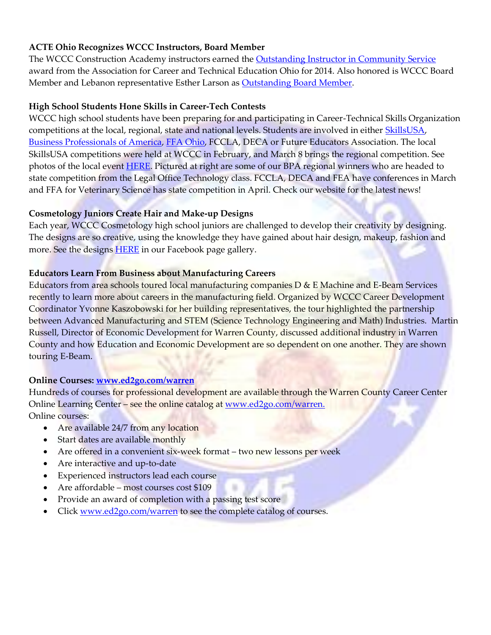## **ACTE Ohio Recognizes WCCC Instructors, Board Member**

The WCCC Construction Academy instructors earned the **Outstanding Instructor in Community Service** award from the Association for Career and Technical Education Ohio for 2014. Also honored is WCCC Board Member and Lebanon representative Esther Larson as **Outstanding Board Member**.

#### **High School Students Hone Skills in Career-Tech Contests**

WCCC high school students have been preparing for and participating in Career-Technical Skills Organization competitions at the local, regional, state and national levels. Students are involved in either [SkillsUSA,](http://r20.rs6.net/tn.jsp?f=001vXW1IooFRPr2Zg2wEMl9FJVPzmtMFb3H_KjuT-72niw5knZQJViasWxeJP55rsPqjRxWvDgDfvkCLoNeS70u9hg6RVgUzU6nBBv4jen7wGKXKEIbHS9q4J8amgClESPk-XBDre-HWYk1SX0IAiICUv-KM9CUmUFsHU61nag_uBPnb-k-Q8NoDeQdqUbUADDifAwdRuPfbUalDvOwq9KaVQ==&c=OyYQtVHlvQ2bwVaZodmcJyx-FMmonTYcAeWpujPtdMkhwTDkRLt7Qw==&ch=ECGPMR6Eb-J7m-IOtLgPBjRWePc0QYRy4w8o81Yqrs5JXWY9ZUPCsA==) [Business Professionals of America,](http://r20.rs6.net/tn.jsp?f=001vXW1IooFRPr2Zg2wEMl9FJVPzmtMFb3H_KjuT-72niw5knZQJViasWxeJP55rsPqAu6D3ySV2WPcV185thisZ0SgsbS3ZdSpXYUAFVxM6xvAHThQDhHdNoZZapzC93jQCG5p2Xsz8CLDx0ywknBpojLknIVCQPaaN1j_7zaNl16VDMTm5EbeqJ9OAAgKJJqyT5AcHbhPN9MaGDuZenEVLHqNFoZlIbFjpo6F1n-kher7IY7m6Z_-qg==&c=OyYQtVHlvQ2bwVaZodmcJyx-FMmonTYcAeWpujPtdMkhwTDkRLt7Qw==&ch=ECGPMR6Eb-J7m-IOtLgPBjRWePc0QYRy4w8o81Yqrs5JXWY9ZUPCsA==) [FFA Ohio,](http://r20.rs6.net/tn.jsp?f=001vXW1IooFRPr2Zg2wEMl9FJVPzmtMFb3H_KjuT-72niw5knZQJViasWxeJP55rsPqssR1N0ekw4rG3fOamfHgEBrbMCHSIthGnPs3wtu82PANIqWDfU4Ud4Tw2gkVaVXXdIfxj46NsY6i52OQBxM1KARTqEoLEr0HRR2JaeptuWyAyiawRVmhBIMVKuFxCp3FmRI1TOxDv1IdTQhv89Ylw_1vG3ki_iccLErZHN4xLXkALpuSDs2A7g==&c=OyYQtVHlvQ2bwVaZodmcJyx-FMmonTYcAeWpujPtdMkhwTDkRLt7Qw==&ch=ECGPMR6Eb-J7m-IOtLgPBjRWePc0QYRy4w8o81Yqrs5JXWY9ZUPCsA==) FCCLA, DECA or Future Educators Association. The local SkillsUSA competitions were held at WCCC in February, and March 8 brings the regional competition. See photos of the local event [HERE.](http://r20.rs6.net/tn.jsp?f=001vXW1IooFRPr2Zg2wEMl9FJVPzmtMFb3H_KjuT-72niw5knZQJViasWxeJP55rsPqjRxWvDgDfvkCLoNeS70u9hg6RVgUzU6nBBv4jen7wGKXKEIbHS9q4J8amgClESPk-XBDre-HWYk1SX0IAiICUv-KM9CUmUFsHU61nag_uBPnb-k-Q8NoDeQdqUbUADDifAwdRuPfbUalDvOwq9KaVQ==&c=OyYQtVHlvQ2bwVaZodmcJyx-FMmonTYcAeWpujPtdMkhwTDkRLt7Qw==&ch=ECGPMR6Eb-J7m-IOtLgPBjRWePc0QYRy4w8o81Yqrs5JXWY9ZUPCsA==) Pictured at right are some of our BPA regional winners who are headed to state competition from the Legal Office Technology class. FCCLA, DECA and FEA have conferences in March and FFA for Veterinary Science has state competition in April. Check our website for the latest news!

#### **Cosmetology Juniors Create Hair and Make-up Designs**

Each year, WCCC Cosmetology high school juniors are challenged to develop their creativity by designing. The designs are so creative, using the knowledge they have gained about hair design, makeup, fashion and more. See the designs **HERE** in our Facebook page gallery.

#### **Educators Learn From Business about Manufacturing Careers**

Educators from area schools toured local manufacturing companies D & E Machine and E-Beam Services recently to learn more about careers in the manufacturing field. Organized by WCCC Career Development Coordinator Yvonne Kaszobowski for her building representatives, the tour highlighted the partnership between Advanced Manufacturing and STEM (Science Technology Engineering and Math) Industries. Martin Russell, Director of Economic Development for Warren County, discussed additional industry in Warren County and how Education and Economic Development are so dependent on one another. They are shown touring E-Beam.

#### **Online Courses: [www.ed2go.com/warren](http://www.ed2go.com/warren)**

Hundreds of courses for professional development are available through the Warren County Career Center Online Learning Center – see the online catalog at [www.ed2go.com/warren.](http://www.ed2go.com/warren) Online courses:

- Are available 24/7 from any location
- Start dates are available monthly
- Are offered in a convenient six-week format two new lessons per week
- Are interactive and up-to-date
- Experienced instructors lead each course
- Are affordable most courses cost \$109
- Provide an award of completion with a passing test score
- Click [www.ed2go.com/warren](http://www.ed2go.com/warren) to see the complete catalog of courses.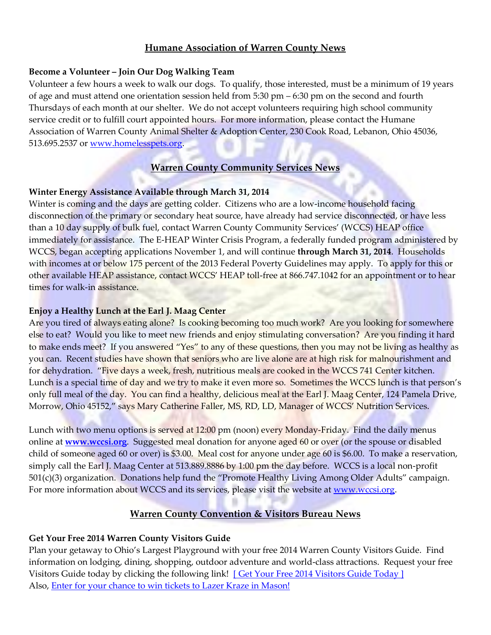## **Humane Association of Warren County News**

#### **Become a Volunteer – Join Our Dog Walking Team**

Volunteer a few hours a week to walk our dogs. To qualify, those interested, must be a minimum of 19 years of age and must attend one orientation session held from 5:30 pm – 6:30 pm on the second and fourth Thursdays of each month at our shelter. We do not accept volunteers requiring high school community service credit or to fulfill court appointed hours. For more information, please contact the Humane Association of Warren County Animal Shelter & Adoption Center, 230 Cook Road, Lebanon, Ohio 45036, 513.695.2537 or [www.homelesspets.org.](http://www.homelesspets.org/)

# **Warren County Community Services News**

#### **Winter Energy Assistance Available through March 31, 2014**

Winter is coming and the days are getting colder. Citizens who are a low-income household facing disconnection of the primary or secondary heat source, have already had service disconnected, or have less than a 10 day supply of bulk fuel, contact Warren County Community Services' (WCCS) HEAP office immediately for assistance. The E-HEAP Winter Crisis Program, a federally funded program administered by WCCS, began accepting applications November 1, and will continue **through March 31, 2014**. Households with incomes at or below 175 percent of the 2013 Federal Poverty Guidelines may apply. To apply for this or other available HEAP assistance, contact WCCS' HEAP toll-free at 866.747.1042 for an appointment or to hear times for walk-in assistance.

#### **Enjoy a Healthy Lunch at the Earl J. Maag Center**

Are you tired of always eating alone? Is cooking becoming too much work? Are you looking for somewhere else to eat? Would you like to meet new friends and enjoy stimulating conversation? Are you finding it hard to make ends meet? If you answered "Yes" to any of these questions, then you may not be living as healthy as you can. Recent studies have shown that seniors who are live alone are at high risk for malnourishment and for dehydration. "Five days a week, fresh, nutritious meals are cooked in the WCCS 741 Center kitchen. Lunch is a special time of day and we try to make it even more so. Sometimes the WCCS lunch is that person's only full meal of the day. You can find a healthy, delicious meal at the Earl J. Maag Center, 124 Pamela Drive, Morrow, Ohio 45152," says Mary Catherine Faller, MS, RD, LD, Manager of WCCS' Nutrition Services.

Lunch with two menu options is served at 12:00 pm (noon) every Monday-Friday. Find the daily menus online at **[www.wccsi.org](http://www.wccsi.org/)**. Suggested meal donation for anyone aged 60 or over (or the spouse or disabled child of someone aged 60 or over) is \$3.00. Meal cost for anyone under age 60 is \$6.00. To make a reservation, simply call the Earl J. Maag Center at 513.889.8886 by 1:00 pm the day before. WCCS is a local non-profit 501(c)(3) organization. Donations help fund the "Promote Healthy Living Among Older Adults" campaign. For more information about WCCS and its services, please visit the website at [www.wccsi.org.](http://www.wccsi.org/)

# **Warren County Convention & Visitors Bureau News**

# **Get Your Free 2014 Warren County Visitors Guide**

Plan your getaway to Ohio's Largest Playground with your free 2014 Warren County Visitors Guide. Find information on lodging, dining, shopping, outdoor adventure and world-class attractions. Request your free Visitors Guide today by clicking the following link! [\[ Get Your Free 2014 Visitors Guide Today \]](http://wccvb.informz.net/z/cjUucD9taT0yOTYzMzc1JnA9MSZ1PTgyMDE4MjA4NSZsaT0xNjMwNTgxOA/index.html) Also, [Enter for your chance to win tickets to](http://wccvb.informz.net/z/cjUucD9taT0yOTYzMzc1JnA9MSZ1PTgyMDE4MjA4NSZsaT0xNjMwNTgxNw/index.html) Lazer Kraze in Mason!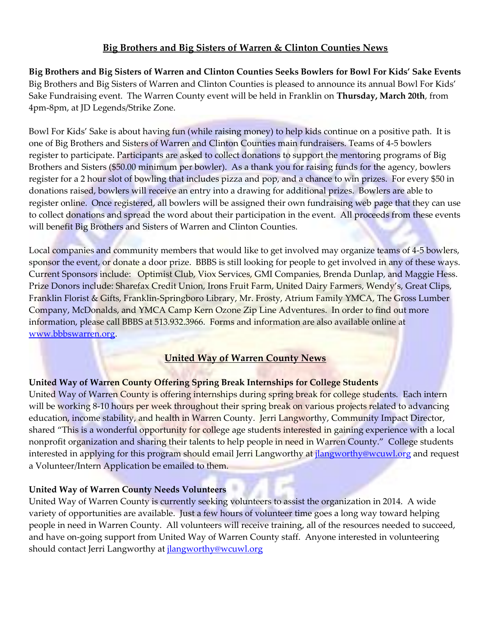## **Big Brothers and Big Sisters of Warren & Clinton Counties News**

**Big Brothers and Big Sisters of Warren and Clinton Counties Seeks Bowlers for Bowl For Kids' Sake Events**  Big Brothers and Big Sisters of Warren and Clinton Counties is pleased to announce its annual Bowl For Kids' Sake Fundraising event. The Warren County event will be held in Franklin on **Thursday, March 20th**, from 4pm-8pm, at JD Legends/Strike Zone.

Bowl For Kids' Sake is about having fun (while raising money) to help kids continue on a positive path. It is one of Big Brothers and Sisters of Warren and Clinton Counties main fundraisers. Teams of 4-5 bowlers register to participate. Participants are asked to collect donations to support the mentoring programs of Big Brothers and Sisters (\$50.00 minimum per bowler). As a thank you for raising funds for the agency, bowlers register for a 2 hour slot of bowling that includes pizza and pop, and a chance to win prizes. For every \$50 in donations raised, bowlers will receive an entry into a drawing for additional prizes. Bowlers are able to register online. Once registered, all bowlers will be assigned their own fundraising web page that they can use to collect donations and spread the word about their participation in the event. All proceeds from these events will benefit Big Brothers and Sisters of Warren and Clinton Counties.

Local companies and community members that would like to get involved may organize teams of 4-5 bowlers, sponsor the event, or donate a door prize. BBBS is still looking for people to get involved in any of these ways. Current Sponsors include: Optimist Club, Viox Services, GMI Companies, Brenda Dunlap, and Maggie Hess. Prize Donors include: Sharefax Credit Union, Irons Fruit Farm, United Dairy Farmers, Wendy's, Great Clips, Franklin Florist & Gifts, Franklin-Springboro Library, Mr. Frosty, Atrium Family YMCA, The Gross Lumber Company, McDonalds, and YMCA Camp Kern Ozone Zip Line Adventures. In order to find out more information, please call BBBS at 513.932.3966. Forms and information are also available online at [www.bbbswarren.org.](http://www.bbbswarren.org/)

#### **United Way of Warren County News**

#### **United Way of Warren County Offering Spring Break Internships for College Students**

United Way of Warren County is offering internships during spring break for college students. Each intern will be working 8-10 hours per week throughout their spring break on various projects related to advancing education, income stability, and health in Warren County. Jerri Langworthy, Community Impact Director, shared "This is a wonderful opportunity for college age students interested in gaining experience with a local nonprofit organization and sharing their talents to help people in need in Warren County." College students interested in applying for this program should email Jerri Langworthy at *jlangworthy@wcuwl.org* and request a Volunteer/Intern Application be emailed to them.

#### **United Way of Warren County Needs Volunteers**

United Way of Warren County is currently seeking volunteers to assist the organization in 2014. A wide variety of opportunities are available. Just a few hours of volunteer time goes a long way toward helping people in need in Warren County. All volunteers will receive training, all of the resources needed to succeed, and have on-going support from United Way of Warren County staff. Anyone interested in volunteering should contact Jerri Langworthy at *jlangworthy@wcuwl.org*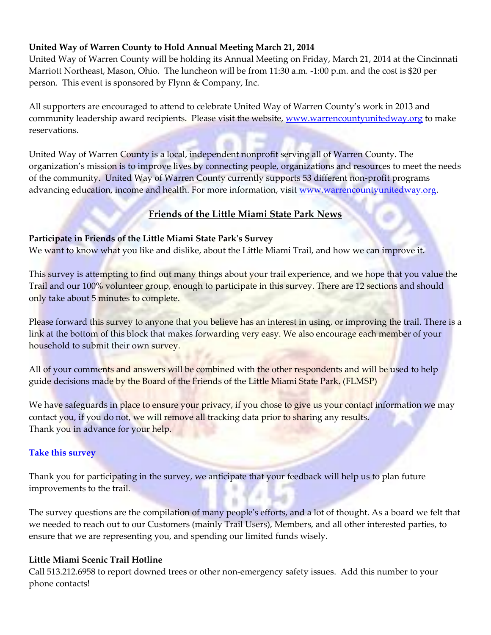## **United Way of Warren County to Hold Annual Meeting March 21, 2014**

United Way of Warren County will be holding its Annual Meeting on Friday, March 21, 2014 at the Cincinnati Marriott Northeast, Mason, Ohio. The luncheon will be from 11:30 a.m. -1:00 p.m. and the cost is \$20 per person. This event is sponsored by Flynn & Company, Inc.

All supporters are encouraged to attend to celebrate United Way of Warren County's work in 2013 and community leadership award recipients. Please visit the website, [www.warrencountyunitedway.org](http://www.warrencountyunitedway.org/) to make reservations.

United Way of Warren County is a local, independent nonprofit serving all of Warren County. The organization's mission is to improve lives by connecting people, organizations and resources to meet the needs of the community. United Way of Warren County currently supports 53 different non-profit programs advancing education, income and health. For more information, visit [www.warrencountyunitedway.org.](http://www.warrencountyunitedway.org/)

# **Friends of the Little Miami State Park News**

#### **Participate in Friends of the Little Miami State Park's Survey**

We want to know what you like and dislike, about the Little Miami Trail, and how we can improve it.

This survey is attempting to find out many things about your trail experience, and we hope that you value the Trail and our 100% volunteer group, enough to participate in this survey. There are 12 sections and should only take about 5 minutes to complete.

Please forward this survey to anyone that you believe has an interest in using, or improving the trail. There is a link at the bottom of this block that makes forwarding very easy. We also encourage each member of your household to submit their own survey.

All of your comments and answers will be combined with the other respondents and will be used to help guide decisions made by the Board of the Friends of the Little Miami State Park. (FLMSP)

We have safeguards in place to ensure your privacy, if you chose to give us your contact information we may contact you, if you do not, we will remove all tracking data prior to sharing any results. Thank you in advance for your help.

#### **[Take this survey](http://r20.rs6.net/tn.jsp?f=001037RAQ8dJ_NinQ8fOhrccSR86uTZcBF24twFS_TLj6NPBCs8haKl1kAsQbZK2QgpeyYlVMJSOP9i7TW_slOYmHtOyz41Eupxvf6ZNJw3Q5e1Wi05eejHqMQRFLtiPMwUrg0yCs_WXji-GtoDUT_y7-j1oRJFok_y0TZSoxjbkTb_tZzg1FM1sL5qfFdjDzmQp-0IexhWMBz7_YiIJmqRtYTH3GOOnPhFzqaCYQ15qf6IWUnuqqBRBnJ5CkN0A-NfoWG9wwUGDFu1hhssXXSgICUUlVBYI_UnjbA1ym9jLOTZJue7xUJ3uw==&c=IspkWvd_is4VO0IjMrf7LpKUXhEl-JZnMlrwdYkjf7TO46GCGL1m7w==&ch=xwTOie5yFjmenS0_hHcOt0KG4STvCIb_xAS6i_kT1cYELfoZpOr7xA==)**

Thank you for participating in the survey, we anticipate that your feedback will help us to plan future improvements to the trail.

The survey questions are the compilation of many people's efforts, and a lot of thought. As a board we felt that we needed to reach out to our Customers (mainly Trail Users), Members, and all other interested parties, to ensure that we are representing you, and spending our limited funds wisely.

#### **Little Miami Scenic Trail Hotline**

Call 513.212.6958 to report downed trees or other non-emergency safety issues. Add this number to your phone contacts!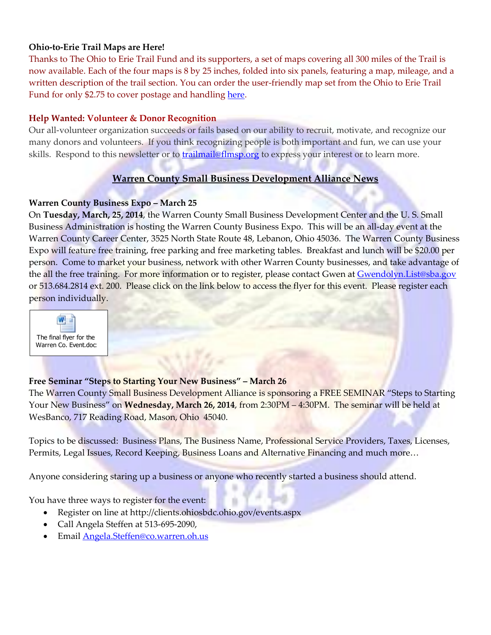#### **Ohio-to-Erie Trail Maps are Here!**

Thanks to The Ohio to Erie Trail Fund and its supporters, a set of maps covering all 300 miles of the Trail is now available. Each of the four maps is 8 by 25 inches, folded into six panels, featuring a map, mileage, and a written description of the trail section. You can order the user-friendly map set from the Ohio to Erie Trail Fund for only \$2.75 to cover postage and handlin[g here.](http://r20.rs6.net/tn.jsp?f=0018cB_GQ75L_P2km9dqO8AduZc4GM0NAfQHD7wTyTY10xoPoD1z_LkTtuQoE8Aggpg-wPAZoxCk04PXA-RTneOadHolp4gg4TsWE4G5MT-GoS2_L3jitDjpDdTIOpel9DxDVd_uAei4X4WryTF4S_aqoGyI8_6joLzS0CVDyitf6Ln4qMCf2fMlBgwXV45QW82iwmq5hGmPCU=&c=q4uc-H9Zrjh9KuKyMg053GRRnDV3ntFYZc9HQJBLBzNTKedFX_oAUw==&ch=-WEH9J3jUbpB499pfbs1eqgzYdppR_q7_09SROGHNA6x8DeUcSZPSg==)

#### **Help Wanted: Volunteer & Donor Recognition**

Our all-volunteer organization succeeds or fails based on our ability to recruit, motivate, and recognize our many donors and volunteers. If you think recognizing people is both important and fun, we can use your skills. Respond to this newsletter or to **trailmail@flmsp.org** to express your interest or to learn more.

## **Warren County Small Business Development Alliance News**

#### **Warren County Business Expo - March 25**

On **Tuesday, March, 25, 2014**, the Warren County Small Business Development Center and the U. S. Small Business Administration is hosting the Warren County Business Expo. This will be an all-day event at the Warren County Career Center, 3525 North State Route 48, Lebanon, Ohio 45036. The Warren County Business Expo will feature free training, free parking and free marketing tables. Breakfast and lunch will be \$20.00 per person. Come to market your business, network with other Warren County businesses, and take advantage of the all the free training. For more information or to register, please contact Gwen at [Gwendolyn.List@sba.gov](mailto:Gwendolyn.List@sba.gov) or 513.684.2814 ext. 200. Please click on the link below to access the flyer for this event. Please register each person individually.



#### **Free Seminar "Steps to Starting Your New Business" – March 26**

The Warren County Small Business Development Alliance is sponsoring a FREE SEMINAR "Steps to Starting Your New Business" on **Wednesday, March 26, 2014**, from 2:30PM – 4:30PM. The seminar will be held at WesBanco, 717 Reading Road, Mason, Ohio 45040.

Topics to be discussed: Business Plans, The Business Name, Professional Service Providers, Taxes, Licenses, Permits, Legal Issues, Record Keeping, Business Loans and Alternative Financing and much more…

Anyone considering staring up a business or anyone who recently started a business should attend.

You have three ways to register for the event:

- Register on line at http://clients.ohiosbdc.ohio.gov/events.aspx
- Call Angela Steffen at 513-695-2090,
- Email [Angela.Steffen@co.warren.oh.us](mailto:Angela.Steffen@co.warren.oh.us)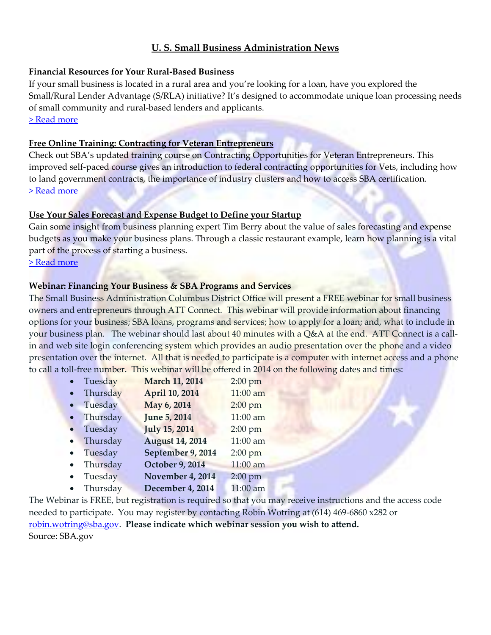## **U. S. Small Business Administration News**

#### **[Financial Resources for Your Rural-Based Business](http://links.govdelivery.com/track?type=click&enid=ZWFzPTEmbWFpbGluZ2lkPTIwMTQwMjAyLjI4MzIwOTMxJm1lc3NhZ2VpZD1NREItUFJELUJVTC0yMDE0MDIwMi4yODMyMDkzMSZkYXRhYmFzZWlkPTEwMDEmc2VyaWFsPTE3OTQ3NDMwJmVtYWlsaWQ9cm9kLnNtaXRoQHZpbC5tb3Jyb3cub2gudXMmdXNlcmlkPXJvZC5zbWl0aEB2aWwubW9ycm93Lm9oLnVzJmZsPSZleHRyYT1NdWx0aXZhcmlhdGVJZD0mJiY=&&&114&&&http://www.sba.gov/community/blogs/financial-resources-your-rural-based-business)**

If your small business is located in a rural area and you're looking for a loan, have you explored the Small/Rural Lender Advantage (S/RLA) initiative? It's designed to accommodate unique loan processing needs of small community and rural-based lenders and applicants. [> Read more](http://links.govdelivery.com/track?type=click&enid=ZWFzPTEmbWFpbGluZ2lkPTIwMTQwMjAyLjI4MzIwOTMxJm1lc3NhZ2VpZD1NREItUFJELUJVTC0yMDE0MDIwMi4yODMyMDkzMSZkYXRhYmFzZWlkPTEwMDEmc2VyaWFsPTE3OTQ3NDMwJmVtYWlsaWQ9cm9kLnNtaXRoQHZpbC5tb3Jyb3cub2gudXMmdXNlcmlkPXJvZC5zbWl0aEB2aWwubW9ycm93Lm9oLnVzJmZsPSZleHRyYT1NdWx0aXZhcmlhdGVJZD0mJiY=&&&114&&&http://www.sba.gov/community/blogs/financial-resources-your-rural-based-business)

#### **[Free Online Training: Contracting for Veteran Entrepreneurs](http://links.govdelivery.com/track?type=click&enid=ZWFzPTEmbWFpbGluZ2lkPTIwMTQwMjAyLjI4MzIwOTMxJm1lc3NhZ2VpZD1NREItUFJELUJVTC0yMDE0MDIwMi4yODMyMDkzMSZkYXRhYmFzZWlkPTEwMDEmc2VyaWFsPTE3OTQ3NDMwJmVtYWlsaWQ9cm9kLnNtaXRoQHZpbC5tb3Jyb3cub2gudXMmdXNlcmlkPXJvZC5zbWl0aEB2aWwubW9ycm93Lm9oLnVzJmZsPSZleHRyYT1NdWx0aXZhcmlhdGVJZD0mJiY=&&&101&&&http://www.sba.gov/tools/sba-learning-center/training/contracting-opportunities-veteran-entrepreneurs)**

Check out SBA's updated training course on Contracting Opportunities for Veteran Entrepreneurs. This improved self-paced course gives an introduction to federal contracting opportunities for Vets, including how to land government contracts, the importance of industry clusters and how to access SBA certification. [> Read more](http://links.govdelivery.com/track?type=click&enid=ZWFzPTEmbWFpbGluZ2lkPTIwMTQwMjAyLjI4MzIwOTMxJm1lc3NhZ2VpZD1NREItUFJELUJVTC0yMDE0MDIwMi4yODMyMDkzMSZkYXRhYmFzZWlkPTEwMDEmc2VyaWFsPTE3OTQ3NDMwJmVtYWlsaWQ9cm9kLnNtaXRoQHZpbC5tb3Jyb3cub2gudXMmdXNlcmlkPXJvZC5zbWl0aEB2aWwubW9ycm93Lm9oLnVzJmZsPSZleHRyYT1NdWx0aXZhcmlhdGVJZD0mJiY=&&&101&&&http://www.sba.gov/tools/sba-learning-center/training/contracting-opportunities-veteran-entrepreneurs)

## **[Use Your Sales Forecast and Expense Budget to Define your Startup](http://links.govdelivery.com/track?type=click&enid=ZWFzPTEmbWFpbGluZ2lkPTIwMTQwMjAyLjI4MzIwOTMxJm1lc3NhZ2VpZD1NREItUFJELUJVTC0yMDE0MDIwMi4yODMyMDkzMSZkYXRhYmFzZWlkPTEwMDEmc2VyaWFsPTE3OTQ3NDMwJmVtYWlsaWQ9cm9kLnNtaXRoQHZpbC5tb3Jyb3cub2gudXMmdXNlcmlkPXJvZC5zbWl0aEB2aWwubW9ycm93Lm9oLnVzJmZsPSZleHRyYT1NdWx0aXZhcmlhdGVJZD0mJiY=&&&116&&&http://www.sba.gov/community/blogs/use-your-sales-forecast-and-expense-budget-define-your-startup)**

Gain some insight from business planning expert Tim Berry about the value of sales forecasting and expense budgets as you make your business plans. Through a classic restaurant example, learn how planning is a vital part of the process of starting a business.

[> Read more](http://links.govdelivery.com/track?type=click&enid=ZWFzPTEmbWFpbGluZ2lkPTIwMTQwMjAyLjI4MzIwOTMxJm1lc3NhZ2VpZD1NREItUFJELUJVTC0yMDE0MDIwMi4yODMyMDkzMSZkYXRhYmFzZWlkPTEwMDEmc2VyaWFsPTE3OTQ3NDMwJmVtYWlsaWQ9cm9kLnNtaXRoQHZpbC5tb3Jyb3cub2gudXMmdXNlcmlkPXJvZC5zbWl0aEB2aWwubW9ycm93Lm9oLnVzJmZsPSZleHRyYT1NdWx0aXZhcmlhdGVJZD0mJiY=&&&116&&&http://www.sba.gov/community/blogs/use-your-sales-forecast-and-expense-budget-define-your-startup)

#### **Webinar: Financing Your Business & SBA Programs and Services**

The Small Business Administration Columbus District Office will present a FREE webinar for small business owners and entrepreneurs through ATT Connect. This webinar will provide information about financing options for your business; SBA loans, programs and services; how to apply for a loan; and, what to include in your business plan. The webinar should last about 40 minutes with a Q&A at the end. ATT Connect is a callin and web site login conferencing system which provides an audio presentation over the phone and a video presentation over the internet. All that is needed to participate is a computer with internet access and a phone to call a toll-free number. This webinar will be offered in 2014 on the following dates and times:

| Tuesday  | <b>March 11, 2014</b>  | $2:00$ pm |
|----------|------------------------|-----------|
| Thursday | April 10, 2014         | 11:00 am  |
| Tuesday  | May 6, 2014            | $2:00$ pm |
| Thursday | <b>June 5, 2014</b>    | 11:00 am  |
| Tuesday  | <b>July 15, 2014</b>   | $2:00$ pm |
| Thursday | <b>August 14, 2014</b> | 11:00 am  |
| Tuesday  | September 9, 2014      | $2:00$ pm |
| Thursday | <b>October 9, 2014</b> | 11:00 am  |
| Tuesday  | November 4, 2014       | $2:00$ pm |
| Thursday | December 4, 2014       | 11:00 am  |

The Webinar is FREE, but registration is required so that you may receive instructions and the access code needed to participate. You may register by contacting Robin Wotring at (614) 469-6860 x282 or [robin.wotring@sba.gov.](mailto:robin.wotring@sba.gov) **Please indicate which webinar session you wish to attend.**  Source: SBA.gov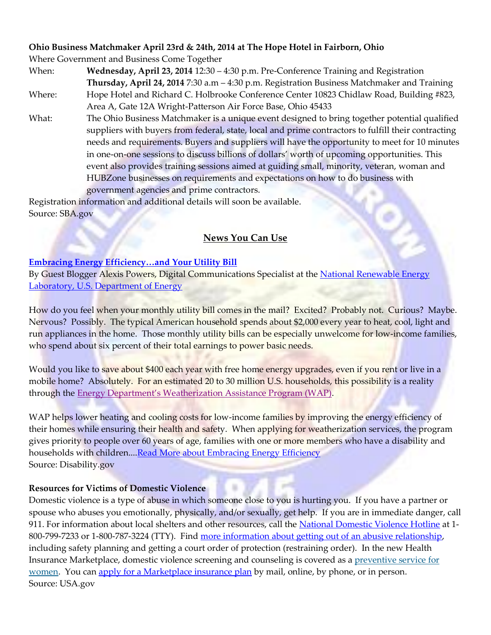#### **Ohio Business Matchmaker April 23rd & 24th, 2014 at The Hope Hotel in Fairborn, Ohio**

Where Government and Business Come Together

- When: **Wednesday, April 23, 2014** 12:30 4:30 p.m. Pre-Conference Training and Registration **Thursday, April 24, 2014** 7:30 a.m – 4:30 p.m. Registration Business Matchmaker and Training Where: Hope Hotel and Richard C. Holbrooke Conference Center 10823 Chidlaw Road, Building #823, Area A, Gate 12A Wright-Patterson Air Force Base, Ohio 45433
- What: The Ohio Business Matchmaker is a unique event designed to bring together potential qualified suppliers with buyers from federal, state, local and prime contractors to fulfill their contracting needs and requirements. Buyers and suppliers will have the opportunity to meet for 10 minutes in one-on-one sessions to discuss billions of dollars' worth of upcoming opportunities. This event also provides training sessions aimed at guiding small, minority, veteran, woman and HUBZone businesses on requirements and expectations on how to do business with government agencies and prime contractors.

Registration information and additional details will soon be available. Source: SBA.gov

# **News You Can Use**

#### **[Embracing Energy Efficiency…and Your Utility Bill](http://links.govdelivery.com/track?type=click&enid=ZWFzPTEmbWFpbGluZ2lkPTIwMTQwMzAzLjI5NTcwNTUxJm1lc3NhZ2VpZD1NREItUFJELUJVTC0yMDE0MDMwMy4yOTU3MDU1MSZkYXRhYmFzZWlkPTEwMDEmc2VyaWFsPTE3OTc0NjUzJmVtYWlsaWQ9cm9kLnNtaXRoQHZpbC5tb3Jyb3cub2gudXMmdXNlcmlkPXJvZC5zbWl0aEB2aWwubW9ycm93Lm9oLnVzJmZsPSZleHRyYT1NdWx0aXZhcmlhdGVJZD0mJiY=&&&100&&&http://usodep.blogs.govdelivery.com/2014/03/03/embracing-energy-efficiencyand-your-utility-bill/)**

By Guest Blogger Alexis Powers, Digital Communications Specialist at the National Renewable Energy [Laboratory, U.S. Department of Energy](http://links.govdelivery.com/track?type=click&enid=ZWFzPTEmbWFpbGluZ2lkPTIwMTQwMzAzLjI5NTcwNTUxJm1lc3NhZ2VpZD1NREItUFJELUJVTC0yMDE0MDMwMy4yOTU3MDU1MSZkYXRhYmFzZWlkPTEwMDEmc2VyaWFsPTE3OTc0NjUzJmVtYWlsaWQ9cm9kLnNtaXRoQHZpbC5tb3Jyb3cub2gudXMmdXNlcmlkPXJvZC5zbWl0aEB2aWwubW9ycm93Lm9oLnVzJmZsPSZleHRyYT1NdWx0aXZhcmlhdGVJZD0mJiY=&&&101&&&http://www.nrel.gov/)

How do you feel when your monthly utility bill comes in the mail? Excited? Probably not. Curious? Maybe. Nervous? Possibly. The typical American household spends about \$2,000 every year to heat, cool, light and run appliances in the home. Those monthly utility bills can be especially unwelcome for low-income families, who spend about six percent of their total earnings to power basic needs.

Would you like to save about \$400 each year with free home energy upgrades, even if you rent or live in a mobile home? Absolutely. For an estimated 20 to 30 million U.S. households, this possibility is a reality through the [Energy Department's Weatherization Assistance Program \(WAP\)](http://links.govdelivery.com/track?type=click&enid=ZWFzPTEmbWFpbGluZ2lkPTIwMTQwMzAzLjI5NTcwNTUxJm1lc3NhZ2VpZD1NREItUFJELUJVTC0yMDE0MDMwMy4yOTU3MDU1MSZkYXRhYmFzZWlkPTEwMDEmc2VyaWFsPTE3OTc0NjUzJmVtYWlsaWQ9cm9kLnNtaXRoQHZpbC5tb3Jyb3cub2gudXMmdXNlcmlkPXJvZC5zbWl0aEB2aWwubW9ycm93Lm9oLnVzJmZsPSZleHRyYT1NdWx0aXZhcmlhdGVJZD0mJiY=&&&102&&&http://www1.eere.energy.gov/wip/wap.html).

WAP helps lower heating and cooling costs for low-income families by improving the energy efficiency of their homes while ensuring their health and safety. When applying for weatherization services, the program gives priority to people over 60 years of age, families with one or more members who have a disability and households with children...[.Read More about Embracing Energy Efficiency](http://links.govdelivery.com/track?type=click&enid=ZWFzPTEmbWFpbGluZ2lkPTIwMTQwMzAzLjI5NTcwNTUxJm1lc3NhZ2VpZD1NREItUFJELUJVTC0yMDE0MDMwMy4yOTU3MDU1MSZkYXRhYmFzZWlkPTEwMDEmc2VyaWFsPTE3OTc0NjUzJmVtYWlsaWQ9cm9kLnNtaXRoQHZpbC5tb3Jyb3cub2gudXMmdXNlcmlkPXJvZC5zbWl0aEB2aWwubW9ycm93Lm9oLnVzJmZsPSZleHRyYT1NdWx0aXZhcmlhdGVJZD0mJiY=&&&100&&&http://usodep.blogs.govdelivery.com/2014/03/03/embracing-energy-efficiencyand-your-utility-bill/) Source: Disability.gov

#### **Resources for Victims of Domestic Violence**

Domestic violence is a type of abuse in which someone close to you is hurting you. If you have a partner or spouse who abuses you emotionally, physically, and/or sexually, get help. If you are in immediate danger, call 911. For information about local shelters and other resources, call the [National Domestic Violence Hotline](http://links.govdelivery.com/track?type=click&enid=ZWFzPTEmbWFpbGluZ2lkPTIwMTMxMDI5LjI0NjE1NTExJm1lc3NhZ2VpZD1NREItUFJELUJVTC0yMDEzMTAyOS4yNDYxNTUxMSZkYXRhYmFzZWlkPTEwMDEmc2VyaWFsPTE3ODQyMjIzJmVtYWlsaWQ9cm9kLnNtaXRoQHZpbC5tb3Jyb3cub2gudXMmdXNlcmlkPXJvZC5zbWl0aEB2aWwubW9ycm93Lm9oLnVzJmZsPSZleHRyYT1NdWx0aXZhcmlhdGVJZD0mJiY=&&&100&&&http://www.thehotline.org/) at 1-800-799-7233 or 1-800-787-3224 (TTY). Find [more information about getting out of an abusive relationship,](http://links.govdelivery.com/track?type=click&enid=ZWFzPTEmbWFpbGluZ2lkPTIwMTMxMDI5LjI0NjE1NTExJm1lc3NhZ2VpZD1NREItUFJELUJVTC0yMDEzMTAyOS4yNDYxNTUxMSZkYXRhYmFzZWlkPTEwMDEmc2VyaWFsPTE3ODQyMjIzJmVtYWlsaWQ9cm9kLnNtaXRoQHZpbC5tb3Jyb3cub2gudXMmdXNlcmlkPXJvZC5zbWl0aEB2aWwubW9ycm93Lm9oLnVzJmZsPSZleHRyYT1NdWx0aXZhcmlhdGVJZD0mJiY=&&&101&&&http://womenshealth.gov/violence-against-women/get-help-for-violence/index.html) including safety planning and getting a court order of protection (restraining order). In the new Health Insurance Marketplace, domestic violence screening and counseling is covered as a [preventive service for](http://links.govdelivery.com/track?type=click&enid=ZWFzPTEmbWFpbGluZ2lkPTIwMTMxMDI5LjI0NjE1NTExJm1lc3NhZ2VpZD1NREItUFJELUJVTC0yMDEzMTAyOS4yNDYxNTUxMSZkYXRhYmFzZWlkPTEwMDEmc2VyaWFsPTE3ODQyMjIzJmVtYWlsaWQ9cm9kLnNtaXRoQHZpbC5tb3Jyb3cub2gudXMmdXNlcmlkPXJvZC5zbWl0aEB2aWwubW9ycm93Lm9oLnVzJmZsPSZleHRyYT1NdWx0aXZhcmlhdGVJZD0mJiY=&&&102&&&https://www.healthcare.gov/what-are-my-preventive-care-benefits/#part=2)  [women.](http://links.govdelivery.com/track?type=click&enid=ZWFzPTEmbWFpbGluZ2lkPTIwMTMxMDI5LjI0NjE1NTExJm1lc3NhZ2VpZD1NREItUFJELUJVTC0yMDEzMTAyOS4yNDYxNTUxMSZkYXRhYmFzZWlkPTEwMDEmc2VyaWFsPTE3ODQyMjIzJmVtYWlsaWQ9cm9kLnNtaXRoQHZpbC5tb3Jyb3cub2gudXMmdXNlcmlkPXJvZC5zbWl0aEB2aWwubW9ycm93Lm9oLnVzJmZsPSZleHRyYT1NdWx0aXZhcmlhdGVJZD0mJiY=&&&102&&&https://www.healthcare.gov/what-are-my-preventive-care-benefits/#part=2) You can [apply for a Marketplace insurance plan](http://links.govdelivery.com/track?type=click&enid=ZWFzPTEmbWFpbGluZ2lkPTIwMTMxMDI5LjI0NjE1NTExJm1lc3NhZ2VpZD1NREItUFJELUJVTC0yMDEzMTAyOS4yNDYxNTUxMSZkYXRhYmFzZWlkPTEwMDEmc2VyaWFsPTE3ODQyMjIzJmVtYWlsaWQ9cm9kLnNtaXRoQHZpbC5tb3Jyb3cub2gudXMmdXNlcmlkPXJvZC5zbWl0aEB2aWwubW9ycm93Lm9oLnVzJmZsPSZleHRyYT1NdWx0aXZhcmlhdGVJZD0mJiY=&&&103&&&https://www.healthcare.gov/how-do-i-apply-for-marketplace-coverage/) by mail, online, by phone, or in person. Source: USA.gov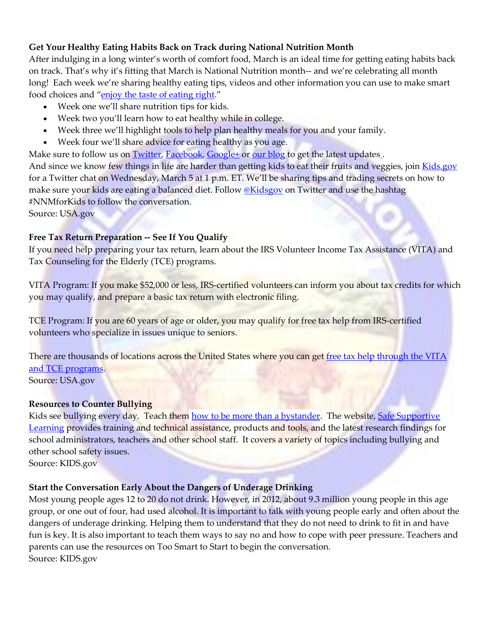## **Get Your Healthy Eating Habits Back on Track during National Nutrition Month**

After indulging in a long winter's worth of comfort food, March is an ideal time for getting eating habits back on track. That's why it's fitting that March is National Nutrition month-- and we're celebrating all month long! Each week we're sharing healthy eating tips, videos and other information you can use to make smart food choices and "[enjoy the taste of eating right](http://links.govdelivery.com/track?type=click&enid=ZWFzPTEmbWFpbGluZ2lkPTIwMTQwMzAzLjI5NTU1MDIxJm1lc3NhZ2VpZD1NREItUFJELUJVTC0yMDE0MDMwMy4yOTU1NTAyMSZkYXRhYmFzZWlkPTEwMDEmc2VyaWFsPTE3OTc0NDA5JmVtYWlsaWQ9cm9kLnNtaXRoQHZpbC5tb3Jyb3cub2gudXMmdXNlcmlkPXJvZC5zbWl0aEB2aWwubW9ycm93Lm9oLnVzJmZsPSZleHRyYT1NdWx0aXZhcmlhdGVJZD0mJiY=&&&100&&&http://www.eatright.org/NNM/#.Uw4ARe1e8ig)."

- Week one we'll share nutrition tips for kids.
- Week two you'll learn how to eat healthy while in college.
- Week three we'll highlight tools to help plan healthy meals for you and your family.
- Week four we'll share advice for eating healthy as you age.

Make sure to follow us on [Twitter,](http://links.govdelivery.com/track?type=click&enid=ZWFzPTEmbWFpbGluZ2lkPTIwMTQwMzAzLjI5NTU1MDIxJm1lc3NhZ2VpZD1NREItUFJELUJVTC0yMDE0MDMwMy4yOTU1NTAyMSZkYXRhYmFzZWlkPTEwMDEmc2VyaWFsPTE3OTc0NDA5JmVtYWlsaWQ9cm9kLnNtaXRoQHZpbC5tb3Jyb3cub2gudXMmdXNlcmlkPXJvZC5zbWl0aEB2aWwubW9ycm93Lm9oLnVzJmZsPSZleHRyYT1NdWx0aXZhcmlhdGVJZD0mJiY=&&&101&&&http://twitter.com/usagov) [Facebook,](http://links.govdelivery.com/track?type=click&enid=ZWFzPTEmbWFpbGluZ2lkPTIwMTQwMzAzLjI5NTU1MDIxJm1lc3NhZ2VpZD1NREItUFJELUJVTC0yMDE0MDMwMy4yOTU1NTAyMSZkYXRhYmFzZWlkPTEwMDEmc2VyaWFsPTE3OTc0NDA5JmVtYWlsaWQ9cm9kLnNtaXRoQHZpbC5tb3Jyb3cub2gudXMmdXNlcmlkPXJvZC5zbWl0aEB2aWwubW9ycm93Lm9oLnVzJmZsPSZleHRyYT1NdWx0aXZhcmlhdGVJZD0mJiY=&&&102&&&http://facebook.com/usagov) [Google+](http://links.govdelivery.com/track?type=click&enid=ZWFzPTEmbWFpbGluZ2lkPTIwMTQwMzAzLjI5NTU1MDIxJm1lc3NhZ2VpZD1NREItUFJELUJVTC0yMDE0MDMwMy4yOTU1NTAyMSZkYXRhYmFzZWlkPTEwMDEmc2VyaWFsPTE3OTc0NDA5JmVtYWlsaWQ9cm9kLnNtaXRoQHZpbC5tb3Jyb3cub2gudXMmdXNlcmlkPXJvZC5zbWl0aEB2aWwubW9ycm93Lm9oLnVzJmZsPSZleHRyYT1NdWx0aXZhcmlhdGVJZD0mJiY=&&&103&&&http://plus.google.com/+usagov) or [our blog](http://links.govdelivery.com/track?type=click&enid=ZWFzPTEmbWFpbGluZ2lkPTIwMTQwMzAzLjI5NTU1MDIxJm1lc3NhZ2VpZD1NREItUFJELUJVTC0yMDE0MDMwMy4yOTU1NTAyMSZkYXRhYmFzZWlkPTEwMDEmc2VyaWFsPTE3OTc0NDA5JmVtYWlsaWQ9cm9kLnNtaXRoQHZpbC5tb3Jyb3cub2gudXMmdXNlcmlkPXJvZC5zbWl0aEB2aWwubW9ycm93Lm9oLnVzJmZsPSZleHRyYT1NdWx0aXZhcmlhdGVJZD0mJiY=&&&104&&&http://blog.usa.gov) to get the late[s](http://links.govdelivery.com/track?type=click&enid=ZWFzPTEmbWFpbGluZ2lkPTIwMTQwMzAzLjI5NTU1MDIxJm1lc3NhZ2VpZD1NREItUFJELUJVTC0yMDE0MDMwMy4yOTU1NTAyMSZkYXRhYmFzZWlkPTEwMDEmc2VyaWFsPTE3OTc0NDA5JmVtYWlsaWQ9cm9kLnNtaXRoQHZpbC5tb3Jyb3cub2gudXMmdXNlcmlkPXJvZC5zbWl0aEB2aWwubW9ycm93Lm9oLnVzJmZsPSZleHRyYT1NdWx0aXZhcmlhdGVJZD0mJiY=&&&105&&&https://public.govdelivery.com/accounts/USAGOV/subscriber/new?topic_id=USAGOV_15)t updates. And since we know few things in life are harder than getting kids to eat their fruits and veggies, join [Kids.gov](http://links.govdelivery.com/track?type=click&enid=ZWFzPTEmbWFpbGluZ2lkPTIwMTQwMzAzLjI5NTU1MDIxJm1lc3NhZ2VpZD1NREItUFJELUJVTC0yMDE0MDMwMy4yOTU1NTAyMSZkYXRhYmFzZWlkPTEwMDEmc2VyaWFsPTE3OTc0NDA5JmVtYWlsaWQ9cm9kLnNtaXRoQHZpbC5tb3Jyb3cub2gudXMmdXNlcmlkPXJvZC5zbWl0aEB2aWwubW9ycm93Lm9oLnVzJmZsPSZleHRyYT1NdWx0aXZhcmlhdGVJZD0mJiY=&&&106&&&http://kids.gov) for a Twitter chat on Wednesday, March 5 at 1 p.m. ET. We'll be sharing tips and trading secrets on how to make sure your kids are eating a balanced diet. Follow [@Kidsgov](http://links.govdelivery.com/track?type=click&enid=ZWFzPTEmbWFpbGluZ2lkPTIwMTQwMzAzLjI5NTU1MDIxJm1lc3NhZ2VpZD1NREItUFJELUJVTC0yMDE0MDMwMy4yOTU1NTAyMSZkYXRhYmFzZWlkPTEwMDEmc2VyaWFsPTE3OTc0NDA5JmVtYWlsaWQ9cm9kLnNtaXRoQHZpbC5tb3Jyb3cub2gudXMmdXNlcmlkPXJvZC5zbWl0aEB2aWwubW9ycm93Lm9oLnVzJmZsPSZleHRyYT1NdWx0aXZhcmlhdGVJZD0mJiY=&&&107&&&http://twitter.com/kidsgov) on Twitter and use the hashtag #NNMforKids to follow the conversation.

Source: USA.gov

## **Free Tax Return Preparation -- See If You Qualify**

If you need help preparing your tax return, learn about the IRS Volunteer Income Tax Assistance (VITA) and Tax Counseling for the Elderly (TCE) programs.

VITA Program: If you make \$52,000 or less, IRS-certified volunteers can inform you about tax credits for which you may qualify, and prepare a basic tax return with electronic filing.

TCE Program: If you are 60 years of age or older, you may qualify for free tax help from IRS-certified volunteers who specialize in issues unique to seniors.

There are thousands of locations across the United States where you can get free tax help through the VITA [and TCE programs.](http://links.govdelivery.com/track?type=click&enid=ZWFzPTEmbWFpbGluZ2lkPTIwMTQwMjI4LjI5NDc4MzgxJm1lc3NhZ2VpZD1NREItUFJELUJVTC0yMDE0MDIyOC4yOTQ3ODM4MSZkYXRhYmFzZWlkPTEwMDEmc2VyaWFsPTE3OTcyMzQ4JmVtYWlsaWQ9cm9kLnNtaXRoQHZpbC5tb3Jyb3cub2gudXMmdXNlcmlkPXJvZC5zbWl0aEB2aWwubW9ycm93Lm9oLnVzJmZsPSZleHRyYT1NdWx0aXZhcmlhdGVJZD0mJiY=&&&100&&&http://www.irs.gov/Individuals/Free-Tax-Return-Preparation-for-You-by-Volunteers)

Source: USA.gov

#### **Resources to Counter Bullying**

Kids see bullying every day. Teach them [how to be more than a bystander.](http://www.stopbullying.gov/respond/be-more-than-a-bystander/index.html) The website, Safe Supportive [Learning](http://safesupportivelearning.ed.gov/index.php) provides training and technical assistance, products and tools, and the latest research findings for [school administrators, teachers and other school staff. It covers](http://provides/) a variety of topics including bullying and [other school safety issues.](http://provides/) 

Source: KIDS.gov

#### **Start the Conversation Early About the Dangers of Underage Drinking**

Most young people ages 12 to 20 do not drink. However, in 2012, about 9.3 million young people in this age group, or one out of four, had used alcohol. It is important to talk with young people early and often about the dangers of underage drinking. Helping them to understand that they do not need to drink to fit in and have fun is key. It is also important to teach them ways to say no and how to cope with peer pressure. Teachers and parents can use the resources on [Too Smart to Start](http://www.toosmarttostart.samhsa.gov/Start.aspx) to begin the conversation. Source: KIDS.gov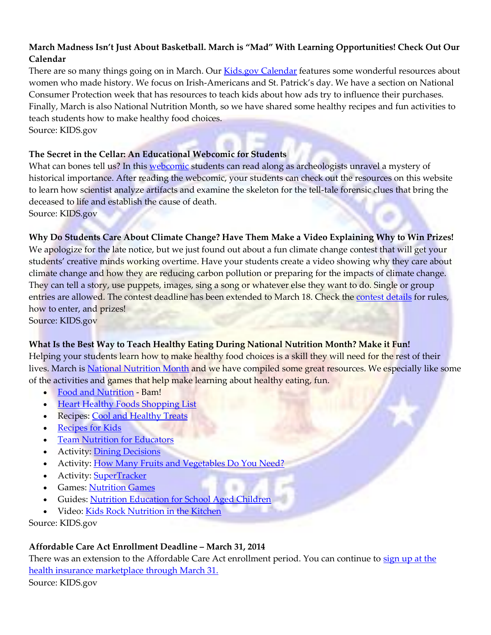## **March Madness Isn't Just About Basketball. March is "Mad" With Learning Opportunities! Check Out Our Calendar**

There are so many things going on in March. Our [Kids.gov Calendar](http://kids.usa.gov/grown-ups/calendar/march/index.shtml) features some wonderful resources about women who made history. We focus on Irish-Americans and St. Patrick's day. We have a section on National Consumer Protection week that has resources to teach kids about how ads try to influence their purchases. Finally, March is also National Nutrition Month, so we have shared some healthy recipes and fun activities to teach students how to make healthy food choices.

Source: KIDS.gov

#### **The Secret in the Cellar: An Educational Webcomic for Students**

What can bones tell us? In this [webcomic](http://anthropology.si.edu/writteninbone/comic/) students can read along as archeologists unravel a mystery of historical importance. After reading the webcomic, your students can check out the resources on this website to learn how scientist analyze artifacts and examine the skeleton for the tell-tale forensic clues that bring the deceased to life and establish the cause of death.

Source: KIDS.gov

#### **Why Do Students Care About Climate Change? Have Them Make a Video Explaining Why to Win Prizes!**

We apologize for the late notice, but we just found out about a fun climate change contest that will get your students' creative minds working overtime. Have your students create a video showing why they care about climate change and how they are reducing carbon pollution or preparing for the impacts of climate change. They can tell a story, use puppets, images, sing a song or whatever else they want to do. Single or group entries are allowed. The contest deadline has been extended to March 18. Check the [contest details](http://epa.gov/climatechange/kids/contest.html) for rules, how to enter, and prizes!

Source: KIDS.gov

#### **What Is the Best Way to Teach Healthy Eating During National Nutrition Month? Make it Fun!**

Helping your students learn how to make healthy food choices is a skill they will need for the rest of their lives. March is [National Nutrition Month](http://healthymeals.nal.usda.gov/features-month/march/national-nutrition-month) and we have compiled some great resources. We especially like some of the activities and games that help make learning about healthy eating, fun.

- [Food and Nutrition](http://www.cdc.gov/bam/nutrition/index.html) Bam!
- [Heart Healthy Foods Shopping List](http://www.healthfinder.gov/HealthTopics/Category/nutrition-and-physical-activity/nutrition/heart-healthy-foods-shopping-list)
- Recipes[: Cool and Healthy Treats](http://www.cdc.gov/bam/nutrition/cool-treats.html)
- [Recipes for Kids](http://kidshealth.org/kid/recipes/index.html)
- [Team Nutrition for Educators](http://teamnutrition.usda.gov/educators.html)
- Activity: [Dining Decisions](http://www.cdc.gov/bam/nutrition/dining-decisions.html)
- Activity: [How Many Fruits and Vegetables Do You Need?](http://www.cdc.gov/nutrition/everyone/fruitsvegetables/howmany.html)
- Activity: [SuperTracker](https://www.supertracker.usda.gov/default.aspx)
- Games: [Nutrition Games](http://www.nutritionexplorations.org/kids.php)
- Guides: [Nutrition Education for School Aged Children](http://healthymeals.nal.usda.gov/resource-library/nutrition-education/nutrition-education-school-aged-children)
- Video[: Kids Rock Nutrition in the Kitchen](http://www.nutrition.gov/life-stages/children/kids-kitchen)

Source: KIDS.gov

#### **Affordable Care Act Enrollment Deadline – March 31, 2014**

There was an extension to the Affordable Care Act enrollment period. You can continue to sign up at the [health insurance marketplace](https://www.healthcare.gov/marketplace/individual/) [through March 31.](https://www.healthcare.gov/marketplace/individual/)  Source: KIDS.gov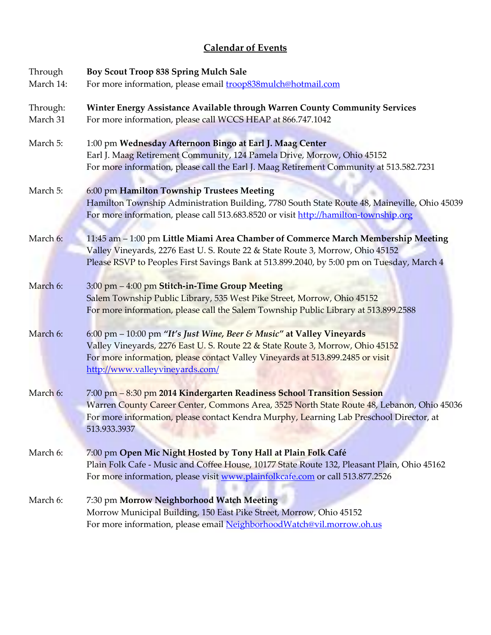# **Calendar of Events**

| Through              | Boy Scout Troop 838 Spring Mulch Sale                                                                                                                                                                                                                                           |
|----------------------|---------------------------------------------------------------------------------------------------------------------------------------------------------------------------------------------------------------------------------------------------------------------------------|
| March 14:            | For more information, please email <b>troop838mulch@hotmail.com</b>                                                                                                                                                                                                             |
| Through:<br>March 31 | Winter Energy Assistance Available through Warren County Community Services<br>For more information, please call WCCS HEAP at 866.747.1042                                                                                                                                      |
| March 5:             | 1:00 pm Wednesday Afternoon Bingo at Earl J. Maag Center<br>Earl J. Maag Retirement Community, 124 Pamela Drive, Morrow, Ohio 45152<br>For more information, please call the Earl J. Maag Retirement Community at 513.582.7231                                                  |
| March 5:             | 6:00 pm Hamilton Township Trustees Meeting<br>Hamilton Township Administration Building, 7780 South State Route 48, Maineville, Ohio 45039<br>For more information, please call 513.683.8520 or visit http://hamilton-township.org                                              |
| March 6:             | 11:45 am - 1:00 pm Little Miami Area Chamber of Commerce March Membership Meeting<br>Valley Vineyards, 2276 East U.S. Route 22 & State Route 3, Morrow, Ohio 45152<br>Please RSVP to Peoples First Savings Bank at 513.899.2040, by 5:00 pm on Tuesday, March 4                 |
| March 6:             | 3:00 pm - 4:00 pm Stitch-in-Time Group Meeting<br>Salem Township Public Library, 535 West Pike Street, Morrow, Ohio 45152<br>For more information, please call the Salem Township Public Library at 513.899.2588                                                                |
| March 6:             | 6:00 pm - 10:00 pm "It's Just Wine, Beer & Music" at Valley Vineyards<br>Valley Vineyards, 2276 East U.S. Route 22 & State Route 3, Morrow, Ohio 45152<br>For more information, please contact Valley Vineyards at 513.899.2485 or visit<br>http://www.valleyvineyards.com/     |
| March 6:             | 7:00 pm - 8:30 pm 2014 Kindergarten Readiness School Transition Session<br>Warren County Career Center, Commons Area, 3525 North State Route 48, Lebanon, Ohio 45036<br>For more information, please contact Kendra Murphy, Learning Lab Preschool Director, at<br>513.933.3937 |
| March 6:             | 7:00 pm Open Mic Night Hosted by Tony Hall at Plain Folk Café<br>Plain Folk Cafe - Music and Coffee House, 10177 State Route 132, Pleasant Plain, Ohio 45162<br>For more information, please visit www.plainfolkcafe.com or call 513.877.2526                                   |
| March 6:             | 7:30 pm Morrow Neighborhood Watch Meeting<br>Morrow Municipal Building, 150 East Pike Street, Morrow, Ohio 45152<br>For more information, please email Neighborhood Watch@vil.morrow.oh.us                                                                                      |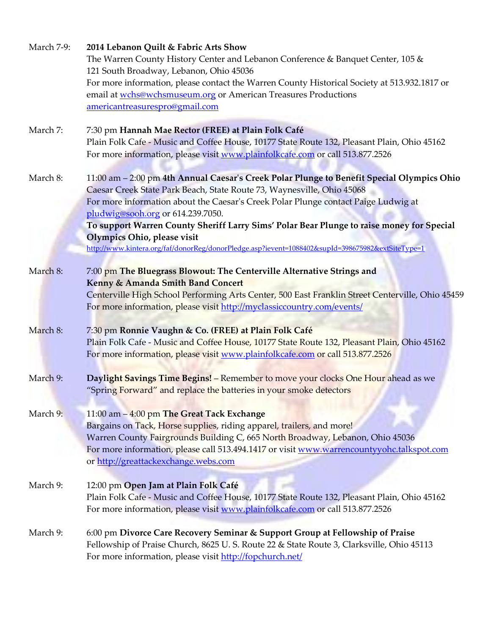| March 7-9: | 2014 Lebanon Quilt & Fabric Arts Show<br>The Warren County History Center and Lebanon Conference & Banquet Center, 105 &<br>121 South Broadway, Lebanon, Ohio 45036                                                                                                                                                                                                                                                                                                                                                             |
|------------|---------------------------------------------------------------------------------------------------------------------------------------------------------------------------------------------------------------------------------------------------------------------------------------------------------------------------------------------------------------------------------------------------------------------------------------------------------------------------------------------------------------------------------|
|            | For more information, please contact the Warren County Historical Society at 513.932.1817 or<br>email at wchs@wchsmuseum.org or American Treasures Productions<br>americantreasurespro@gmail.com                                                                                                                                                                                                                                                                                                                                |
| March 7:   | 7:30 pm Hannah Mae Rector (FREE) at Plain Folk Café<br>Plain Folk Cafe - Music and Coffee House, 10177 State Route 132, Pleasant Plain, Ohio 45162<br>For more information, please visit www.plainfolkcafe.com or call 513.877.2526                                                                                                                                                                                                                                                                                             |
| March 8:   | 11:00 am - 2:00 pm 4th Annual Caesar's Creek Polar Plunge to Benefit Special Olympics Ohio<br>Caesar Creek State Park Beach, State Route 73, Waynesville, Ohio 45068<br>For more information about the Caesar's Creek Polar Plunge contact Paige Ludwig at<br>pludwig@sooh.org or 614.239.7050.<br>To support Warren County Sheriff Larry Sims' Polar Bear Plunge to raise money for Special<br>Olympics Ohio, please visit<br>http://www.kintera.org/faf/donorReg/donorPledge.asp?ievent=1088402&supId=398675982&extSiteType=1 |
| March 8:   | 7:00 pm The Bluegrass Blowout: The Centerville Alternative Strings and<br>Kenny & Amanda Smith Band Concert<br>Centerville High School Performing Arts Center, 500 East Franklin Street Centerville, Ohio 45459<br>For more information, please visit http://myclassiccountry.com/events/                                                                                                                                                                                                                                       |
| March 8:   | 7:30 pm Ronnie Vaughn & Co. (FREE) at Plain Folk Café<br>Plain Folk Cafe - Music and Coffee House, 10177 State Route 132, Pleasant Plain, Ohio 45162<br>For more information, please visit www.plainfolkcafe.com or call 513.877.2526                                                                                                                                                                                                                                                                                           |
| March 9:   | Daylight Savings Time Begins! - Remember to move your clocks One Hour ahead as we<br>"Spring Forward" and replace the batteries in your smoke detectors                                                                                                                                                                                                                                                                                                                                                                         |
| March 9:   | 11:00 am - 4:00 pm The Great Tack Exchange<br>Bargains on Tack, Horse supplies, riding apparel, trailers, and more!<br>Warren County Fairgrounds Building C, 665 North Broadway, Lebanon, Ohio 45036<br>For more information, please call 513.494.1417 or visit www.warrencountyyohc.talkspot.com<br>or http://greattackexchange.webs.com                                                                                                                                                                                       |
| March 9:   | 12:00 pm Open Jam at Plain Folk Café<br>Plain Folk Cafe - Music and Coffee House, 10177 State Route 132, Pleasant Plain, Ohio 45162<br>For more information, please visit www.plainfolkcafe.com or call 513.877.2526                                                                                                                                                                                                                                                                                                            |
| March 9:   | 6:00 pm Divorce Care Recovery Seminar & Support Group at Fellowship of Praise<br>Fellowship of Praise Church, 8625 U.S. Route 22 & State Route 3, Clarksville, Ohio 45113<br>For more information, please visit http://fopchurch.net/                                                                                                                                                                                                                                                                                           |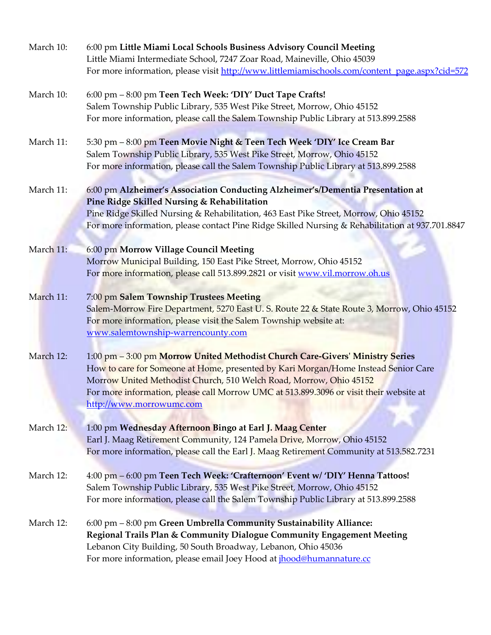| March 10: | 6:00 pm Little Miami Local Schools Business Advisory Council Meeting<br>Little Miami Intermediate School, 7247 Zoar Road, Maineville, Ohio 45039<br>For more information, please visit http://www.littlemiamischools.com/content_page.aspx?cid=572                                                                                                              |
|-----------|-----------------------------------------------------------------------------------------------------------------------------------------------------------------------------------------------------------------------------------------------------------------------------------------------------------------------------------------------------------------|
| March 10: | 6:00 pm - 8:00 pm Teen Tech Week: 'DIY' Duct Tape Crafts!<br>Salem Township Public Library, 535 West Pike Street, Morrow, Ohio 45152<br>For more information, please call the Salem Township Public Library at 513.899.2588                                                                                                                                     |
| March 11: | 5:30 pm - 8:00 pm Teen Movie Night & Teen Tech Week 'DIY' Ice Cream Bar<br>Salem Township Public Library, 535 West Pike Street, Morrow, Ohio 45152<br>For more information, please call the Salem Township Public Library at 513.899.2588                                                                                                                       |
| March 11: | 6:00 pm Alzheimer's Association Conducting Alzheimer's/Dementia Presentation at<br>Pine Ridge Skilled Nursing & Rehabilitation<br>Pine Ridge Skilled Nursing & Rehabilitation, 463 East Pike Street, Morrow, Ohio 45152<br>For more information, please contact Pine Ridge Skilled Nursing & Rehabilitation at 937.701.8847                                     |
| March 11: | 6:00 pm Morrow Village Council Meeting<br>Morrow Municipal Building, 150 East Pike Street, Morrow, Ohio 45152<br>For more information, please call 513.899.2821 or visit www.vil.morrow.oh.us                                                                                                                                                                   |
| March 11: | 7:00 pm Salem Township Trustees Meeting<br>Salem-Morrow Fire Department, 5270 East U. S. Route 22 & State Route 3, Morrow, Ohio 45152<br>For more information, please visit the Salem Township website at:<br>www.salemtownship-warrencounty.com                                                                                                                |
| March 12: | 1:00 pm - 3:00 pm Morrow United Methodist Church Care-Givers' Ministry Series<br>How to care for Someone at Home, presented by Kari Morgan/Home Instead Senior Care<br>Morrow United Methodist Church, 510 Welch Road, Morrow, Ohio 45152<br>For more information, please call Morrow UMC at 513.899.3096 or visit their website at<br>http://www.morrowumc.com |
| March 12: | 1:00 pm Wednesday Afternoon Bingo at Earl J. Maag Center<br>Earl J. Maag Retirement Community, 124 Pamela Drive, Morrow, Ohio 45152<br>For more information, please call the Earl J. Maag Retirement Community at 513.582.7231                                                                                                                                  |
| March 12: | 4:00 pm - 6:00 pm Teen Tech Week: 'Crafternoon' Event w/ 'DIY' Henna Tattoos!<br>Salem Township Public Library, 535 West Pike Street, Morrow, Ohio 45152<br>For more information, please call the Salem Township Public Library at 513.899.2588                                                                                                                 |
| March 12: | 6:00 pm - 8:00 pm Green Umbrella Community Sustainability Alliance:<br>Regional Trails Plan & Community Dialogue Community Engagement Meeting<br>Lebanon City Building, 50 South Broadway, Lebanon, Ohio 45036<br>For more information, please email Joey Hood at <i>ihood@humannature.cc</i>                                                                   |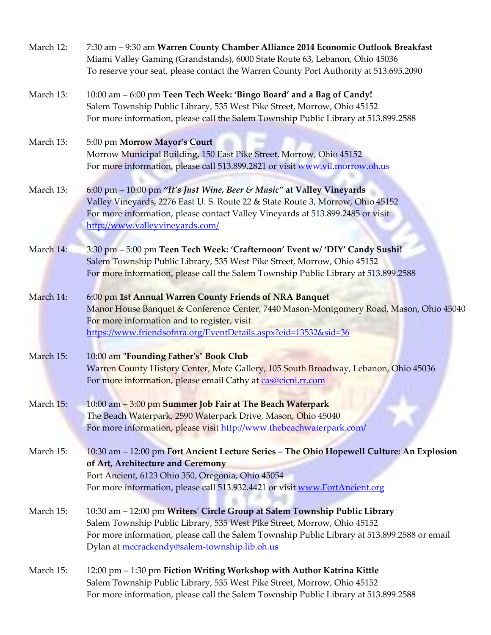| March 12: | 7:30 am - 9:30 am Warren County Chamber Alliance 2014 Economic Outlook Breakfast<br>Miami Valley Gaming (Grandstands), 6000 State Route 63, Lebanon, Ohio 45036<br>To reserve your seat, please contact the Warren County Port Authority at 513.695.2090                                               |
|-----------|--------------------------------------------------------------------------------------------------------------------------------------------------------------------------------------------------------------------------------------------------------------------------------------------------------|
| March 13: | 10:00 am - 6:00 pm Teen Tech Week: 'Bingo Board' and a Bag of Candy!<br>Salem Township Public Library, 535 West Pike Street, Morrow, Ohio 45152<br>For more information, please call the Salem Township Public Library at 513.899.2588                                                                 |
| March 13: | 5:00 pm Morrow Mayor's Court<br>Morrow Municipal Building, 150 East Pike Street, Morrow, Ohio 45152<br>For more information, please call 513.899.2821 or visit www.vil.morrow.oh.us                                                                                                                    |
| March 13: | 6:00 pm - 10:00 pm "It's Just Wine, Beer & Music" at Valley Vineyards<br>Valley Vineyards, 2276 East U.S. Route 22 & State Route 3, Morrow, Ohio 45152<br>For more information, please contact Valley Vineyards at 513.899.2485 or visit<br>http://www.valleyvineyards.com/                            |
| March 14: | 3:30 pm - 5:00 pm Teen Tech Week: 'Crafternoon' Event w/ 'DIY' Candy Sushi!<br>Salem Township Public Library, 535 West Pike Street, Morrow, Ohio 45152<br>For more information, please call the Salem Township Public Library at 513.899.2588                                                          |
| March 14: | 6:00 pm 1st Annual Warren County Friends of NRA Banquet<br>Manor House Banquet & Conference Center, 7440 Mason-Montgomery Road, Mason, Ohio 45040<br>For more information and to register, visit<br>https://www.friendsofnra.org/EventDetails.aspx?eid=13532&sid=36                                    |
| March 15: | 10:00 am "Founding Father's" Book Club<br>Warren County History Center, Mote Gallery, 105 South Broadway, Lebanon, Ohio 45036<br>For more information, please email Cathy at cas@cicni.rr.com                                                                                                          |
| March 15: | 10:00 am - 3:00 pm Summer Job Fair at The Beach Waterpark<br>The Beach Waterpark, 2590 Waterpark Drive, Mason, Ohio 45040<br>For more information, please visit http://www.thebeachwaterpark.com/                                                                                                      |
| March 15: | 10:30 am - 12:00 pm Fort Ancient Lecture Series - The Ohio Hopewell Culture: An Explosion<br>of Art, Architecture and Ceremony<br>Fort Ancient, 6123 Ohio 350, Oregonia, Ohio 45054<br>For more information, please call 513.932.4421 or visit www.FortAncient.org                                     |
| March 15: | 10:30 am - 12:00 pm Writers' Circle Group at Salem Township Public Library<br>Salem Township Public Library, 535 West Pike Street, Morrow, Ohio 45152<br>For more information, please call the Salem Township Public Library at 513.899.2588 or email<br>Dylan at mccrackendy@salem-township.lib.oh.us |
| March 15: | 12:00 pm - 1:30 pm Fiction Writing Workshop with Author Katrina Kittle<br>Salem Township Public Library, 535 West Pike Street, Morrow, Ohio 45152<br>For more information, please call the Salem Township Public Library at 513.899.2588                                                               |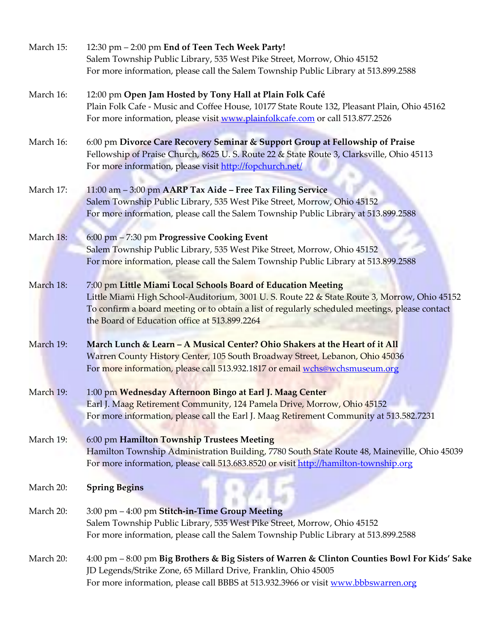| March 15: | 12:30 pm - 2:00 pm End of Teen Tech Week Party!<br>Salem Township Public Library, 535 West Pike Street, Morrow, Ohio 45152                      |
|-----------|-------------------------------------------------------------------------------------------------------------------------------------------------|
|           | For more information, please call the Salem Township Public Library at 513.899.2588                                                             |
| March 16: | 12:00 pm Open Jam Hosted by Tony Hall at Plain Folk Café                                                                                        |
|           | Plain Folk Cafe - Music and Coffee House, 10177 State Route 132, Pleasant Plain, Ohio 45162                                                     |
|           | For more information, please visit www.plainfolkcafe.com or call 513.877.2526                                                                   |
| March 16: | 6:00 pm Divorce Care Recovery Seminar & Support Group at Fellowship of Praise                                                                   |
|           | Fellowship of Praise Church, 8625 U.S. Route 22 & State Route 3, Clarksville, Ohio 45113                                                        |
|           | For more information, please visit http://fopchurch.net/                                                                                        |
| March 17: | 11:00 am - 3:00 pm AARP Tax Aide - Free Tax Filing Service                                                                                      |
|           | Salem Township Public Library, 535 West Pike Street, Morrow, Ohio 45152                                                                         |
|           | For more information, please call the Salem Township Public Library at 513.899.2588                                                             |
| March 18: | 6:00 pm - 7:30 pm Progressive Cooking Event                                                                                                     |
|           | Salem Township Public Library, 535 West Pike Street, Morrow, Ohio 45152                                                                         |
|           | For more information, please call the Salem Township Public Library at 513.899.2588                                                             |
| March 18: | 7:00 pm Little Miami Local Schools Board of Education Meeting                                                                                   |
|           | Little Miami High School-Auditorium, 3001 U.S. Route 22 & State Route 3, Morrow, Ohio 45152                                                     |
|           | To confirm a board meeting or to obtain a list of regularly scheduled meetings, please contact<br>the Board of Education office at 513.899.2264 |
| March 19: | March Lunch & Learn - A Musical Center? Ohio Shakers at the Heart of it All                                                                     |
|           | Warren County History Center, 105 South Broadway Street, Lebanon, Ohio 45036                                                                    |
|           | For more information, please call 513.932.1817 or email wchs@wchsmuseum.org                                                                     |
| March 19: | 1:00 pm Wednesday Afternoon Bingo at Earl J. Maag Center                                                                                        |
|           | Earl J. Maag Retirement Community, 124 Pamela Drive, Morrow, Ohio 45152                                                                         |
|           | For more information, please call the Earl J. Maag Retirement Community at 513.582.7231                                                         |
| March 19: | 6:00 pm Hamilton Township Trustees Meeting                                                                                                      |
|           | Hamilton Township Administration Building, 7780 South State Route 48, Maineville, Ohio 45039                                                    |
|           | For more information, please call 513.683.8520 or visit http://hamilton-township.org                                                            |
| March 20: | <b>Spring Begins</b>                                                                                                                            |
| March 20: | 3:00 pm - 4:00 pm Stitch-in-Time Group Meeting                                                                                                  |
|           | Salem Township Public Library, 535 West Pike Street, Morrow, Ohio 45152                                                                         |
|           | For more information, please call the Salem Township Public Library at 513.899.2588                                                             |
| March 20: | 4:00 pm – 8:00 pm Big Brothers & Big Sisters of Warren & Clinton Counties Bowl For Kids' Sake                                                   |
|           | JD Legends/Strike Zone, 65 Millard Drive, Franklin, Ohio 45005                                                                                  |
|           | For more information, please call BBBS at 513.932.3966 or visit www.bbbswarren.org                                                              |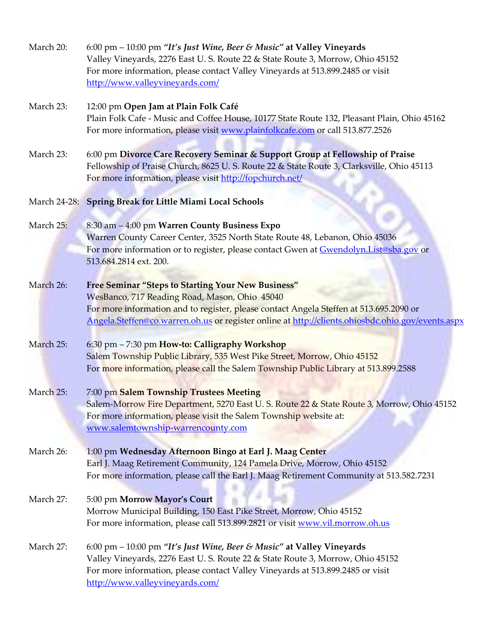| March 20: | 6:00 pm $-$ 10:00 pm "It's Just Wine, Beer & Music" at Valley Vineyards<br>Valley Vineyards, 2276 East U.S. Route 22 & State Route 3, Morrow, Ohio 45152<br>For more information, please contact Valley Vineyards at 513.899.2485 or visit<br>http://www.valleyvineyards.com/                             |
|-----------|-----------------------------------------------------------------------------------------------------------------------------------------------------------------------------------------------------------------------------------------------------------------------------------------------------------|
| March 23: | 12:00 pm Open Jam at Plain Folk Café<br>Plain Folk Cafe - Music and Coffee House, 10177 State Route 132, Pleasant Plain, Ohio 45162<br>For more information, please visit www.plainfolkcafe.com or call 513.877.2526                                                                                      |
| March 23: | 6:00 pm Divorce Care Recovery Seminar & Support Group at Fellowship of Praise<br>Fellowship of Praise Church, 8625 U.S. Route 22 & State Route 3, Clarksville, Ohio 45113<br>For more information, please visit http://fopchurch.net/                                                                     |
|           | March 24-28: Spring Break for Little Miami Local Schools                                                                                                                                                                                                                                                  |
| March 25: | 8:30 am - 4:00 pm Warren County Business Expo<br>Warren County Career Center, 3525 North State Route 48, Lebanon, Ohio 45036<br>For more information or to register, please contact Gwen at Gwendolyn. List@sba.gov or<br>513.684.2814 ext. 200.                                                          |
| March 26: | <b>Free Seminar "Steps to Starting Your New Business"</b><br>WesBanco, 717 Reading Road, Mason, Ohio 45040<br>For more information and to register, please contact Angela Steffen at 513.695.2090 or<br>Angela.Steffen@co.warren.oh.us or register online at http://clients.ohiosbdc.ohio.gov/events.aspx |
| March 25: | 6:30 pm - 7:30 pm How-to: Calligraphy Workshop<br>Salem Township Public Library, 535 West Pike Street, Morrow, Ohio 45152<br>For more information, please call the Salem Township Public Library at 513.899.2588                                                                                          |
| March 25: | 7:00 pm Salem Township Trustees Meeting<br>Salem-Morrow Fire Department, 5270 East U. S. Route 22 & State Route 3, Morrow, Ohio 45152<br>For more information, please visit the Salem Township website at:<br>www.salemtownship-warrencounty.com                                                          |
| March 26: | 1:00 pm Wednesday Afternoon Bingo at Earl J. Maag Center<br>Earl J. Maag Retirement Community, 124 Pamela Drive, Morrow, Ohio 45152<br>For more information, please call the Earl J. Maag Retirement Community at 513.582.7231                                                                            |
| March 27: | 5:00 pm Morrow Mayor's Court<br>Morrow Municipal Building, 150 East Pike Street, Morrow, Ohio 45152<br>For more information, please call 513.899.2821 or visit www.vil.morrow.oh.us                                                                                                                       |
| March 27: | 6:00 pm - 10:00 pm "It's Just Wine, Beer & Music" at Valley Vineyards<br>Valley Vineyards, 2276 East U. S. Route 22 & State Route 3, Morrow, Ohio 45152<br>For more information, please contact Valley Vineyards at 513.899.2485 or visit<br>http://www.valleyvineyards.com/                              |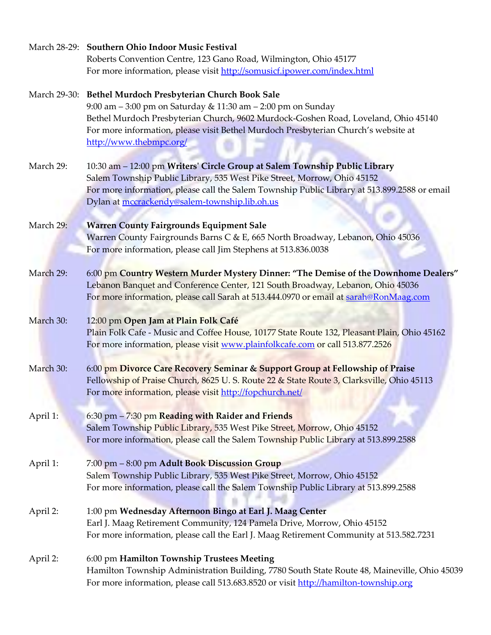|           | March 28-29: Southern Ohio Indoor Music Festival                                             |
|-----------|----------------------------------------------------------------------------------------------|
|           | Roberts Convention Centre, 123 Gano Road, Wilmington, Ohio 45177                             |
|           | For more information, please visit http://somusicf.ipower.com/index.html                     |
|           | March 29-30: Bethel Murdoch Presbyterian Church Book Sale                                    |
|           | 9:00 am - 3:00 pm on Saturday & 11:30 am - 2:00 pm on Sunday                                 |
|           | Bethel Murdoch Presbyterian Church, 9602 Murdock-Goshen Road, Loveland, Ohio 45140           |
|           | For more information, please visit Bethel Murdoch Presbyterian Church's website at           |
|           | http://www.thebmpc.org/                                                                      |
| March 29: | 10:30 am - 12:00 pm Writers' Circle Group at Salem Township Public Library                   |
|           | Salem Township Public Library, 535 West Pike Street, Morrow, Ohio 45152                      |
|           | For more information, please call the Salem Township Public Library at 513.899.2588 or email |
|           | Dylan at mccrackendy@salem-township.lib.oh.us                                                |
|           |                                                                                              |
| March 29: | <b>Warren County Fairgrounds Equipment Sale</b>                                              |
|           | Warren County Fairgrounds Barns C & E, 665 North Broadway, Lebanon, Ohio 45036               |
|           | For more information, please call Jim Stephens at 513.836.0038                               |
|           |                                                                                              |
| March 29: | 6:00 pm Country Western Murder Mystery Dinner: "The Demise of the Downhome Dealers"          |
|           | Lebanon Banquet and Conference Center, 121 South Broadway, Lebanon, Ohio 45036               |
|           | For more information, please call Sarah at 513.444.0970 or email at sarah@RonMaag.com        |
| March 30: | 12:00 pm Open Jam at Plain Folk Café                                                         |
|           | Plain Folk Cafe - Music and Coffee House, 10177 State Route 132, Pleasant Plain, Ohio 45162  |
|           | For more information, please visit www.plainfolkcafe.com or call 513.877.2526                |
| March 30: | 6:00 pm Divorce Care Recovery Seminar & Support Group at Fellowship of Praise                |
|           | Fellowship of Praise Church, 8625 U. S. Route 22 & State Route 3, Clarksville, Ohio 45113    |
|           | For more information, please visit http://fopchurch.net/                                     |
|           |                                                                                              |
| April 1:  | 6:30 pm - 7:30 pm Reading with Raider and Friends                                            |
|           | Salem Township Public Library, 535 West Pike Street, Morrow, Ohio 45152                      |
|           | For more information, please call the Salem Township Public Library at 513.899.2588          |
| April 1:  | 7:00 pm - 8:00 pm Adult Book Discussion Group                                                |
|           | Salem Township Public Library, 535 West Pike Street, Morrow, Ohio 45152                      |
|           | For more information, please call the Salem Township Public Library at 513.899.2588          |
|           |                                                                                              |
| April 2:  | 1:00 pm Wednesday Afternoon Bingo at Earl J. Maag Center                                     |
|           | Earl J. Maag Retirement Community, 124 Pamela Drive, Morrow, Ohio 45152                      |
|           | For more information, please call the Earl J. Maag Retirement Community at 513.582.7231      |
| April 2:  | 6:00 pm Hamilton Township Trustees Meeting                                                   |
|           | Hamilton Township Administration Building, 7780 South State Route 48, Maineville, Ohio 45039 |
|           | For more information, please call 513.683.8520 or visit http://hamilton-township.org         |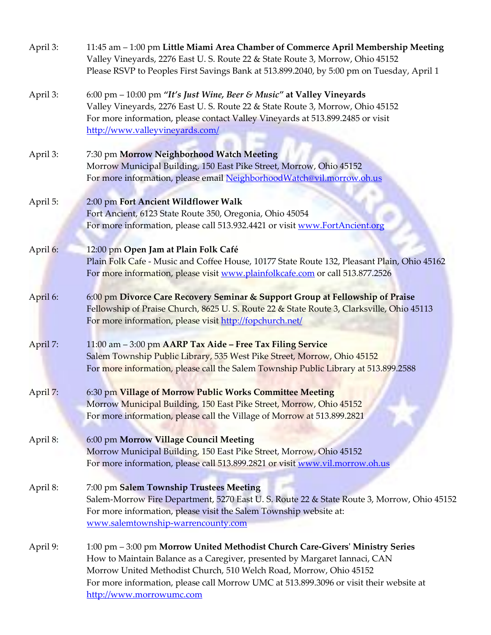| April 3: | 11:45 am - 1:00 pm Little Miami Area Chamber of Commerce April Membership Meeting<br>Valley Vineyards, 2276 East U. S. Route 22 & State Route 3, Morrow, Ohio 45152<br>Please RSVP to Peoples First Savings Bank at 513.899.2040, by 5:00 pm on Tuesday, April 1                                                                                        |
|----------|---------------------------------------------------------------------------------------------------------------------------------------------------------------------------------------------------------------------------------------------------------------------------------------------------------------------------------------------------------|
| April 3: | 6:00 pm $-$ 10:00 pm "It's Just Wine, Beer & Music" at Valley Vineyards<br>Valley Vineyards, 2276 East U. S. Route 22 & State Route 3, Morrow, Ohio 45152<br>For more information, please contact Valley Vineyards at 513.899.2485 or visit<br>http://www.valleyvineyards.com/                                                                          |
| April 3: | 7:30 pm Morrow Neighborhood Watch Meeting<br>Morrow Municipal Building, 150 East Pike Street, Morrow, Ohio 45152<br>For more information, please email NeighborhoodWatch@vil.morrow.oh.us                                                                                                                                                               |
| April 5: | 2:00 pm Fort Ancient Wildflower Walk<br>Fort Ancient, 6123 State Route 350, Oregonia, Ohio 45054<br>For more information, please call 513.932.4421 or visit www.FortAncient.org                                                                                                                                                                         |
| April 6: | 12:00 pm Open Jam at Plain Folk Café<br>Plain Folk Cafe - Music and Coffee House, 10177 State Route 132, Pleasant Plain, Ohio 45162<br>For more information, please visit www.plainfolkcafe.com or call 513.877.2526                                                                                                                                    |
| April 6: | 6:00 pm Divorce Care Recovery Seminar & Support Group at Fellowship of Praise<br>Fellowship of Praise Church, 8625 U.S. Route 22 & State Route 3, Clarksville, Ohio 45113<br>For more information, please visit http://fopchurch.net/                                                                                                                   |
| April 7: | 11:00 am - 3:00 pm AARP Tax Aide - Free Tax Filing Service<br>Salem Township Public Library, 535 West Pike Street, Morrow, Ohio 45152<br>For more information, please call the Salem Township Public Library at 513.899.2588                                                                                                                            |
| April 7: | 6:30 pm Village of Morrow Public Works Committee Meeting<br>Morrow Municipal Building, 150 East Pike Street, Morrow, Ohio 45152<br>For more information, please call the Village of Morrow at 513.899.2821                                                                                                                                              |
| April 8: | 6:00 pm Morrow Village Council Meeting<br>Morrow Municipal Building, 150 East Pike Street, Morrow, Ohio 45152<br>For more information, please call 513.899.2821 or visit www.vil.morrow.oh.us                                                                                                                                                           |
| April 8: | 7:00 pm Salem Township Trustees Meeting<br>Salem-Morrow Fire Department, 5270 East U. S. Route 22 & State Route 3, Morrow, Ohio 45152<br>For more information, please visit the Salem Township website at:<br>www.salemtownship-warrencounty.com                                                                                                        |
| April 9: | 1:00 pm - 3:00 pm Morrow United Methodist Church Care-Givers' Ministry Series<br>How to Maintain Balance as a Caregiver, presented by Margaret Iannaci, CAN<br>Morrow United Methodist Church, 510 Welch Road, Morrow, Ohio 45152<br>For more information, please call Morrow UMC at 513.899.3096 or visit their website at<br>http://www.morrowumc.com |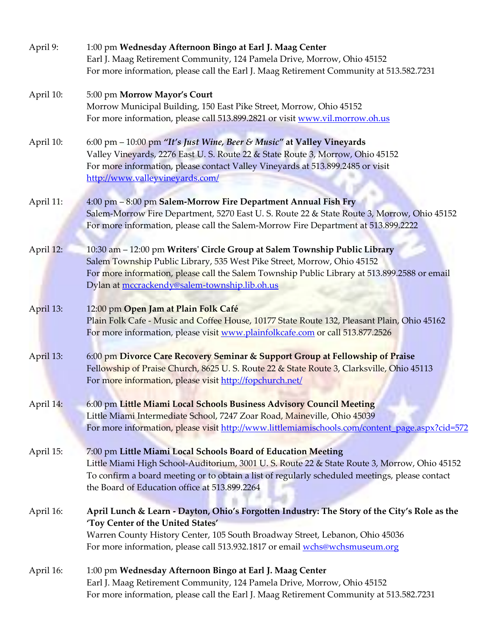| April 9:  | 1:00 pm Wednesday Afternoon Bingo at Earl J. Maag Center<br>Earl J. Maag Retirement Community, 124 Pamela Drive, Morrow, Ohio 45152<br>For more information, please call the Earl J. Maag Retirement Community at 513.582.7231                                                                                   |
|-----------|------------------------------------------------------------------------------------------------------------------------------------------------------------------------------------------------------------------------------------------------------------------------------------------------------------------|
| April 10: | 5:00 pm Morrow Mayor's Court<br>Morrow Municipal Building, 150 East Pike Street, Morrow, Ohio 45152<br>For more information, please call 513.899.2821 or visit www.vil.morrow.oh.us                                                                                                                              |
| April 10: | 6:00 pm - 10:00 pm "It's Just Wine, Beer & Music" at Valley Vineyards<br>Valley Vineyards, 2276 East U. S. Route 22 & State Route 3, Morrow, Ohio 45152<br>For more information, please contact Valley Vineyards at 513.899.2485 or visit<br>http://www.valleyvineyards.com/                                     |
| April 11: | 4:00 pm - 8:00 pm Salem-Morrow Fire Department Annual Fish Fry<br>Salem-Morrow Fire Department, 5270 East U. S. Route 22 & State Route 3, Morrow, Ohio 45152<br>For more information, please call the Salem-Morrow Fire Department at 513.899.2222                                                               |
| April 12: | 10:30 am - 12:00 pm Writers' Circle Group at Salem Township Public Library<br>Salem Township Public Library, 535 West Pike Street, Morrow, Ohio 45152<br>For more information, please call the Salem Township Public Library at 513.899.2588 or email<br>Dylan at mccrackendy@salem-township.lib.oh.us           |
| April 13: | 12:00 pm Open Jam at Plain Folk Café<br>Plain Folk Cafe - Music and Coffee House, 10177 State Route 132, Pleasant Plain, Ohio 45162<br>For more information, please visit www.plainfolkcafe.com or call 513.877.2526                                                                                             |
| April 13: | 6:00 pm Divorce Care Recovery Seminar & Support Group at Fellowship of Praise<br>Fellowship of Praise Church, 8625 U.S. Route 22 & State Route 3, Clarksville, Ohio 45113<br>For more information, please visit http://fopchurch.net/                                                                            |
| April 14: | 6:00 pm Little Miami Local Schools Business Advisory Council Meeting<br>Little Miami Intermediate School, 7247 Zoar Road, Maineville, Ohio 45039<br>For more information, please visit http://www.littlemiamischools.com/content_page.aspx?cid=572                                                               |
| April 15: | 7:00 pm Little Miami Local Schools Board of Education Meeting<br>Little Miami High School-Auditorium, 3001 U. S. Route 22 & State Route 3, Morrow, Ohio 45152<br>To confirm a board meeting or to obtain a list of regularly scheduled meetings, please contact<br>the Board of Education office at 513.899.2264 |
| April 16: | April Lunch & Learn - Dayton, Ohio's Forgotten Industry: The Story of the City's Role as the<br>'Toy Center of the United States'<br>Warren County History Center, 105 South Broadway Street, Lebanon, Ohio 45036<br>For more information, please call 513.932.1817 or email wchs@wchsmuseum.org                 |
| April 16: | 1:00 pm Wednesday Afternoon Bingo at Earl J. Maag Center<br>Earl J. Maag Retirement Community, 124 Pamela Drive, Morrow, Ohio 45152<br>For more information, please call the Earl J. Maag Retirement Community at 513.582.7231                                                                                   |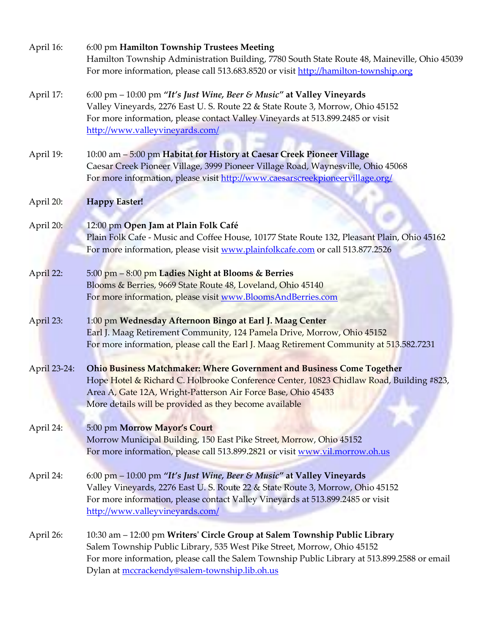| April 16:    | 6:00 pm Hamilton Township Trustees Meeting<br>Hamilton Township Administration Building, 7780 South State Route 48, Maineville, Ohio 45039<br>For more information, please call 513.683.8520 or visit http://hamilton-township.org                                                                     |
|--------------|--------------------------------------------------------------------------------------------------------------------------------------------------------------------------------------------------------------------------------------------------------------------------------------------------------|
| April 17:    | 6:00 pm - 10:00 pm "It's Just Wine, Beer & Music" at Valley Vineyards<br>Valley Vineyards, 2276 East U. S. Route 22 & State Route 3, Morrow, Ohio 45152<br>For more information, please contact Valley Vineyards at 513.899.2485 or visit<br>http://www.valleyvineyards.com/                           |
| April 19:    | 10:00 am - 5:00 pm Habitat for History at Caesar Creek Pioneer Village<br>Caesar Creek Pioneer Village, 3999 Pioneer Village Road, Waynesville, Ohio 45068<br>For more information, please visit http://www.caesarscreekpioneervillage.org/                                                            |
| April 20:    | <b>Happy Easter!</b>                                                                                                                                                                                                                                                                                   |
| April 20:    | 12:00 pm Open Jam at Plain Folk Café<br>Plain Folk Cafe - Music and Coffee House, 10177 State Route 132, Pleasant Plain, Ohio 45162<br>For more information, please visit www.plainfolkcafe.com or call 513.877.2526                                                                                   |
| April 22:    | 5:00 pm - 8:00 pm Ladies Night at Blooms & Berries<br>Blooms & Berries, 9669 State Route 48, Loveland, Ohio 45140<br>For more information, please visit www.BloomsAndBerries.com                                                                                                                       |
| April 23:    | 1:00 pm Wednesday Afternoon Bingo at Earl J. Maag Center<br>Earl J. Maag Retirement Community, 124 Pamela Drive, Morrow, Ohio 45152<br>For more information, please call the Earl J. Maag Retirement Community at 513.582.7231                                                                         |
| April 23-24: | <b>Ohio Business Matchmaker: Where Government and Business Come Together</b><br>Hope Hotel & Richard C. Holbrooke Conference Center, 10823 Chidlaw Road, Building #823,<br>Area A, Gate 12A, Wright-Patterson Air Force Base, Ohio 45433<br>More details will be provided as they become available     |
| April 24:    | 5:00 pm Morrow Mayor's Court<br>Morrow Municipal Building, 150 East Pike Street, Morrow, Ohio 45152<br>For more information, please call 513.899.2821 or visit www.vil.morrow.oh.us                                                                                                                    |
| April 24:    | 6:00 pm – 10:00 pm "It's Just Wine, Beer & Music" at Valley Vineyards<br>Valley Vineyards, 2276 East U. S. Route 22 & State Route 3, Morrow, Ohio 45152<br>For more information, please contact Valley Vineyards at 513.899.2485 or visit<br>http://www.valleyvineyards.com/                           |
| April 26:    | 10:30 am – 12:00 pm Writers' Circle Group at Salem Township Public Library<br>Salem Township Public Library, 535 West Pike Street, Morrow, Ohio 45152<br>For more information, please call the Salem Township Public Library at 513.899.2588 or email<br>Dylan at mccrackendy@salem-township.lib.oh.us |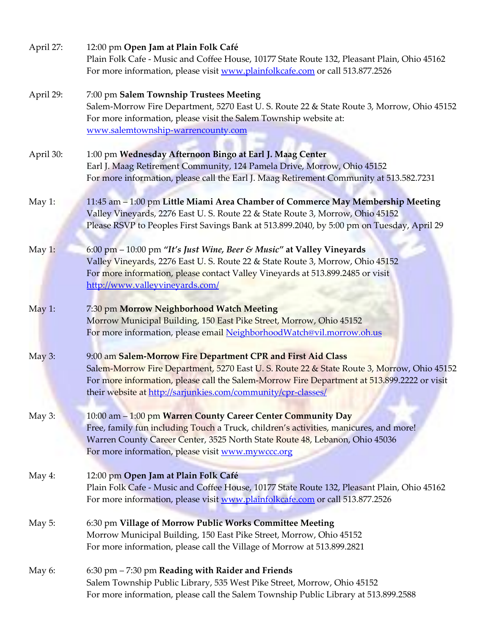| April 27: | 12:00 pm Open Jam at Plain Folk Café<br>Plain Folk Cafe - Music and Coffee House, 10177 State Route 132, Pleasant Plain, Ohio 45162<br>For more information, please visit www.plainfolkcafe.com or call 513.877.2526                                                                                                       |
|-----------|----------------------------------------------------------------------------------------------------------------------------------------------------------------------------------------------------------------------------------------------------------------------------------------------------------------------------|
| April 29: | 7:00 pm Salem Township Trustees Meeting<br>Salem-Morrow Fire Department, 5270 East U. S. Route 22 & State Route 3, Morrow, Ohio 45152<br>For more information, please visit the Salem Township website at:<br>www.salemtownship-warrencounty.com                                                                           |
| April 30: | 1:00 pm Wednesday Afternoon Bingo at Earl J. Maag Center<br>Earl J. Maag Retirement Community, 124 Pamela Drive, Morrow, Ohio 45152<br>For more information, please call the Earl J. Maag Retirement Community at 513.582.7231                                                                                             |
| May 1:    | 11:45 am - 1:00 pm Little Miami Area Chamber of Commerce May Membership Meeting<br>Valley Vineyards, 2276 East U.S. Route 22 & State Route 3, Morrow, Ohio 45152<br>Please RSVP to Peoples First Savings Bank at 513.899.2040, by 5:00 pm on Tuesday, April 29                                                             |
| May 1:    | 6:00 pm - 10:00 pm "It's Just Wine, Beer & Music" at Valley Vineyards<br>Valley Vineyards, 2276 East U.S. Route 22 & State Route 3, Morrow, Ohio 45152<br>For more information, please contact Valley Vineyards at 513.899.2485 or visit<br>http://www.valleyvineyards.com/                                                |
| May 1:    | 7:30 pm Morrow Neighborhood Watch Meeting<br>Morrow Municipal Building, 150 East Pike Street, Morrow, Ohio 45152<br>For more information, please email NeighborhoodWatch@vil.morrow.oh.us                                                                                                                                  |
| May $3:$  | 9:00 am Salem-Morrow Fire Department CPR and First Aid Class<br>Salem-Morrow Fire Department, 5270 East U. S. Route 22 & State Route 3, Morrow, Ohio 45152<br>For more information, please call the Salem-Morrow Fire Department at 513.899.2222 or visit<br>their website at http://sarjunkies.com/community/cpr-classes/ |
| May 3:    | 10:00 am - 1:00 pm Warren County Career Center Community Day<br>Free, family fun including Touch a Truck, children's activities, manicures, and more!<br>Warren County Career Center, 3525 North State Route 48, Lebanon, Ohio 45036<br>For more information, please visit www.mywccc.org                                  |
| May 4:    | 12:00 pm Open Jam at Plain Folk Café<br>Plain Folk Cafe - Music and Coffee House, 10177 State Route 132, Pleasant Plain, Ohio 45162<br>For more information, please visit www.plainfolkcafe.com or call 513.877.2526                                                                                                       |
| May $5:$  | 6:30 pm Village of Morrow Public Works Committee Meeting<br>Morrow Municipal Building, 150 East Pike Street, Morrow, Ohio 45152<br>For more information, please call the Village of Morrow at 513.899.2821                                                                                                                 |
| May 6:    | $6:30$ pm $-7:30$ pm Reading with Raider and Friends<br>Salem Township Public Library, 535 West Pike Street, Morrow, Ohio 45152<br>For more information, please call the Salem Township Public Library at 513.899.2588                                                                                                     |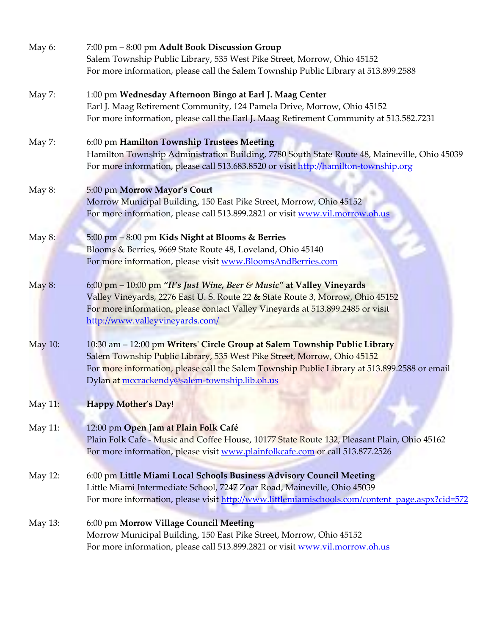| May 6:  | 7:00 pm - 8:00 pm Adult Book Discussion Group<br>Salem Township Public Library, 535 West Pike Street, Morrow, Ohio 45152                                                                                                                                                                               |
|---------|--------------------------------------------------------------------------------------------------------------------------------------------------------------------------------------------------------------------------------------------------------------------------------------------------------|
|         | For more information, please call the Salem Township Public Library at 513.899.2588                                                                                                                                                                                                                    |
| May 7:  | 1:00 pm Wednesday Afternoon Bingo at Earl J. Maag Center<br>Earl J. Maag Retirement Community, 124 Pamela Drive, Morrow, Ohio 45152<br>For more information, please call the Earl J. Maag Retirement Community at 513.582.7231                                                                         |
| May 7:  | 6:00 pm Hamilton Township Trustees Meeting<br>Hamilton Township Administration Building, 7780 South State Route 48, Maineville, Ohio 45039<br>For more information, please call 513.683.8520 or visit http://hamilton-township.org                                                                     |
| May 8:  | 5:00 pm Morrow Mayor's Court<br>Morrow Municipal Building, 150 East Pike Street, Morrow, Ohio 45152<br>For more information, please call 513.899.2821 or visit www.vil.morrow.oh.us                                                                                                                    |
| May 8:  | 5:00 pm - 8:00 pm Kids Night at Blooms & Berries<br>Blooms & Berries, 9669 State Route 48, Loveland, Ohio 45140<br>For more information, please visit www.BloomsAndBerries.com                                                                                                                         |
| May 8:  | 6:00 pm - 10:00 pm "It's Just Wine, Beer & Music" at Valley Vineyards<br>Valley Vineyards, 2276 East U.S. Route 22 & State Route 3, Morrow, Ohio 45152<br>For more information, please contact Valley Vineyards at 513.899.2485 or visit<br>http://www.valleyvineyards.com/                            |
| May 10: | 10:30 am - 12:00 pm Writers' Circle Group at Salem Township Public Library<br>Salem Township Public Library, 535 West Pike Street, Morrow, Ohio 45152<br>For more information, please call the Salem Township Public Library at 513.899.2588 or email<br>Dylan at mccrackendy@salem-township.lib.oh.us |
| May 11: | <b>Happy Mother's Day!</b>                                                                                                                                                                                                                                                                             |
| May 11: | 12:00 pm Open Jam at Plain Folk Café<br>Plain Folk Cafe - Music and Coffee House, 10177 State Route 132, Pleasant Plain, Ohio 45162<br>For more information, please visit www.plainfolkcafe.com or call 513.877.2526                                                                                   |
| May 12: | 6:00 pm Little Miami Local Schools Business Advisory Council Meeting<br>Little Miami Intermediate School, 7247 Zoar Road, Maineville, Ohio 45039<br>For more information, please visit http://www.littlemiamischools.com/content_page.aspx?cid=572                                                     |
| May 13: | 6:00 pm Morrow Village Council Meeting<br>Morrow Municipal Building, 150 East Pike Street, Morrow, Ohio 45152<br>For more information, please call 513.899.2821 or visit www.vil.morrow.oh.us                                                                                                          |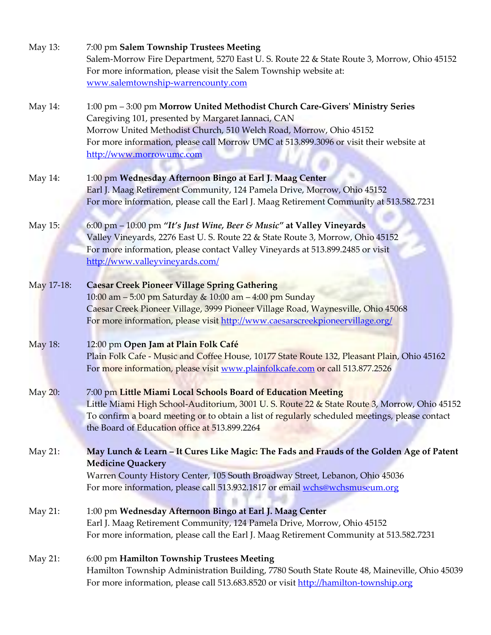| May 13:    | 7:00 pm Salem Township Trustees Meeting<br>Salem-Morrow Fire Department, 5270 East U. S. Route 22 & State Route 3, Morrow, Ohio 45152<br>For more information, please visit the Salem Township website at:                                                                                                                      |
|------------|---------------------------------------------------------------------------------------------------------------------------------------------------------------------------------------------------------------------------------------------------------------------------------------------------------------------------------|
|            | www.salemtownship-warrencounty.com                                                                                                                                                                                                                                                                                              |
| May 14:    | 1:00 pm - 3:00 pm Morrow United Methodist Church Care-Givers' Ministry Series<br>Caregiving 101, presented by Margaret Iannaci, CAN<br>Morrow United Methodist Church, 510 Welch Road, Morrow, Ohio 45152<br>For more information, please call Morrow UMC at 513.899.3096 or visit their website at<br>http://www.morrowumc.com |
| May 14:    | 1:00 pm Wednesday Afternoon Bingo at Earl J. Maag Center<br>Earl J. Maag Retirement Community, 124 Pamela Drive, Morrow, Ohio 45152<br>For more information, please call the Earl J. Maag Retirement Community at 513.582.7231                                                                                                  |
| May 15:    | 6:00 pm - 10:00 pm "It's Just Wine, Beer & Music" at Valley Vineyards<br>Valley Vineyards, 2276 East U. S. Route 22 & State Route 3, Morrow, Ohio 45152<br>For more information, please contact Valley Vineyards at 513.899.2485 or visit<br>http://www.valleyvineyards.com/                                                    |
| May 17-18: | <b>Caesar Creek Pioneer Village Spring Gathering</b><br>10:00 am - 5:00 pm Saturday & 10:00 am - 4:00 pm Sunday<br>Caesar Creek Pioneer Village, 3999 Pioneer Village Road, Waynesville, Ohio 45068<br>For more information, please visit http://www.caesarscreekpioneervillage.org/                                            |
| May 18:    | 12:00 pm Open Jam at Plain Folk Café<br>Plain Folk Cafe - Music and Coffee House, 10177 State Route 132, Pleasant Plain, Ohio 45162<br>For more information, please visit www.plainfolkcafe.com or call 513.877.2526                                                                                                            |
| May 20:    | 7:00 pm Little Miami Local Schools Board of Education Meeting<br>Little Miami High School-Auditorium, 3001 U.S. Route 22 & State Route 3, Morrow, Ohio 45152<br>To confirm a board meeting or to obtain a list of regularly scheduled meetings, please contact<br>the Board of Education office at 513.899.2264                 |
| May 21:    | May Lunch & Learn - It Cures Like Magic: The Fads and Frauds of the Golden Age of Patent<br><b>Medicine Quackery</b><br>Warren County History Center, 105 South Broadway Street, Lebanon, Ohio 45036<br>For more information, please call 513.932.1817 or email wchs@wchsmuseum.org                                             |
| May 21:    | 1:00 pm Wednesday Afternoon Bingo at Earl J. Maag Center<br>Earl J. Maag Retirement Community, 124 Pamela Drive, Morrow, Ohio 45152<br>For more information, please call the Earl J. Maag Retirement Community at 513.582.7231                                                                                                  |
| May 21:    | 6:00 pm Hamilton Township Trustees Meeting<br>Hamilton Township Administration Building, 7780 South State Route 48, Maineville, Ohio 45039<br>For more information, please call 513.683.8520 or visit http://hamilton-township.org                                                                                              |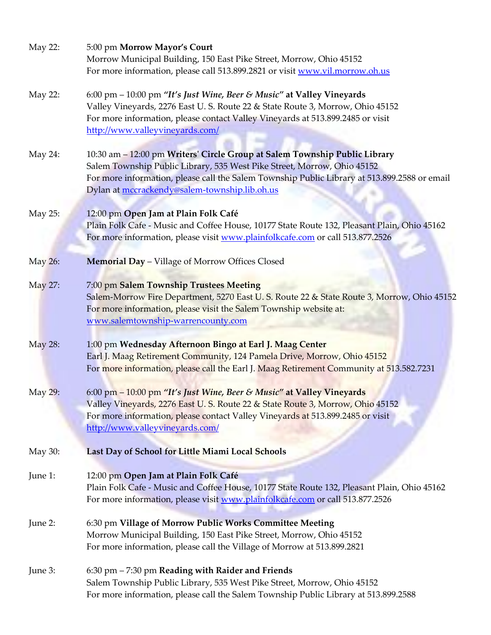| May 22: | 5:00 pm Morrow Mayor's Court<br>Morrow Municipal Building, 150 East Pike Street, Morrow, Ohio 45152<br>For more information, please call 513.899.2821 or visit www.vil.morrow.oh.us                                                                                                                    |
|---------|--------------------------------------------------------------------------------------------------------------------------------------------------------------------------------------------------------------------------------------------------------------------------------------------------------|
| May 22: | 6:00 pm - 10:00 pm "It's Just Wine, Beer & Music" at Valley Vineyards<br>Valley Vineyards, 2276 East U.S. Route 22 & State Route 3, Morrow, Ohio 45152<br>For more information, please contact Valley Vineyards at 513.899.2485 or visit<br>http://www.valleyvineyards.com/                            |
| May 24: | 10:30 am - 12:00 pm Writers' Circle Group at Salem Township Public Library<br>Salem Township Public Library, 535 West Pike Street, Morrow, Ohio 45152<br>For more information, please call the Salem Township Public Library at 513.899.2588 or email<br>Dylan at mccrackendy@salem-township.lib.oh.us |
| May 25: | 12:00 pm Open Jam at Plain Folk Café<br>Plain Folk Cafe - Music and Coffee House, 10177 State Route 132, Pleasant Plain, Ohio 45162<br>For more information, please visit www.plainfolkcafe.com or call 513.877.2526                                                                                   |
| May 26: | <b>Memorial Day - Village of Morrow Offices Closed</b>                                                                                                                                                                                                                                                 |
| May 27: | 7:00 pm Salem Township Trustees Meeting<br>Salem-Morrow Fire Department, 5270 East U. S. Route 22 & State Route 3, Morrow, Ohio 45152<br>For more information, please visit the Salem Township website at:<br>www.salemtownship-warrencounty.com                                                       |
| May 28: | 1:00 pm Wednesday Afternoon Bingo at Earl J. Maag Center<br>Earl J. Maag Retirement Community, 124 Pamela Drive, Morrow, Ohio 45152<br>For more information, please call the Earl J. Maag Retirement Community at 513.582.7231                                                                         |
| May 29: | 6:00 pm - 10:00 pm "It's Just Wine, Beer & Music" at Valley Vineyards<br>Valley Vineyards, 2276 East U.S. Route 22 & State Route 3, Morrow, Ohio 45152<br>For more information, please contact Valley Vineyards at 513.899.2485 or visit<br>http://www.valleyvineyards.com/                            |
| May 30: | Last Day of School for Little Miami Local Schools                                                                                                                                                                                                                                                      |
| June 1: | 12:00 pm Open Jam at Plain Folk Café<br>Plain Folk Cafe - Music and Coffee House, 10177 State Route 132, Pleasant Plain, Ohio 45162<br>For more information, please visit www.plainfolkcafe.com or call 513.877.2526                                                                                   |
| June 2: | 6:30 pm Village of Morrow Public Works Committee Meeting<br>Morrow Municipal Building, 150 East Pike Street, Morrow, Ohio 45152<br>For more information, please call the Village of Morrow at 513.899.2821                                                                                             |
| June 3: | 6:30 pm - 7:30 pm Reading with Raider and Friends<br>Salem Township Public Library, 535 West Pike Street, Morrow, Ohio 45152<br>For more information, please call the Salem Township Public Library at 513.899.2588                                                                                    |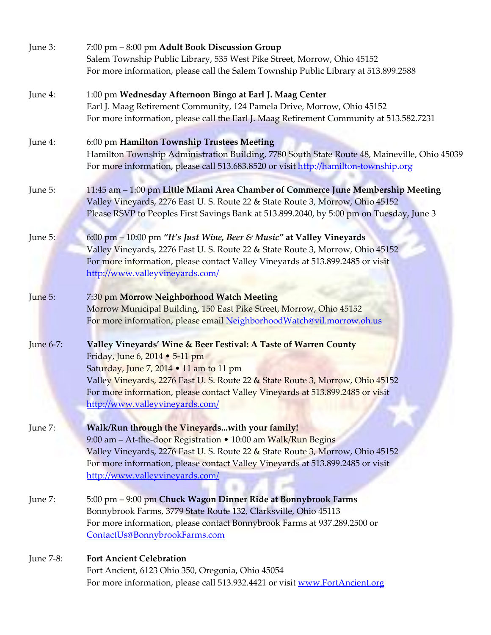| June 3:   | 7:00 pm - 8:00 pm Adult Book Discussion Group<br>Salem Township Public Library, 535 West Pike Street, Morrow, Ohio 45152<br>For more information, please call the Salem Township Public Library at 513.899.2588                                                                                                                                     |
|-----------|-----------------------------------------------------------------------------------------------------------------------------------------------------------------------------------------------------------------------------------------------------------------------------------------------------------------------------------------------------|
| June 4:   | 1:00 pm Wednesday Afternoon Bingo at Earl J. Maag Center<br>Earl J. Maag Retirement Community, 124 Pamela Drive, Morrow, Ohio 45152<br>For more information, please call the Earl J. Maag Retirement Community at 513.582.7231                                                                                                                      |
| June 4:   | 6:00 pm Hamilton Township Trustees Meeting<br>Hamilton Township Administration Building, 7780 South State Route 48, Maineville, Ohio 45039<br>For more information, please call 513.683.8520 or visit http://hamilton-township.org                                                                                                                  |
| June 5:   | 11:45 am - 1:00 pm Little Miami Area Chamber of Commerce June Membership Meeting<br>Valley Vineyards, 2276 East U.S. Route 22 & State Route 3, Morrow, Ohio 45152<br>Please RSVP to Peoples First Savings Bank at 513.899.2040, by 5:00 pm on Tuesday, June 3                                                                                       |
| June 5:   | 6:00 pm - 10:00 pm "It's Just Wine, Beer & Music" at Valley Vineyards<br>Valley Vineyards, 2276 East U. S. Route 22 & State Route 3, Morrow, Ohio 45152<br>For more information, please contact Valley Vineyards at 513.899.2485 or visit<br>http://www.valleyvineyards.com/                                                                        |
| June 5:   | 7:30 pm Morrow Neighborhood Watch Meeting<br>Morrow Municipal Building, 150 East Pike Street, Morrow, Ohio 45152<br>For more information, please email NeighborhoodWatch@vil.morrow.oh.us                                                                                                                                                           |
| June 6-7: | Valley Vineyards' Wine & Beer Festival: A Taste of Warren County<br>Friday, June 6, 2014 • 5-11 pm<br>Saturday, June 7, 2014 . 11 am to 11 pm<br>Valley Vineyards, 2276 East U.S. Route 22 & State Route 3, Morrow, Ohio 45152<br>For more information, please contact Valley Vineyards at 513.899.2485 or visit<br>http://www.valleyvineyards.com/ |
| June 7:   | Walk/Run through the Vineyardswith your family!<br>9:00 am - At-the-door Registration • 10:00 am Walk/Run Begins<br>Valley Vineyards, 2276 East U.S. Route 22 & State Route 3, Morrow, Ohio 45152<br>For more information, please contact Valley Vineyards at 513.899.2485 or visit<br>http://www.valleyvineyards.com/                              |
| June 7:   | 5:00 pm - 9:00 pm Chuck Wagon Dinner Ride at Bonnybrook Farms<br>Bonnybrook Farms, 3779 State Route 132, Clarksville, Ohio 45113<br>For more information, please contact Bonnybrook Farms at 937.289.2500 or<br>ContactUs@BonnybrookFarms.com                                                                                                       |
| June 7-8: | <b>Fort Ancient Celebration</b><br>Fort Ancient, 6123 Ohio 350, Oregonia, Ohio 45054<br>For more information, please call 513.932.4421 or visit www.FortAncient.org                                                                                                                                                                                 |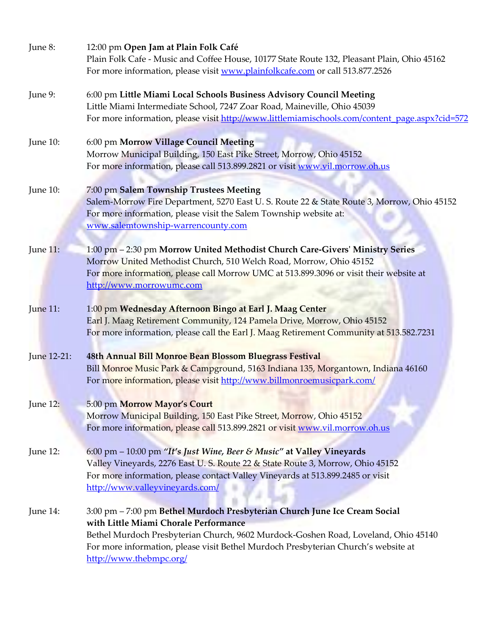| June 8:     | 12:00 pm Open Jam at Plain Folk Café<br>Plain Folk Cafe - Music and Coffee House, 10177 State Route 132, Pleasant Plain, Ohio 45162<br>For more information, please visit www.plainfolkcafe.com or call 513.877.2526                                                                                                       |
|-------------|----------------------------------------------------------------------------------------------------------------------------------------------------------------------------------------------------------------------------------------------------------------------------------------------------------------------------|
| June 9:     | 6:00 pm Little Miami Local Schools Business Advisory Council Meeting<br>Little Miami Intermediate School, 7247 Zoar Road, Maineville, Ohio 45039<br>For more information, please visit http://www.littlemiamischools.com/content_page.aspx?cid=572                                                                         |
| June 10:    | 6:00 pm Morrow Village Council Meeting<br>Morrow Municipal Building, 150 East Pike Street, Morrow, Ohio 45152<br>For more information, please call 513.899.2821 or visit www.vil.morrow.oh.us                                                                                                                              |
| June 10:    | 7:00 pm Salem Township Trustees Meeting<br>Salem-Morrow Fire Department, 5270 East U. S. Route 22 & State Route 3, Morrow, Ohio 45152<br>For more information, please visit the Salem Township website at:<br>www.salemtownship-warrencounty.com                                                                           |
| June 11:    | 1:00 pm - 2:30 pm Morrow United Methodist Church Care-Givers' Ministry Series<br>Morrow United Methodist Church, 510 Welch Road, Morrow, Ohio 45152<br>For more information, please call Morrow UMC at 513.899.3096 or visit their website at<br>http://www.morrowumc.com                                                  |
| June 11:    | 1:00 pm Wednesday Afternoon Bingo at Earl J. Maag Center<br>Earl J. Maag Retirement Community, 124 Pamela Drive, Morrow, Ohio 45152<br>For more information, please call the Earl J. Maag Retirement Community at 513.582.7231                                                                                             |
| June 12-21: | 48th Annual Bill Monroe Bean Blossom Bluegrass Festival<br>Bill Monroe Music Park & Campground, 5163 Indiana 135, Morgantown, Indiana 46160<br>For more information, please visit http://www.billmonroemusicpark.com/                                                                                                      |
| June 12:    | 5:00 pm Morrow Mayor's Court<br>Morrow Municipal Building, 150 East Pike Street, Morrow, Ohio 45152<br>For more information, please call 513.899.2821 or visit www.vil.morrow.oh.us                                                                                                                                        |
| June 12:    | 6:00 pm - 10:00 pm "It's Just Wine, Beer & Music" at Valley Vineyards<br>Valley Vineyards, 2276 East U.S. Route 22 & State Route 3, Morrow, Ohio 45152<br>For more information, please contact Valley Vineyards at 513.899.2485 or visit<br>http://www.valleyvineyards.com/                                                |
| June 14:    | 3:00 pm - 7:00 pm Bethel Murdoch Presbyterian Church June Ice Cream Social<br>with Little Miami Chorale Performance<br>Bethel Murdoch Presbyterian Church, 9602 Murdock-Goshen Road, Loveland, Ohio 45140<br>For more information, please visit Bethel Murdoch Presbyterian Church's website at<br>http://www.thebmpc.org/ |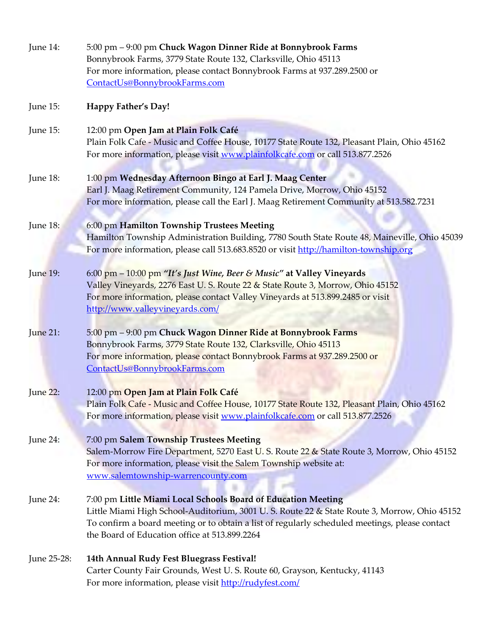| June 14:    | 5:00 pm - 9:00 pm Chuck Wagon Dinner Ride at Bonnybrook Farms<br>Bonnybrook Farms, 3779 State Route 132, Clarksville, Ohio 45113<br>For more information, please contact Bonnybrook Farms at 937.289.2500 or<br>ContactUs@BonnybrookFarms.com                                                                    |
|-------------|------------------------------------------------------------------------------------------------------------------------------------------------------------------------------------------------------------------------------------------------------------------------------------------------------------------|
| June 15:    | Happy Father's Day!                                                                                                                                                                                                                                                                                              |
| June 15:    | 12:00 pm Open Jam at Plain Folk Café<br>Plain Folk Cafe - Music and Coffee House, 10177 State Route 132, Pleasant Plain, Ohio 45162<br>For more information, please visit www.plainfolkcafe.com or call 513.877.2526                                                                                             |
| June 18:    | 1:00 pm Wednesday Afternoon Bingo at Earl J. Maag Center<br>Earl J. Maag Retirement Community, 124 Pamela Drive, Morrow, Ohio 45152<br>For more information, please call the Earl J. Maag Retirement Community at 513.582.7231                                                                                   |
| June 18:    | 6:00 pm Hamilton Township Trustees Meeting<br>Hamilton Township Administration Building, 7780 South State Route 48, Maineville, Ohio 45039<br>For more information, please call 513.683.8520 or visit http://hamilton-township.org                                                                               |
| June 19:    | 6:00 pm - 10:00 pm "It's Just Wine, Beer & Music" at Valley Vineyards<br>Valley Vineyards, 2276 East U.S. Route 22 & State Route 3, Morrow, Ohio 45152<br>For more information, please contact Valley Vineyards at 513.899.2485 or visit<br>http://www.valleyvineyards.com/                                      |
| June 21:    | 5:00 pm - 9:00 pm Chuck Wagon Dinner Ride at Bonnybrook Farms<br>Bonnybrook Farms, 3779 State Route 132, Clarksville, Ohio 45113<br>For more information, please contact Bonnybrook Farms at 937.289.2500 or<br>ContactUs@BonnybrookFarms.com                                                                    |
| June 22:    | 12:00 pm Open Jam at Plain Folk Café<br>Plain Folk Cafe - Music and Coffee House, 10177 State Route 132, Pleasant Plain, Ohio 45162<br>For more information, please visit www.plainfolkcafe.com or call 513.877.2526                                                                                             |
| June 24:    | 7:00 pm Salem Township Trustees Meeting<br>Salem-Morrow Fire Department, 5270 East U.S. Route 22 & State Route 3, Morrow, Ohio 45152<br>For more information, please visit the Salem Township website at:<br>www.salemtownship-warrencounty.com                                                                  |
| June 24:    | 7:00 pm Little Miami Local Schools Board of Education Meeting<br>Little Miami High School-Auditorium, 3001 U. S. Route 22 & State Route 3, Morrow, Ohio 45152<br>To confirm a board meeting or to obtain a list of regularly scheduled meetings, please contact<br>the Board of Education office at 513.899.2264 |
| June 25-28: | 14th Annual Rudy Fest Bluegrass Festival!<br>Carter County Fair Grounds, West U.S. Route 60, Grayson, Kentucky, 41143<br>For more information, please visit http://rudyfest.com/                                                                                                                                 |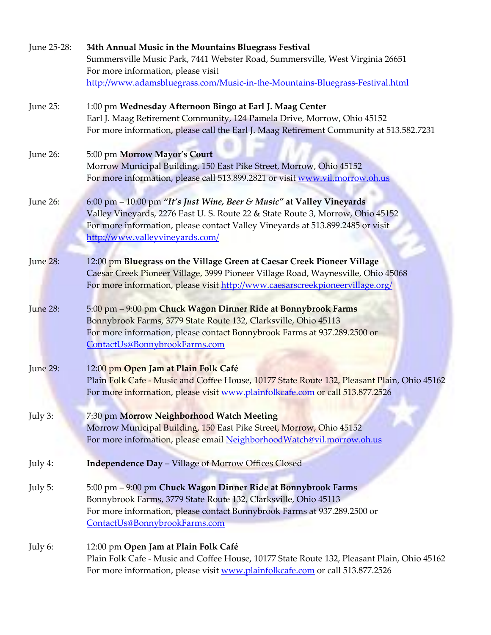| June 25-28: | 34th Annual Music in the Mountains Bluegrass Festival                                       |
|-------------|---------------------------------------------------------------------------------------------|
|             | Summersville Music Park, 7441 Webster Road, Summersville, West Virginia 26651               |
|             | For more information, please visit                                                          |
|             | http://www.adamsbluegrass.com/Music-in-the-Mountains-Bluegrass-Festival.html                |
| June 25:    | 1:00 pm Wednesday Afternoon Bingo at Earl J. Maag Center                                    |
|             | Earl J. Maag Retirement Community, 124 Pamela Drive, Morrow, Ohio 45152                     |
|             | For more information, please call the Earl J. Maag Retirement Community at 513.582.7231     |
| June 26:    | 5:00 pm Morrow Mayor's Court                                                                |
|             | Morrow Municipal Building, 150 East Pike Street, Morrow, Ohio 45152                         |
|             | For more information, please call 513.899.2821 or visit www.vil.morrow.oh.us                |
| June 26:    | 6:00 pm - 10:00 pm "It's Just Wine, Beer & Music" at Valley Vineyards                       |
|             | Valley Vineyards, 2276 East U.S. Route 22 & State Route 3, Morrow, Ohio 45152               |
|             | For more information, please contact Valley Vineyards at 513.899.2485 or visit              |
|             | http://www.valleyvineyards.com/                                                             |
| June 28:    | 12:00 pm Bluegrass on the Village Green at Caesar Creek Pioneer Village                     |
|             | Caesar Creek Pioneer Village, 3999 Pioneer Village Road, Waynesville, Ohio 45068            |
|             | For more information, please visit http://www.caesarscreekpioneervillage.org/               |
| June 28:    | 5:00 pm - 9:00 pm Chuck Wagon Dinner Ride at Bonnybrook Farms                               |
|             | Bonnybrook Farms, 3779 State Route 132, Clarksville, Ohio 45113                             |
|             | For more information, please contact Bonnybrook Farms at 937.289.2500 or                    |
|             | ContactUs@BonnybrookFarms.com                                                               |
| June 29:    | 12:00 pm Open Jam at Plain Folk Café                                                        |
|             | Plain Folk Cafe - Music and Coffee House, 10177 State Route 132, Pleasant Plain, Ohio 45162 |
|             | For more information, please visit www.plainfolkcafe.com or call 513.877.2526               |
| July 3:     | 7:30 pm Morrow Neighborhood Watch Meeting                                                   |
|             | Morrow Municipal Building, 150 East Pike Street, Morrow, Ohio 45152                         |
|             | For more information, please email NeighborhoodWatch@vil.morrow.oh.us                       |
| July 4:     | <b>Independence Day - Village of Morrow Offices Closed</b>                                  |
| July 5:     | 5:00 pm - 9:00 pm Chuck Wagon Dinner Ride at Bonnybrook Farms                               |
|             | Bonnybrook Farms, 3779 State Route 132, Clarksville, Ohio 45113                             |
|             | For more information, please contact Bonnybrook Farms at 937.289.2500 or                    |
|             | ContactUs@BonnybrookFarms.com                                                               |
| July 6:     | 12:00 pm Open Jam at Plain Folk Café                                                        |
|             | Plain Folk Cafe - Music and Coffee House, 10177 State Route 132, Pleasant Plain, Ohio 45162 |
|             | For more information, please visit www.plainfolkcafe.com or call 513.877.2526               |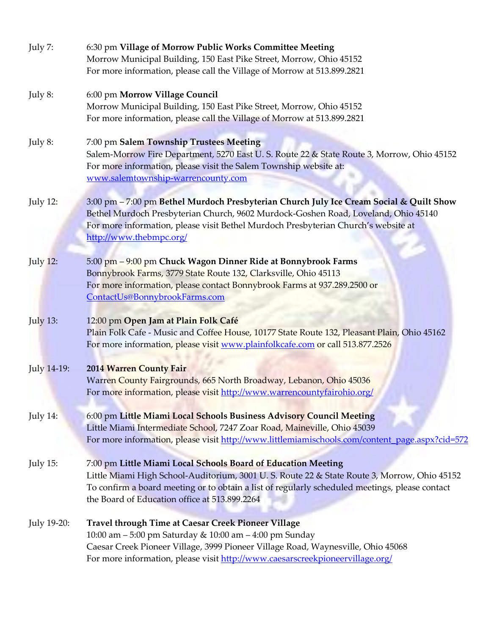| July 7:         | 6:30 pm Village of Morrow Public Works Committee Meeting                                                                                                                                                                                                                                       |
|-----------------|------------------------------------------------------------------------------------------------------------------------------------------------------------------------------------------------------------------------------------------------------------------------------------------------|
|                 | Morrow Municipal Building, 150 East Pike Street, Morrow, Ohio 45152                                                                                                                                                                                                                            |
|                 | For more information, please call the Village of Morrow at 513.899.2821                                                                                                                                                                                                                        |
| July 8:         | 6:00 pm Morrow Village Council                                                                                                                                                                                                                                                                 |
|                 | Morrow Municipal Building, 150 East Pike Street, Morrow, Ohio 45152                                                                                                                                                                                                                            |
|                 | For more information, please call the Village of Morrow at 513.899.2821                                                                                                                                                                                                                        |
| July 8:         | 7:00 pm Salem Township Trustees Meeting<br>Salem-Morrow Fire Department, 5270 East U. S. Route 22 & State Route 3, Morrow, Ohio 45152<br>For more information, please visit the Salem Township website at:                                                                                     |
|                 | www.salemtownship-warrencounty.com                                                                                                                                                                                                                                                             |
| <b>July 12:</b> | 3:00 pm - 7:00 pm Bethel Murdoch Presbyterian Church July Ice Cream Social & Quilt Show<br>Bethel Murdoch Presbyterian Church, 9602 Murdock-Goshen Road, Loveland, Ohio 45140<br>For more information, please visit Bethel Murdoch Presbyterian Church's website at<br>http://www.thebmpc.org/ |
| <b>July 12:</b> | 5:00 pm - 9:00 pm Chuck Wagon Dinner Ride at Bonnybrook Farms                                                                                                                                                                                                                                  |
|                 | Bonnybrook Farms, 3779 State Route 132, Clarksville, Ohio 45113                                                                                                                                                                                                                                |
|                 | For more information, please contact Bonnybrook Farms at 937.289.2500 or                                                                                                                                                                                                                       |
|                 | ContactUs@BonnybrookFarms.com                                                                                                                                                                                                                                                                  |
| <b>July 13:</b> | 12:00 pm Open Jam at Plain Folk Café                                                                                                                                                                                                                                                           |
|                 | Plain Folk Cafe - Music and Coffee House, 10177 State Route 132, Pleasant Plain, Ohio 45162<br>For more information, please visit www.plainfolkcafe.com or call 513.877.2526                                                                                                                   |
|                 |                                                                                                                                                                                                                                                                                                |
| July 14-19:     | 2014 Warren County Fair                                                                                                                                                                                                                                                                        |
|                 | Warren County Fairgrounds, 665 North Broadway, Lebanon, Ohio 45036                                                                                                                                                                                                                             |
|                 | For more information, please visit http://www.warrencountyfairohio.org/                                                                                                                                                                                                                        |
| July $14$ :     | 6:00 pm Little Miami Local Schools Business Advisory Council Meeting                                                                                                                                                                                                                           |
|                 | Little Miami Intermediate School, 7247 Zoar Road, Maineville, Ohio 45039                                                                                                                                                                                                                       |
|                 | For more information, please visit http://www.littlemiamischools.com/content_page.aspx?cid=572                                                                                                                                                                                                 |
| July 15:        | 7:00 pm Little Miami Local Schools Board of Education Meeting                                                                                                                                                                                                                                  |
|                 | Little Miami High School-Auditorium, 3001 U.S. Route 22 & State Route 3, Morrow, Ohio 45152                                                                                                                                                                                                    |
|                 | To confirm a board meeting or to obtain a list of regularly scheduled meetings, please contact                                                                                                                                                                                                 |
|                 | the Board of Education office at 513.899.2264                                                                                                                                                                                                                                                  |
| July 19-20:     | <b>Travel through Time at Caesar Creek Pioneer Village</b>                                                                                                                                                                                                                                     |
|                 | 10:00 am - 5:00 pm Saturday & 10:00 am - 4:00 pm Sunday                                                                                                                                                                                                                                        |
|                 | Caesar Creek Pioneer Village, 3999 Pioneer Village Road, Waynesville, Ohio 45068                                                                                                                                                                                                               |
|                 | For more information, please visit http://www.caesarscreekpioneervillage.org/                                                                                                                                                                                                                  |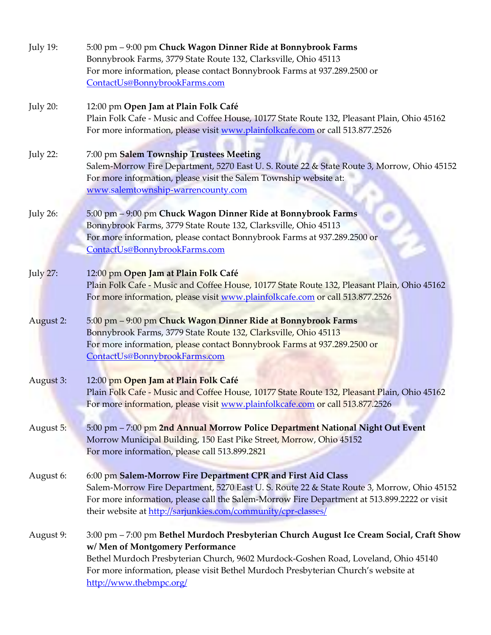| July 19:        | 5:00 pm – 9:00 pm Chuck Wagon Dinner Ride at Bonnybrook Farms<br>Bonnybrook Farms, 3779 State Route 132, Clarksville, Ohio 45113<br>For more information, please contact Bonnybrook Farms at 937.289.2500 or<br>ContactUs@BonnybrookFarms.com                                                                                       |
|-----------------|-------------------------------------------------------------------------------------------------------------------------------------------------------------------------------------------------------------------------------------------------------------------------------------------------------------------------------------|
| July 20:        | 12:00 pm Open Jam at Plain Folk Café<br>Plain Folk Cafe - Music and Coffee House, 10177 State Route 132, Pleasant Plain, Ohio 45162<br>For more information, please visit www.plainfolkcafe.com or call 513.877.2526                                                                                                                |
| July 22:        | 7:00 pm Salem Township Trustees Meeting<br>Salem-Morrow Fire Department, 5270 East U. S. Route 22 & State Route 3, Morrow, Ohio 45152<br>For more information, please visit the Salem Township website at:<br>www.salemtownship-warrencounty.com                                                                                    |
| July 26:        | 5:00 pm - 9:00 pm Chuck Wagon Dinner Ride at Bonnybrook Farms<br>Bonnybrook Farms, 3779 State Route 132, Clarksville, Ohio 45113<br>For more information, please contact Bonnybrook Farms at 937.289.2500 or<br>ContactUs@BonnybrookFarms.com                                                                                       |
| <b>July 27:</b> | 12:00 pm Open Jam at Plain Folk Café<br>Plain Folk Cafe - Music and Coffee House, 10177 State Route 132, Pleasant Plain, Ohio 45162<br>For more information, please visit www.plainfolkcafe.com or call 513.877.2526                                                                                                                |
| August 2:       | 5:00 pm - 9:00 pm Chuck Wagon Dinner Ride at Bonnybrook Farms<br>Bonnybrook Farms, 3779 State Route 132, Clarksville, Ohio 45113<br>For more information, please contact Bonnybrook Farms at 937.289.2500 or<br>ContactUs@BonnybrookFarms.com                                                                                       |
| August 3:       | 12:00 pm Open Jam at Plain Folk Café<br>Plain Folk Cafe - Music and Coffee House, 10177 State Route 132, Pleasant Plain, Ohio 45162<br>For more information, please visit www.plainfolkcafe.com or call 513.877.2526                                                                                                                |
| August 5:       | 5:00 pm - 7:00 pm 2nd Annual Morrow Police Department National Night Out Event<br>Morrow Municipal Building, 150 East Pike Street, Morrow, Ohio 45152<br>For more information, please call 513.899.2821                                                                                                                             |
| August 6:       | 6:00 pm Salem-Morrow Fire Department CPR and First Aid Class<br>Salem-Morrow Fire Department, 5270 East U. S. Route 22 & State Route 3, Morrow, Ohio 45152<br>For more information, please call the Salem-Morrow Fire Department at 513.899.2222 or visit<br>their website at http://sarjunkies.com/community/cpr-classes/          |
| August 9:       | 3:00 pm - 7:00 pm Bethel Murdoch Presbyterian Church August Ice Cream Social, Craft Show<br>w/ Men of Montgomery Performance<br>Bethel Murdoch Presbyterian Church, 9602 Murdock-Goshen Road, Loveland, Ohio 45140<br>For more information, please visit Bethel Murdoch Presbyterian Church's website at<br>http://www.thebmpc.org/ |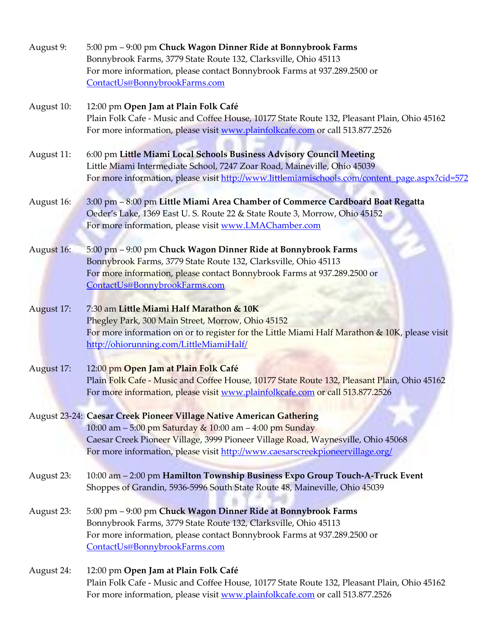| August 9:  | 5:00 pm - 9:00 pm Chuck Wagon Dinner Ride at Bonnybrook Farms<br>Bonnybrook Farms, 3779 State Route 132, Clarksville, Ohio 45113<br>For more information, please contact Bonnybrook Farms at 937.289.2500 or<br>ContactUs@BonnybrookFarms.com                                                        |
|------------|------------------------------------------------------------------------------------------------------------------------------------------------------------------------------------------------------------------------------------------------------------------------------------------------------|
| August 10: | 12:00 pm Open Jam at Plain Folk Café<br>Plain Folk Cafe - Music and Coffee House, 10177 State Route 132, Pleasant Plain, Ohio 45162<br>For more information, please visit www.plainfolkcafe.com or call 513.877.2526                                                                                 |
| August 11: | 6:00 pm Little Miami Local Schools Business Advisory Council Meeting<br>Little Miami Intermediate School, 7247 Zoar Road, Maineville, Ohio 45039<br>For more information, please visit http://www.littlemiamischools.com/content_page.aspx?cid=572                                                   |
| August 16: | 3:00 pm - 8:00 pm Little Miami Area Chamber of Commerce Cardboard Boat Regatta<br>Oeder's Lake, 1369 East U. S. Route 22 & State Route 3, Morrow, Ohio 45152<br>For more information, please visit www.LMAChamber.com                                                                                |
| August 16: | 5:00 pm - 9:00 pm Chuck Wagon Dinner Ride at Bonnybrook Farms<br>Bonnybrook Farms, 3779 State Route 132, Clarksville, Ohio 45113<br>For more information, please contact Bonnybrook Farms at 937.289.2500 or<br>ContactUs@BonnybrookFarms.com                                                        |
| August 17: | 7:30 am Little Miami Half Marathon & 10K<br>Phegley Park, 300 Main Street, Morrow, Ohio 45152<br>For more information on or to register for the Little Miami Half Marathon & 10K, please visit<br>http://ohiorunning.com/LittleMiamiHalf/                                                            |
| August 17: | 12:00 pm Open Jam at Plain Folk Café<br>Plain Folk Cafe - Music and Coffee House, 10177 State Route 132, Pleasant Plain, Ohio 45162<br>For more information, please visit www.plainfolkcafe.com or call 513.877.2526                                                                                 |
|            | August 23-24: Caesar Creek Pioneer Village Native American Gathering<br>10:00 am - 5:00 pm Saturday & 10:00 am - 4:00 pm Sunday<br>Caesar Creek Pioneer Village, 3999 Pioneer Village Road, Waynesville, Ohio 45068<br>For more information, please visit http://www.caesarscreekpioneervillage.org/ |
| August 23: | 10:00 am - 2:00 pm Hamilton Township Business Expo Group Touch-A-Truck Event<br>Shoppes of Grandin, 5936-5996 South State Route 48, Maineville, Ohio 45039                                                                                                                                           |
| August 23: | 5:00 pm - 9:00 pm Chuck Wagon Dinner Ride at Bonnybrook Farms<br>Bonnybrook Farms, 3779 State Route 132, Clarksville, Ohio 45113<br>For more information, please contact Bonnybrook Farms at 937.289.2500 or<br>ContactUs@BonnybrookFarms.com                                                        |
| August 24: | 12:00 pm Open Jam at Plain Folk Café<br>Plain Folk Cafe - Music and Coffee House, 10177 State Route 132, Pleasant Plain, Ohio 45162<br>For more information, please visit www.plainfolkcafe.com or call 513.877.2526                                                                                 |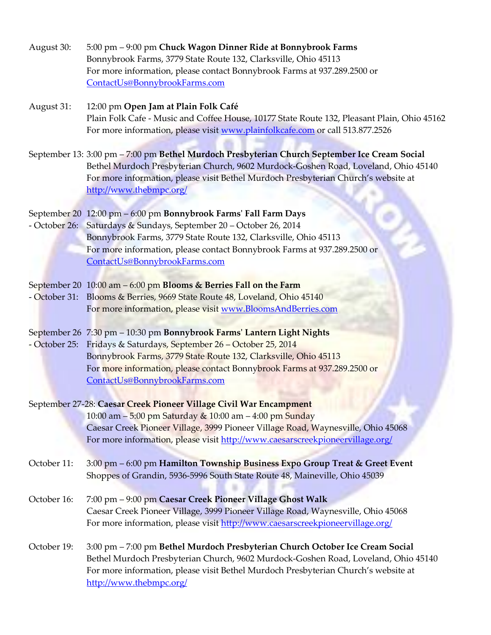| August 30: | 5:00 pm – 9:00 pm Chuck Wagon Dinner Ride at Bonnybrook Farms            |
|------------|--------------------------------------------------------------------------|
|            | Bonnybrook Farms, 3779 State Route 132, Clarksville, Ohio 45113          |
|            | For more information, please contact Bonnybrook Farms at 937.289.2500 or |
|            | ContactUs@BonnybrookFarms.com                                            |

- August 31: 12:00 pm **Open Jam at Plain Folk Café** Plain Folk Cafe - Music and Coffee House, 10177 State Route 132, Pleasant Plain, Ohio 45162 For more information, please visit [www.plainfolkcafe.com](http://www.plainfolkcafe.com/) or call 513.877.2526
- September 13: 3:00 pm 7:00 pm **Bethel Murdoch Presbyterian Church September Ice Cream Social** Bethel Murdoch Presbyterian Church, 9602 Murdock-Goshen Road, Loveland, Ohio 45140 For more information, please visit Bethel Murdoch Presbyterian Church's website at <http://www.thebmpc.org/>

#### September 20 12:00 pm – 6:00 pm **Bonnybrook Farms' Fall Farm Days**

- October 26: Saturdays & Sundays, September 20 October 26, 2014 Bonnybrook Farms, 3779 State Route 132, Clarksville, Ohio 45113 For more information, please contact Bonnybrook Farms at 937.289.2500 or [ContactUs@BonnybrookFarms.com](mailto:ContactUs@BonnybrookFarms.com)
- September 20 10:00 am 6:00 pm **Blooms & Berries Fall on the Farm**
- October 31: Blooms & Berries, 9669 State Route 48, Loveland, Ohio 45140 For more information, please visit [www.BloomsAndBerries.com](http://www.bloomsandberries.com/)
- September 26 7:30 pm 10:30 pm **Bonnybrook Farms' Lantern Light Nights**
- October 25: Fridays & Saturdays, September 26 October 25, 2014 Bonnybrook Farms, 3779 State Route 132, Clarksville, Ohio 45113 For more information, please contact Bonnybrook Farms at 937.289.2500 or [ContactUs@BonnybrookFarms.com](mailto:ContactUs@BonnybrookFarms.com)

#### September 27-28: **Caesar Creek Pioneer Village Civil War Encampment** 10:00 am – 5:00 pm Saturday & 10:00 am – 4:00 pm Sunday Caesar Creek Pioneer Village, 3999 Pioneer Village Road, Waynesville, Ohio 45068 For more information, please visit<http://www.caesarscreekpioneervillage.org/>

- October 11: 3:00 pm 6:00 pm **Hamilton Township Business Expo Group Treat & Greet Event** Shoppes of Grandin, 5936-5996 South State Route 48, Maineville, Ohio 45039
- October 16: 7:00 pm 9:00 pm **Caesar Creek Pioneer Village Ghost Walk** Caesar Creek Pioneer Village, 3999 Pioneer Village Road, Waynesville, Ohio 45068 For more information, please visit<http://www.caesarscreekpioneervillage.org/>
- October 19: 3:00 pm 7:00 pm **Bethel Murdoch Presbyterian Church October Ice Cream Social** Bethel Murdoch Presbyterian Church, 9602 Murdock-Goshen Road, Loveland, Ohio 45140 For more information, please visit Bethel Murdoch Presbyterian Church's website at <http://www.thebmpc.org/>